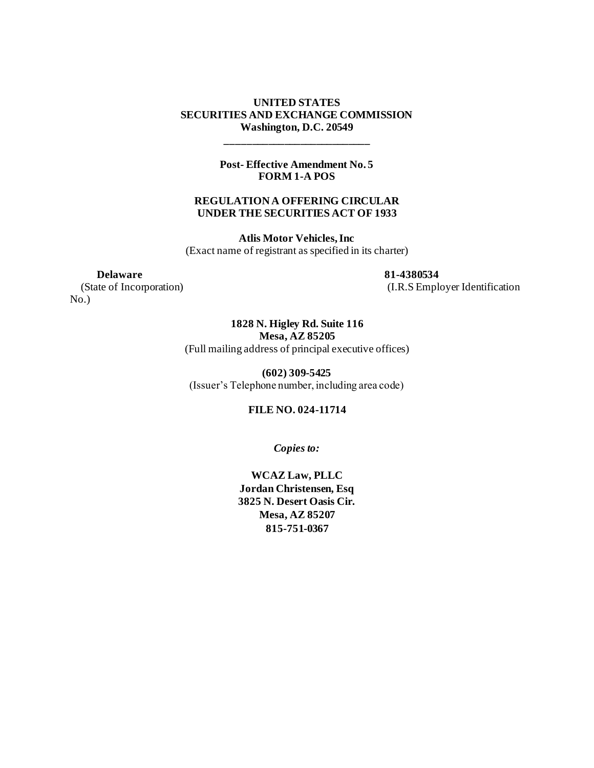#### **UNITED STATES SECURITIES AND EXCHANGE COMMISSION Washington, D.C. 20549**

**Post- Effective Amendment No. 5 FORM 1-A POS**

**\_\_\_\_\_\_\_\_\_\_\_\_\_\_\_\_\_\_\_\_\_\_\_\_\_\_\_**

#### **REGULATION A OFFERING CIRCULAR UNDER THE SECURITIES ACT OF 1933**

**Atlis Motor Vehicles, Inc** (Exact name of registrant as specified in its charter)

No.)

 **Delaware 81-4380534** (State of Incorporation) (I.R.S Employer Identification

> **1828 N. Higley Rd. Suite 116 Mesa, AZ 85205** (Full mailing address of principal executive offices)

**(602) 309-5425** (Issuer's Telephone number, including area code)

#### **FILE NO. 024-11714**

*Copies to:*

**WCAZ Law, PLLC Jordan Christensen, Esq 3825 N. Desert Oasis Cir. Mesa, AZ 85207 815-751-0367**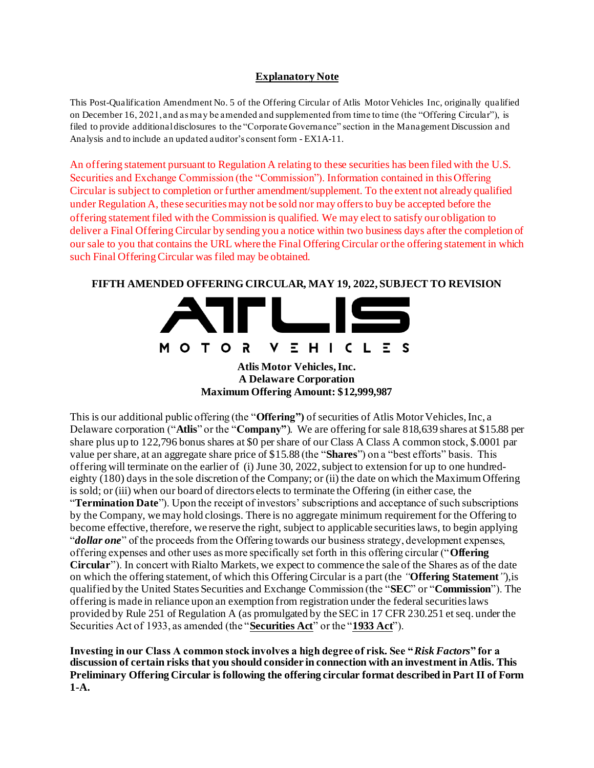#### **Explanatory Note**

This Post-Qualification Amendment No. 5 of the Offering Circular of Atlis Motor Vehicles Inc, originally qualified on December 16, 2021, and as may be amended and supplemented from time to time (the "Offering Circular"), is filed to provide additional disclosures to the "Corporate Governance" section in the Management Discussion and Analysis and to include an updated auditor's consent form - EX1A-11.

An offering statement pursuant to Regulation A relating to these securities has been filed with the U.S. Securities and Exchange Commission (the "Commission"). Information contained in this Offering Circular is subject to completion orfurther amendment/supplement. To the extent not already qualified under Regulation A, these securities may not be sold nor may offers to buy be accepted before the offering statement filed with the Commission is qualified. We may elect to satisfy our obligation to deliver a Final Offering Circular by sending you a notice within two business days after the completion of our sale to you that contains the URL where the Final Offering Circular or the offering statement in which such Final Offering Circular was filed may be obtained.

#### **FIFTH AMENDED OFFERING CIRCULAR, MAY 19, 2022, SUBJECT TO REVISION**



**Atlis Motor Vehicles, Inc. A Delaware Corporation Maximum Offering Amount: \$12,999,987**

This is our additional public offering (the "**Offering")** of securities of Atlis Motor Vehicles, Inc, a Delaware corporation ("**Atlis**" or the "**Company"**). We are offering for sale 818,639 shares at \$15.88 per share plus up to 122,796 bonus shares at \$0 per share of our Class A Class A common stock, \$.0001 par value per share, at an aggregate share price of \$15.88 (the "**Shares**") on a "best efforts" basis. This offering will terminate on the earlier of (i) June 30, 2022, subject to extension for up to one hundredeighty (180) days in the sole discretion of the Company; or (ii) the date on which the Maximum Offering is sold; or (iii) when our board of directors elects to terminate the Offering (in either case, the "**Termination Date**"). Upon the receipt of investors' subscriptions and acceptance of such subscriptions by the Company, we may hold closings. There is no aggregate minimum requirement for the Offering to become effective, therefore, we reserve the right, subject to applicable securities laws, to begin applying "*dollar one*" of the proceeds from the Offering towards our business strategy, development expenses, offering expenses and other uses as more specifically set forth in this offering circular ("**Offering Circular**"). In concert with Rialto Markets, we expect to commence the sale of the Shares as of the date on which the offering statement, of which this Offering Circular is a part (the *"***Offering Statement***"*),is qualified by the United States Securities and Exchange Commission (the "**SEC**" or "**Commission**"). The offering is made in reliance upon an exemption from registration under the federal securities laws provided by Rule 251 of Regulation A (as promulgated by the SEC in 17 CFR 230.251 et seq. under the Securities Act of 1933, as amended (the "**Securities Act**" or the "**1933 Act**").

**Investing in our Class A common stock involves a high degree of risk. See "***Risk Factors***" for a discussion of certain risks that you should consider in connection with an investment in Atlis. This Preliminary Offering Circular is following the offering circular format described in Part II of Form 1-A.**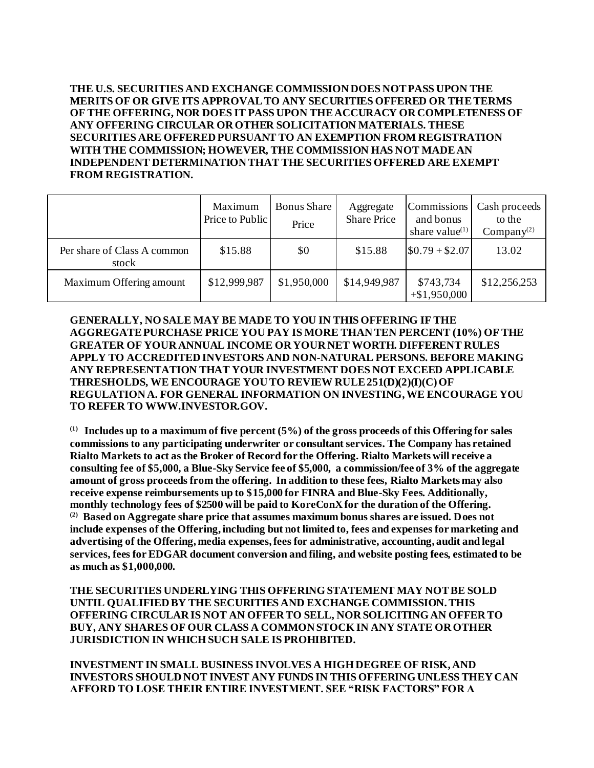**THE U.S. SECURITIES AND EXCHANGE COMMISSION DOES NOT PASS UPON THE MERITS OF OR GIVE ITS APPROVAL TO ANY SECURITIES OFFERED OR THE TERMS OF THE OFFERING, NOR DOES IT PASS UPON THE ACCURACY OR COMPLETENESS OF ANY OFFERING CIRCULAR OR OTHER SOLICITATION MATERIALS. THESE SECURITIES ARE OFFERED PURSUANT TO AN EXEMPTION FROM REGISTRATION WITH THE COMMISSION; HOWEVER, THE COMMISSION HAS NOT MADE AN INDEPENDENT DETERMINATION THAT THE SECURITIES OFFERED ARE EXEMPT FROM REGISTRATION.**

|                                      | Maximum<br>Price to Public | <b>Bonus</b> Share<br>Price | Aggregate<br><b>Share Price</b> | Commissions<br>and bonus<br>share value $(1)$ | Cash proceeds 1<br>to the<br>Company $(2)$ |
|--------------------------------------|----------------------------|-----------------------------|---------------------------------|-----------------------------------------------|--------------------------------------------|
| Per share of Class A common<br>stock | \$15.88                    | \$0                         | \$15.88                         | $$0.79 + $2.07$                               | 13.02                                      |
| Maximum Offering amount              | \$12,999,987               | \$1,950,000                 | \$14,949,987                    | \$743,734<br>$+$ \$1,950,000                  | \$12,256,253                               |

**GENERALLY, NO SALE MAY BE MADE TO YOU IN THIS OFFERING IF THE AGGREGATE PURCHASE PRICE YOU PAY IS MORE THAN TEN PERCENT (10%) OF THE GREATER OF YOUR ANNUAL INCOME OR YOUR NET WORTH. DIFFERENT RULES APPLY TO ACCREDITED INVESTORS AND NON-NATURAL PERSONS. BEFORE MAKING ANY REPRESENTATION THAT YOUR INVESTMENT DOES NOT EXCEED APPLICABLE THRESHOLDS, WE ENCOURAGE YOU TO REVIEW RULE 251(D)(2)(I)(C) OF REGULATION A. FOR GENERAL INFORMATION ON INVESTING, WE ENCOURAGE YOU TO REFER TO WWW.INVESTOR.GOV.**

**(1) Includes up to a maximum of five percent (5%) of the gross proceeds of this Offering for sales commissions to any participating underwriter or consultant services. The Company has retained Rialto Markets to act as the Broker of Record for the Offering. Rialto Markets will receive a consulting fee of \$5,000, a Blue-Sky Service fee of \$5,000, a commission/fee of 3% of the aggregate amount of gross proceeds from the offering. In addition to these fees, Rialto Markets may also receive expense reimbursements up to \$15,000 for FINRA and Blue-Sky Fees. Additionally, monthly technology fees of \$2500 will be paid to KoreConX for the duration of the Offering. (2) Based on Aggregate share price that assumes maximum bonus shares are issued. Does not include expenses of the Offering, including but not limited to, fees and expenses for marketing and advertising of the Offering, media expenses, fees for administrative, accounting, audit and legal services, fees for EDGAR document conversion and filing, and website posting fees, estimated to be as much as \$1,000,000.**

**THE SECURITIES UNDERLYING THIS OFFERING STATEMENT MAY NOT BE SOLD UNTIL QUALIFIED BY THE SECURITIES AND EXCHANGE COMMISSION. THIS OFFERING CIRCULAR IS NOT AN OFFER TO SELL, NOR SOLICITING AN OFFER TO BUY, ANY SHARES OF OUR CLASS A COMMON STOCK IN ANY STATE OR OTHER JURISDICTION IN WHICH SUCH SALE IS PROHIBITED.**

**INVESTMENT IN SMALL BUSINESS INVOLVES A HIGH DEGREE OF RISK, AND INVESTORS SHOULD NOT INVEST ANY FUNDS IN THIS OFFERING UNLESS THEY CAN AFFORD TO LOSE THEIR ENTIRE INVESTMENT. SEE "RISK FACTORS" FOR A**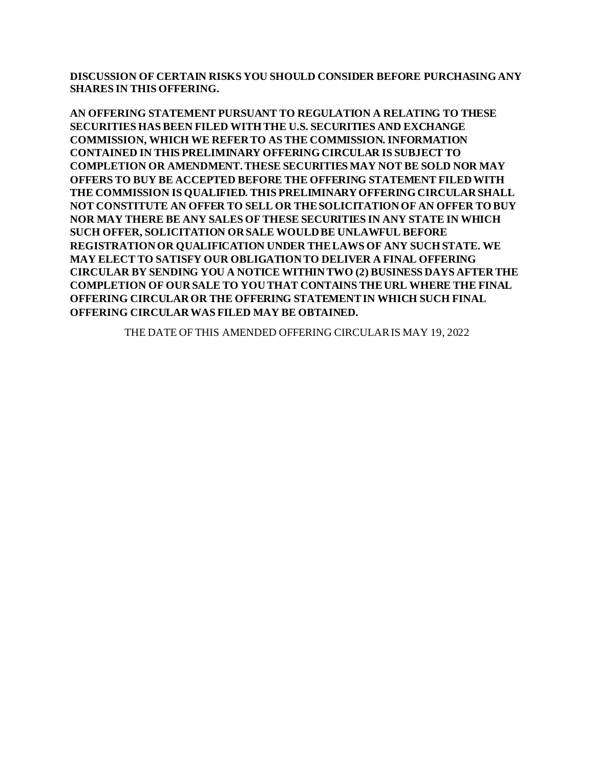**DISCUSSION OF CERTAIN RISKS YOU SHOULD CONSIDER BEFORE PURCHASING ANY SHARES IN THIS OFFERING.**

**AN OFFERING STATEMENT PURSUANT TO REGULATION A RELATING TO THESE SECURITIES HAS BEEN FILED WITH THE U.S. SECURITIES AND EXCHANGE COMMISSION, WHICH WE REFER TO AS THE COMMISSION. INFORMATION CONTAINED IN THIS PRELIMINARY OFFERING CIRCULAR IS SUBJECT TO COMPLETION OR AMENDMENT. THESE SECURITIES MAY NOT BE SOLD NOR MAY OFFERS TO BUY BE ACCEPTED BEFORE THE OFFERING STATEMENT FILED WITH THE COMMISSION IS QUALIFIED. THIS PRELIMINARY OFFERING CIRCULAR SHALL NOT CONSTITUTE AN OFFER TO SELL OR THE SOLICITATION OF AN OFFER TO BUY NOR MAY THERE BE ANY SALES OF THESE SECURITIES IN ANY STATE IN WHICH SUCH OFFER, SOLICITATION OR SALE WOULD BE UNLAWFUL BEFORE REGISTRATION OR QUALIFICATION UNDER THE LAWS OF ANY SUCH STATE. WE MAY ELECT TO SATISFY OUR OBLIGATION TO DELIVER A FINAL OFFERING CIRCULAR BY SENDING YOU A NOTICE WITHIN TWO (2) BUSINESS DAYS AFTER THE COMPLETION OF OUR SALE TO YOU THAT CONTAINS THE URL WHERE THE FINAL OFFERING CIRCULAR OR THE OFFERING STATEMENT IN WHICH SUCH FINAL OFFERING CIRCULAR WAS FILED MAY BE OBTAINED.**

THE DATE OF THIS AMENDED OFFERING CIRCULAR IS MAY 19, 2022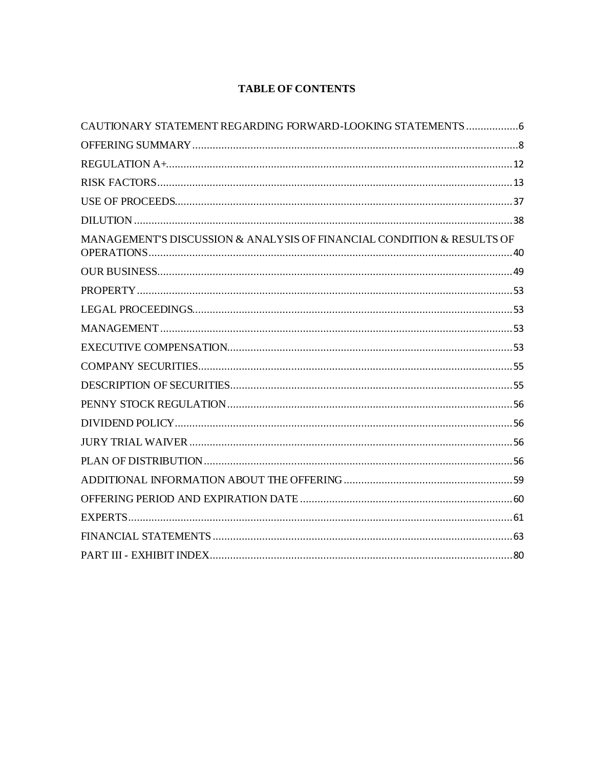# **TABLE OF CONTENTS**

| CAUTIONARY STATEMENT REGARDING FORWARD-LOOKING STATEMENTS6             |  |
|------------------------------------------------------------------------|--|
|                                                                        |  |
|                                                                        |  |
|                                                                        |  |
|                                                                        |  |
|                                                                        |  |
| MANAGEMENT'S DISCUSSION & ANALYSIS OF FINANCIAL CONDITION & RESULTS OF |  |
|                                                                        |  |
|                                                                        |  |
|                                                                        |  |
|                                                                        |  |
|                                                                        |  |
|                                                                        |  |
|                                                                        |  |
|                                                                        |  |
|                                                                        |  |
|                                                                        |  |
|                                                                        |  |
|                                                                        |  |
|                                                                        |  |
|                                                                        |  |
|                                                                        |  |
|                                                                        |  |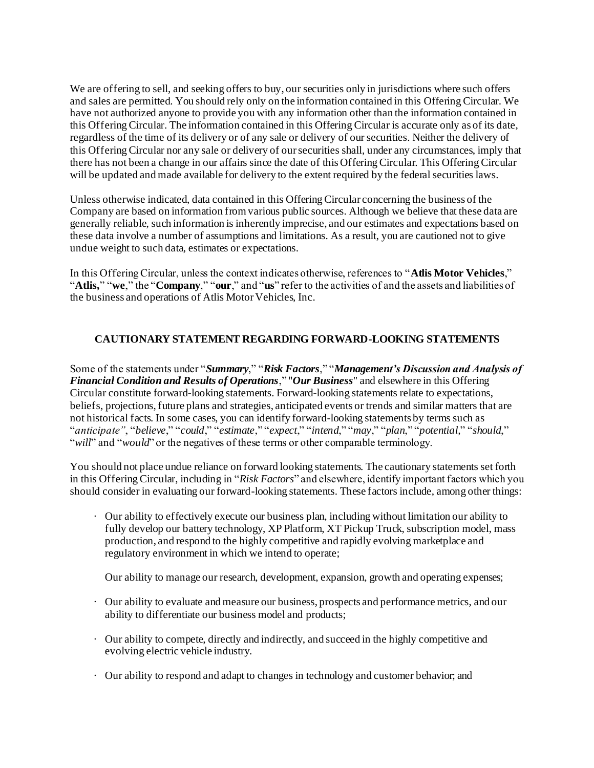We are offering to sell, and seeking offers to buy, our securities only in jurisdictions where such offers and sales are permitted. You should rely only on the information contained in this Offering Circular. We have not authorized anyone to provide you with any information other than the information contained in this Offering Circular. The information contained in this Offering Circular is accurate only as of its date, regardless of the time of its delivery or of any sale or delivery of our securities. Neither the delivery of this Offering Circular nor any sale or delivery of our securities shall, under any circumstances, imply that there has not been a change in our affairs since the date of this Offering Circular. This Offering Circular will be updated and made available for delivery to the extent required by the federal securities laws.

Unless otherwise indicated, data contained in this Offering Circular concerning the business of the Company are based on information from various public sources. Although we believe that these data are generally reliable, such information is inherently imprecise, and our estimates and expectations based on these data involve a number of assumptions and limitations. As a result, you are cautioned not to give undue weight to such data, estimates or expectations.

In this Offering Circular, unless the context indicates otherwise, references to "**Atlis Motor Vehicles**," "**Atlis,**" "**we**," the "**Company**," "**our**," and "**us**" refer to the activities of and the assets and liabilities of the business and operations of Atlis Motor Vehicles, Inc.

# **CAUTIONARY STATEMENT REGARDING FORWARD-LOOKING STATEMENTS**

Some of the statements under "*Summary*," "*Risk Factors*," "*Management's Discussion and Analysis of Financial Condition and Results of Operations*," "*Our Business*" and elsewhere in this Offering Circular constitute forward-looking statements. Forward-looking statements relate to expectations, beliefs, projections, future plans and strategies, anticipated events or trends and similar matters that are not historical facts. In some cases, you can identify forward-looking statements by terms such as "*anticipate"*, "*believe*," "*could*," "*estimate*," "*expect*," "*intend*," "*may*," "*plan*," "*potential,*" "*should*," "*will*" and "*would*" or the negatives of these terms or other comparable terminology.

You should not place undue reliance on forward looking statements. The cautionary statements set forth in this Offering Circular, including in "*Risk Factors*" and elsewhere, identify important factors which you should consider in evaluating our forward-looking statements. These factors include, among other things:

· Our ability to effectively execute our business plan, including without limitation our ability to fully develop our battery technology, XP Platform, XT Pickup Truck, subscription model, mass production, and respond to the highly competitive and rapidly evolving marketplace and regulatory environment in which we intend to operate;

Our ability to manage our research, development, expansion, growth and operating expenses;

- · Our ability to evaluate and measure our business, prospects and performance metrics, and our ability to differentiate our business model and products;
- · Our ability to compete, directly and indirectly, and succeed in the highly competitive and evolving electric vehicle industry.
- · Our ability to respond and adapt to changes in technology and customer behavior; and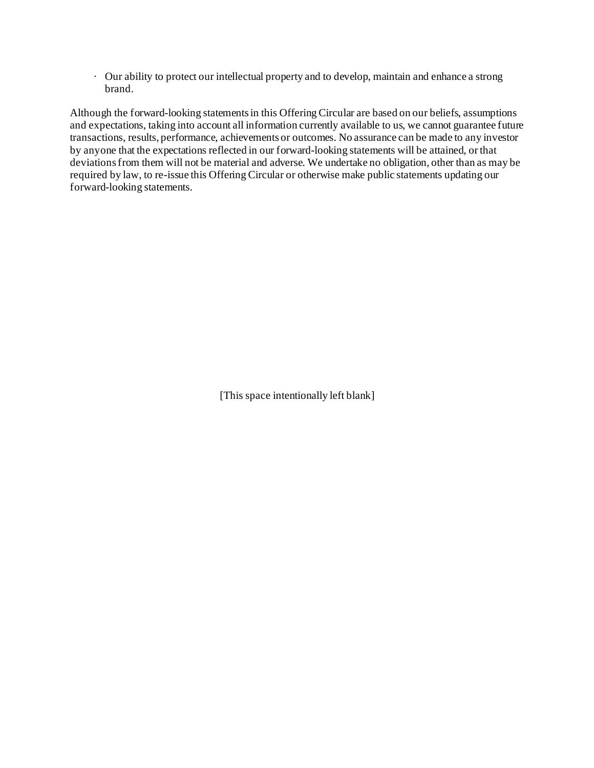· Our ability to protect our intellectual property and to develop, maintain and enhance a strong brand.

Although the forward-looking statements in this Offering Circular are based on our beliefs, assumptions and expectations, taking into account all information currently available to us, we cannot guarantee future transactions, results, performance, achievements or outcomes. No assurance can be made to any investor by anyone that the expectations reflected in our forward-looking statements will be attained, orthat deviations from them will not be material and adverse. We undertake no obligation, other than as may be required by law, to re-issue this Offering Circular or otherwise make public statements updating our forward-looking statements.

[This space intentionally left blank]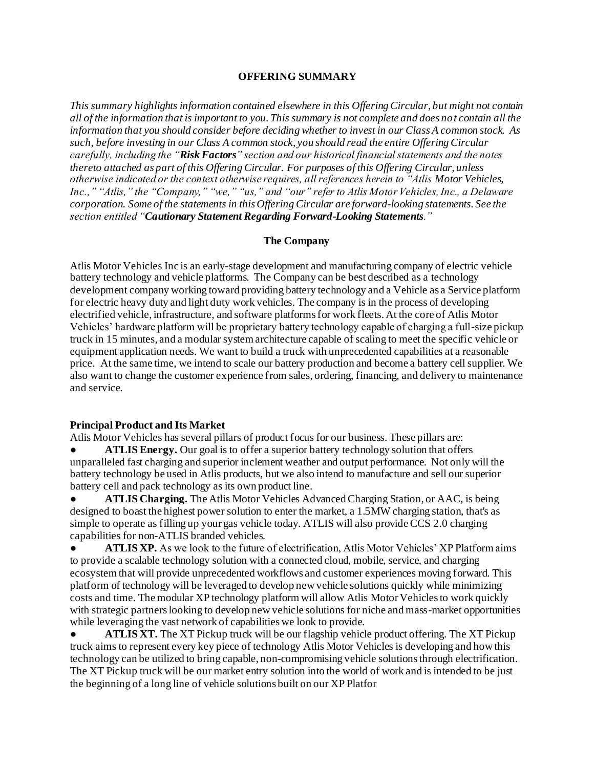#### **OFFERING SUMMARY**

*This summary highlights information contained elsewhere in this Offering Circular, but might not contain all of the information that is important to you. This summary is not complete and does not contain all the information that you should consider before deciding whether to invest in our Class A common stock. As such, before investing in our Class A common stock, you should read the entire Offering Circular carefully, including the "Risk Factors" section and our historical financial statements and the notes thereto attached as part of this Offering Circular. For purposes of this Offering Circular, unless otherwise indicated or the context otherwise requires, all references herein to "Atlis Motor Vehicles, Inc.," "Atlis," the "Company," "we," "us," and "our" refer to Atlis Motor Vehicles, Inc., a Delaware corporation. Some of the statements in this Offering Circular are forward-looking statements. See the section entitled "Cautionary Statement Regarding Forward-Looking Statements."*

#### **The Company**

Atlis Motor Vehicles Inc is an early-stage development and manufacturing company of electric vehicle battery technology and vehicle platforms. The Company can be best described as a technology development company working toward providing battery technology and a Vehicle as a Service platform for electric heavy duty and light duty work vehicles. The company is in the process of developing electrified vehicle, infrastructure, and software platforms for work fleets. At the core of Atlis Motor Vehicles' hardware platform will be proprietary battery technology capable of charging a full-size pickup truck in 15 minutes, and a modular system architecture capable of scaling to meet the specific vehicle or equipment application needs. We want to build a truck with unprecedented capabilities at a reasonable price. At the same time, we intend to scale our battery production and become a battery cell supplier. We also want to change the customer experience from sales, ordering, financing, and delivery to maintenance and service.

#### **Principal Product and Its Market**

Atlis Motor Vehicles has several pillars of product focus for our business. These pillars are:

**ATLIS Energy.** Our goal is to offer a superior battery technology solution that offers unparalleled fast charging and superior inclement weather and output performance. Not only will the battery technology be used in Atlis products, but we also intend to manufacture and sell our superior battery cell and pack technology as its own product line.

**ATLIS Charging.** The Atlis Motor Vehicles Advanced Charging Station, or AAC, is being designed to boast the highest power solution to enter the market, a 1.5MW charging station, that's as simple to operate as filling up your gas vehicle today. ATLIS will also provide CCS 2.0 charging capabilities for non-ATLIS branded vehicles.

ATLIS XP. As we look to the future of electrification, Atlis Motor Vehicles' XP Platform aims to provide a scalable technology solution with a connected cloud, mobile, service, and charging ecosystem that will provide unprecedented workflows and customer experiences moving forward. This platform of technology will be leveraged to develop new vehicle solutions quickly while minimizing costs and time. The modular XP technology platform will allow Atlis Motor Vehicles to work quickly with strategic partners looking to develop new vehicle solutions for niche and mass-market opportunities while leveraging the vast network of capabilities we look to provide.

ATLIS XT. The XT Pickup truck will be our flagship vehicle product offering. The XT Pickup truck aims to represent every key piece of technology Atlis Motor Vehicles is developing and how this technology can be utilized to bring capable, non-compromising vehicle solutions through electrification. The XT Pickup truck will be our market entry solution into the world of work and is intended to be just the beginning of a long line of vehicle solutions built on our XP Platfor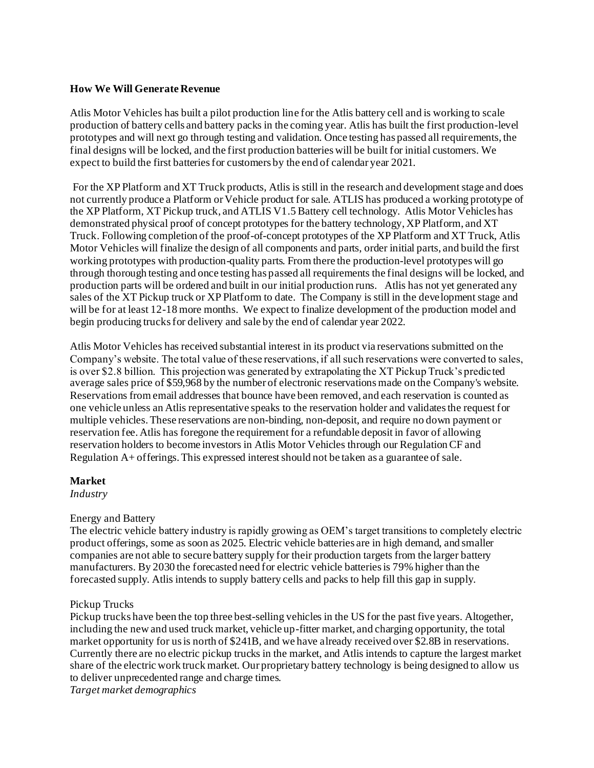#### **How We Will Generate Revenue**

Atlis Motor Vehicles has built a pilot production line for the Atlis battery cell and is working to scale production of battery cells and battery packs in the coming year. Atlis has built the first production-level prototypes and will next go through testing and validation. Once testing has passed all requirements, the final designs will be locked, and the first production batteries will be built for initial customers. We expect to build the first batteries for customers by the end of calendar year 2021.

For the XP Platform and XT Truck products, Atlis is still in the research and development stage and does not currently produce a Platform or Vehicle product for sale. ATLIS has produced a working prototype of the XP Platform, XT Pickup truck, and ATLIS V1.5 Battery cell technology. Atlis Motor Vehicles has demonstrated physical proof of concept prototypes for the battery technology, XP Platform, and XT Truck. Following completion of the proof-of-concept prototypes of the XP Platform and XT Truck, Atlis Motor Vehicles will finalize the design of all components and parts, order initial parts, and build the first working prototypes with production-quality parts. From there the production-level prototypes will go through thorough testing and once testing has passed all requirements the final designs will be locked, and production parts will be ordered and built in our initial production runs. Atlis has not yet generated any sales of the XT Pickup truck or XP Platform to date. The Company is still in the development stage and will be for at least 12-18 more months. We expect to finalize development of the production model and begin producing trucks for delivery and sale by the end of calendar year 2022.

Atlis Motor Vehicles has received substantial interest in its product via reservations submitted on the Company's website. The total value of these reservations, if all such reservations were converted to sales, is over \$2.8 billion. This projection was generated by extrapolating the XT Pickup Truck's predicted average sales price of \$59,968 by the number of electronic reservations made on the Company's website. Reservations from email addresses that bounce have been removed, and each reservation is counted as one vehicle unless an Atlis representative speaks to the reservation holder and validates the request for multiple vehicles. These reservations are non-binding, non-deposit, and require no down payment or reservation fee. Atlis has foregone the requirement for a refundable deposit in favor of allowing reservation holders to become investors in Atlis Motor Vehicles through our Regulation CF and Regulation A+ offerings. This expressed interest should not be taken as a guarantee of sale.

#### **Market**

*Industry*

#### Energy and Battery

The electric vehicle battery industry is rapidly growing as OEM's target transitions to completely electric product offerings, some as soon as 2025. Electric vehicle batteries are in high demand, and smaller companies are not able to secure battery supply for their production targets from the larger battery manufacturers. By 2030 the forecasted need for electric vehicle batteries is 79% higher than the forecasted supply. Atlis intends to supply battery cells and packs to help fill this gap in supply.

#### Pickup Trucks

Pickup trucks have been the top three best-selling vehicles in the US for the past five years. Altogether, including the new and used truck market, vehicle up-fitter market, and charging opportunity, the total market opportunity for us is north of \$241B, and we have already received over \$2.8B in reservations. Currently there are no electric pickup trucks in the market, and Atlis intends to capture the largest market share of the electric work truck market. Our proprietary battery technology is being designed to allow us to deliver unprecedented range and charge times.

*Target market demographics*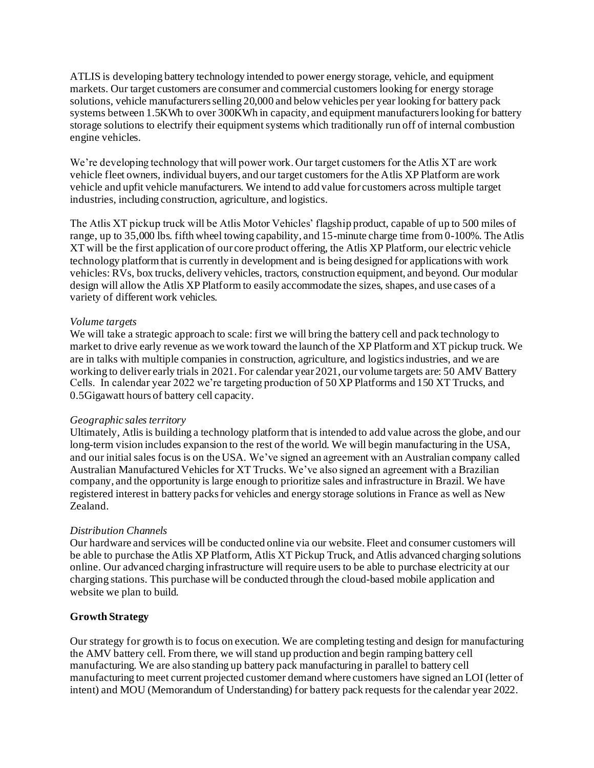ATLIS is developing battery technology intended to power energy storage, vehicle, and equipment markets. Our target customers are consumer and commercial customers looking for energy storage solutions, vehicle manufacturers selling 20,000 and below vehicles per year looking for battery pack systems between 1.5KWh to over 300KWh in capacity, and equipment manufacturers looking for battery storage solutions to electrify their equipment systems which traditionally run off of internal combustion engine vehicles.

We're developing technology that will power work. Our target customers for the Atlis XT are work vehicle fleet owners, individual buyers, and our target customers for the Atlis XP Platform are work vehicle and upfit vehicle manufacturers. We intend to add value for customers across multiple target industries, including construction, agriculture, and logistics.

The Atlis XT pickup truck will be Atlis Motor Vehicles' flagship product, capable of up to 500 miles of range, up to  $35,000$  lbs. fifth wheel towing capability, and 15-minute charge time from 0-100%. The Atlis XT will be the first application of our core product offering, the Atlis XP Platform, our electric vehicle technology platform that is currently in development and is being designed for applications with work vehicles: RVs, box trucks, delivery vehicles, tractors, construction equipment, and beyond. Our modular design will allow the Atlis XP Platform to easily accommodate the sizes, shapes, and use cases of a variety of different work vehicles.

#### *Volume targets*

We will take a strategic approach to scale: first we will bring the battery cell and pack technology to market to drive early revenue as we work toward the launch of the XP Platform and XT pickup truck. We are in talks with multiple companies in construction, agriculture, and logistics industries, and we are working to deliver early trials in 2021. For calendar year 2021, our volume targets are: 50 AMV Battery Cells. In calendar year 2022 we're targeting production of 50 XP Platforms and 150 XT Trucks, and 0.5Gigawatt hours of battery cell capacity.

#### *Geographic sales territory*

Ultimately, Atlis is building a technology platform that is intended to add value across the globe, and our long-term vision includes expansion to the rest of the world. We will begin manufacturing in the USA, and our initial sales focus is on the USA. We've signed an agreement with an Australian company called Australian Manufactured Vehicles for XT Trucks. We've also signed an agreement with a Brazilian company, and the opportunity is large enough to prioritize sales and infrastructure in Brazil. We have registered interest in battery packs for vehicles and energy storage solutions in France as well as New Zealand.

#### *Distribution Channels*

Our hardware and services will be conducted online via our website. Fleet and consumer customers will be able to purchase the Atlis XP Platform, Atlis XT Pickup Truck, and Atlis advanced charging solutions online. Our advanced charging infrastructure will require users to be able to purchase electricity at our charging stations. This purchase will be conducted through the cloud-based mobile application and website we plan to build.

#### **Growth Strategy**

Our strategy for growth is to focus on execution. We are completing testing and design for manufacturing the AMV battery cell. From there, we will stand up production and begin ramping battery cell manufacturing. We are also standing up battery pack manufacturing in parallel to battery cell manufacturing to meet current projected customer demand where customers have signed an LOI (letter of intent) and MOU (Memorandum of Understanding) for battery pack requests for the calendar year 2022.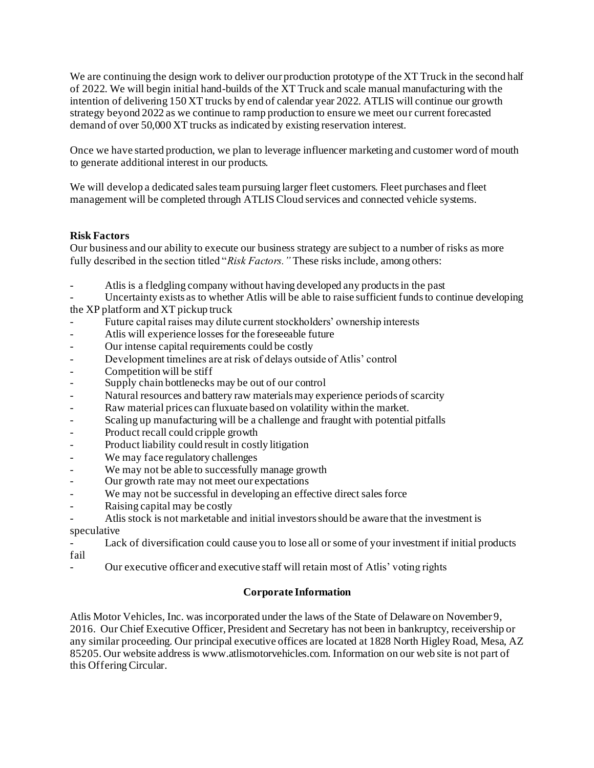We are continuing the design work to deliver our production prototype of the XT Truck in the second half of 2022. We will begin initial hand-builds of the XT Truck and scale manual manufacturing with the intention of delivering 150 XT trucks by end of calendar year 2022. ATLIS will continue our growth strategy beyond 2022 as we continue to ramp production to ensure we meet our current forecasted demand of over 50,000 XT trucks as indicated by existing reservation interest.

Once we have started production, we plan to leverage influencer marketing and customer word of mouth to generate additional interest in our products.

We will develop a dedicated sales team pursuing larger fleet customers. Fleet purchases and fleet management will be completed through ATLIS Cloud services and connected vehicle systems.

#### **Risk Factors**

Our business and our ability to execute our business strategy are subject to a number of risks as more fully described in the section titled "*Risk Factors."* These risks include, among others:

Atlis is a fledgling company without having developed any products in the past

Uncertainty exists as to whether Atlis will be able to raise sufficient funds to continue developing the XP platform and XT pickup truck

- Future capital raises may dilute current stockholders' ownership interests
- Atlis will experience losses for the foreseeable future
- Our intense capital requirements could be costly
- Development timelines are at risk of delays outside of Atlis' control
- Competition will be stiff
- Supply chain bottlenecks may be out of our control
- Natural resources and battery raw materials may experience periods of scarcity
- Raw material prices can fluxuate based on volatility within the market.
- Scaling up manufacturing will be a challenge and fraught with potential pitfalls
- Product recall could cripple growth
- Product liability could result in costly litigation
- We may face regulatory challenges
- We may not be able to successfully manage growth
- Our growth rate may not meet our expectations
- We may not be successful in developing an effective direct sales force
- Raising capital may be costly
- Atlis stock is not marketable and initial investors should be aware that the investment is speculative

Lack of diversification could cause you to lose all or some of your investment if initial products fail

- Our executive officer and executive staff will retain most of Atlis' voting rights

# **Corporate Information**

Atlis Motor Vehicles, Inc. was incorporated under the laws of the State of Delaware on November 9, 2016. Our Chief Executive Officer, President and Secretary has not been in bankruptcy, receivership or any similar proceeding. Our principal executive offices are located at 1828 North Higley Road, Mesa, AZ 85205. Our website address is www.atlismotorvehicles.com. Information on our web site is not part of this Offering Circular.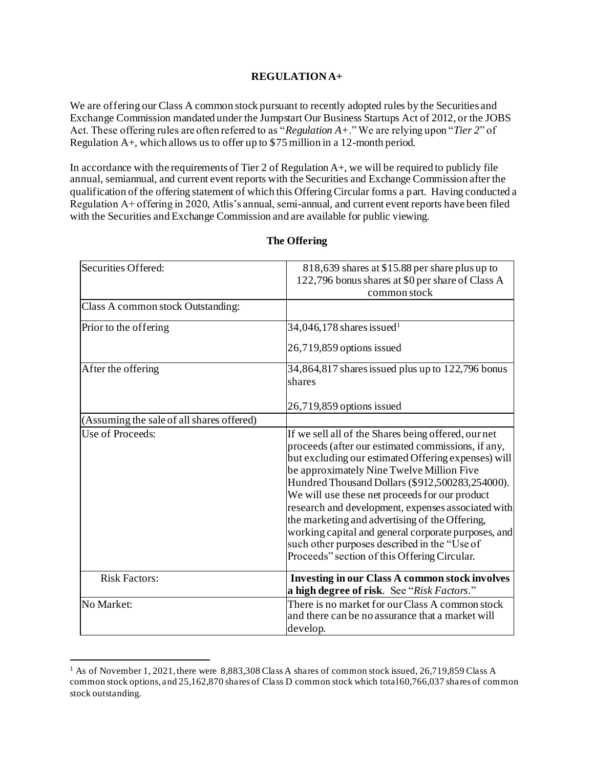#### **REGULATION A+**

We are offering our Class A common stock pursuant to recently adopted rules by the Securities and Exchange Commission mandated under the Jumpstart Our Business Startups Act of 2012, or the JOBS Act. These offering rules are often referred to as "*Regulation A+*." We are relying upon "*Tier 2*" of Regulation A+, which allows us to offer up to \$75 million in a 12-month period.

In accordance with the requirements of Tier 2 of Regulation A+, we will be required to publicly file annual, semiannual, and current event reports with the Securities and Exchange Commission after the qualification of the offering statement of which this Offering Circular forms a part. Having conducted a Regulation A+ offering in 2020, Atlis's annual, semi-annual, and current event reports have been filed with the Securities and Exchange Commission and are available for public viewing.

| Securities Offered:                       | 818,639 shares at \$15.88 per share plus up to<br>122,796 bonus shares at \$0 per share of Class A<br>common stock                                                                                                                                                                                                                                                                                                                                                                                                                                                                |  |
|-------------------------------------------|-----------------------------------------------------------------------------------------------------------------------------------------------------------------------------------------------------------------------------------------------------------------------------------------------------------------------------------------------------------------------------------------------------------------------------------------------------------------------------------------------------------------------------------------------------------------------------------|--|
| Class A common stock Outstanding:         |                                                                                                                                                                                                                                                                                                                                                                                                                                                                                                                                                                                   |  |
| Prior to the offering                     | $34,046,178$ shares issued <sup>1</sup>                                                                                                                                                                                                                                                                                                                                                                                                                                                                                                                                           |  |
|                                           | 26,719,859 options issued                                                                                                                                                                                                                                                                                                                                                                                                                                                                                                                                                         |  |
| After the offering                        | 34,864,817 shares issued plus up to 122,796 bonus<br>shares                                                                                                                                                                                                                                                                                                                                                                                                                                                                                                                       |  |
|                                           | 26,719,859 options issued                                                                                                                                                                                                                                                                                                                                                                                                                                                                                                                                                         |  |
| (Assuming the sale of all shares offered) |                                                                                                                                                                                                                                                                                                                                                                                                                                                                                                                                                                                   |  |
| Use of Proceeds:                          | If we sell all of the Shares being offered, our net<br>proceeds (after our estimated commissions, if any,<br>but excluding our estimated Offering expenses) will<br>be approximately Nine Twelve Million Five<br>Hundred Thousand Dollars (\$912,500283,254000).<br>We will use these net proceeds for our product<br>research and development, expenses associated with<br>the marketing and advertising of the Offering,<br>working capital and general corporate purposes, and<br>such other purposes described in the "Use of<br>Proceeds" section of this Offering Circular. |  |
| <b>Risk Factors:</b>                      | <b>Investing in our Class A common stock involves</b><br>a high degree of risk. See "Risk Factors."                                                                                                                                                                                                                                                                                                                                                                                                                                                                               |  |
| No Market:                                | There is no market for our Class A common stock<br>and there can be no assurance that a market will<br>develop.                                                                                                                                                                                                                                                                                                                                                                                                                                                                   |  |

#### **The Offering**

<sup>1</sup> As of November 1, 2021, there were 8,883,308 Class A shares of common stock issued, 26,719,859 Class A common stock options, and 25,162,870 shares of Class D common stock which total 60,766,037 shares of common stock outstanding.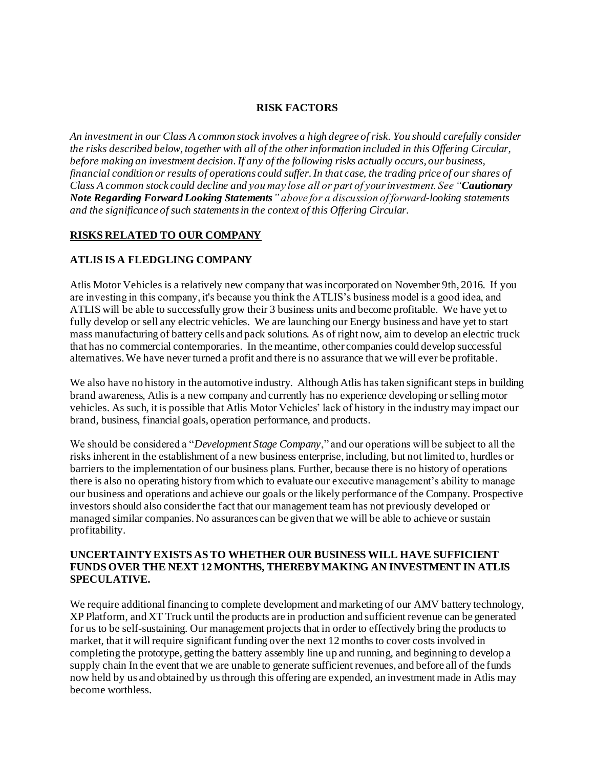#### **RISK FACTORS**

*An investment in our Class A common stock involves a high degree of risk. You should carefully consider the risks described below, together with all of the other information included in this Offering Circular, before making an investment decision. If any of the following risks actually occurs, our business, financial condition or results of operations could suffer. In that case, the trading price of our shares of Class A common stock could decline and you may lose all or part of your investment. See "Cautionary Note Regarding Forward Looking Statements" above for a discussion of forward-looking statements and the significance of such statements in the context of this Offering Circular.*

#### **RISKS RELATED TO OUR COMPANY**

#### **ATLIS IS A FLEDGLING COMPANY**

Atlis Motor Vehicles is a relatively new company that was incorporated on November 9th, 2016. If you are investing in this company, it's because you think the ATLIS's business model is a good idea, and ATLIS will be able to successfully grow their 3 business units and become profitable. We have yet to fully develop or sell any electric vehicles. We are launching our Energy business and have yet to start mass manufacturing of battery cells and pack solutions. As of right now, aim to develop an electric truck that has no commercial contemporaries. In the meantime, other companies could develop successful alternatives. We have never turned a profit and there is no assurance that we will ever be profitable.

We also have no history in the automotive industry. Although Atlis has taken significant steps in building brand awareness, Atlis is a new company and currently has no experience developing or selling motor vehicles. As such, it is possible that Atlis Motor Vehicles' lack of history in the industry may impact our brand, business, financial goals, operation performance, and products.

We should be considered a "*Development Stage Company*," and our operations will be subject to all the risks inherent in the establishment of a new business enterprise, including, but not limited to, hurdles or barriers to the implementation of our business plans. Further, because there is no history of operations there is also no operating history from which to evaluate our executive management's ability to manage our business and operations and achieve our goals or the likely performance of the Company. Prospective investors should also consider the fact that our management team has not previously developed or managed similar companies. No assurances can be given that we will be able to achieve or sustain profitability.

#### **UNCERTAINTY EXISTS AS TO WHETHER OUR BUSINESS WILL HAVE SUFFICIENT FUNDS OVER THE NEXT 12 MONTHS, THEREBY MAKING AN INVESTMENT IN ATLIS SPECULATIVE.**

We require additional financing to complete development and marketing of our AMV battery technology, XP Platform, and XT Truck until the products are in production and sufficient revenue can be generated for us to be self-sustaining. Our management projects that in order to effectively bring the products to market, that it will require significant funding over the next 12 months to cover costs involved in completing the prototype, getting the battery assembly line up and running, and beginning to develop a supply chain In the event that we are unable to generate sufficient revenues, and before all of the funds now held by us and obtained by us through this offering are expended, an investment made in Atlis may become worthless.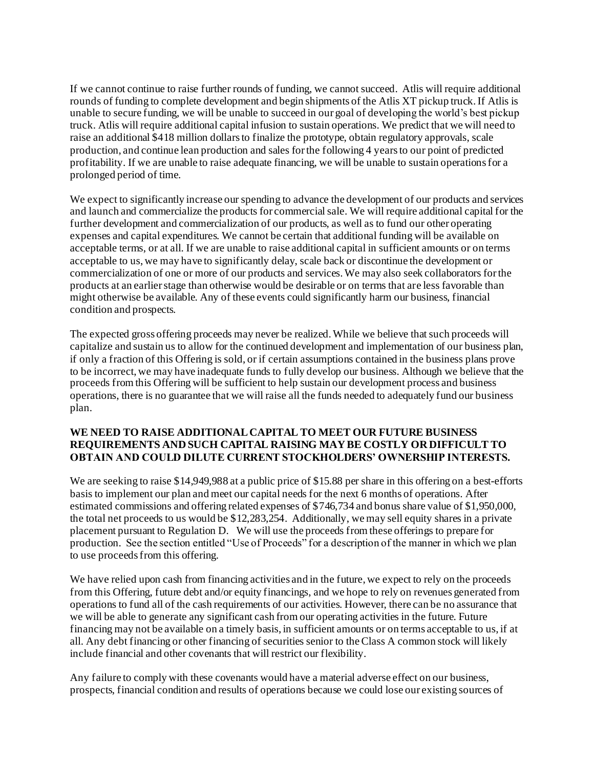If we cannot continue to raise further rounds of funding, we cannot succeed. Atlis will require additional rounds of funding to complete development and begin shipments of the Atlis XT pickup truck. If Atlis is unable to secure funding, we will be unable to succeed in our goal of developing the world's best pickup truck. Atlis will require additional capital infusion to sustain operations. We predict that we will need to raise an additional \$418 million dollars to finalize the prototype, obtain regulatory approvals, scale production, and continue lean production and sales for the following 4 years to our point of predicted profitability. If we are unable to raise adequate financing, we will be unable to sustain operations for a prolonged period of time.

We expect to significantly increase our spending to advance the development of our products and services and launch and commercialize the products for commercial sale. We will require additional capital for the further development and commercialization of our products, as well as to fund our other operating expenses and capital expenditures. We cannot be certain that additional funding will be available on acceptable terms, or at all. If we are unable to raise additional capital in sufficient amounts or on terms acceptable to us, we may have to significantly delay, scale back or discontinue the development or commercialization of one or more of our products and services. We may also seek collaborators for the products at an earlier stage than otherwise would be desirable or on terms that are less favorable than might otherwise be available. Any of these events could significantly harm our business, financial condition and prospects.

The expected gross offering proceeds may never be realized. While we believe that such proceeds will capitalize and sustain us to allow for the continued development and implementation of our business plan, if only a fraction of this Offering is sold, or if certain assumptions contained in the business plans prove to be incorrect, we may have inadequate funds to fully develop our business. Although we believe that the proceeds from this Offering will be sufficient to help sustain our development process and business operations, there is no guarantee that we will raise all the funds needed to adequately fund our business plan.

#### **WE NEED TO RAISE ADDITIONAL CAPITAL TO MEET OUR FUTURE BUSINESS REQUIREMENTS AND SUCH CAPITAL RAISING MAY BE COSTLY OR DIFFICULT TO OBTAIN AND COULD DILUTE CURRENT STOCKHOLDERS' OWNERSHIP INTERESTS.**

We are seeking to raise \$14,949,988 at a public price of \$15.88 per share in this offering on a best-efforts basis to implement our plan and meet our capital needs for the next 6 months of operations. After estimated commissions and offering related expenses of \$746,734 and bonus share value of \$1,950,000, the total net proceeds to us would be \$12,283,254. Additionally, we may sell equity shares in a private placement pursuant to Regulation D. We will use the proceeds from these offerings to prepare for production. See the section entitled "Use of Proceeds" for a description of the manner in which we plan to use proceeds from this offering.

We have relied upon cash from financing activities and in the future, we expect to rely on the proceeds from this Offering, future debt and/or equity financings, and we hope to rely on revenues generated from operations to fund all of the cash requirements of our activities. However, there can be no assurance that we will be able to generate any significant cash from our operating activities in the future. Future financing may not be available on a timely basis, in sufficient amounts or on terms acceptable to us, if at all. Any debt financing or other financing of securities senior to the Class A common stock will likely include financial and other covenants that will restrict our flexibility.

Any failure to comply with these covenants would have a material adverse effect on our business, prospects, financial condition and results of operations because we could lose our existing sources of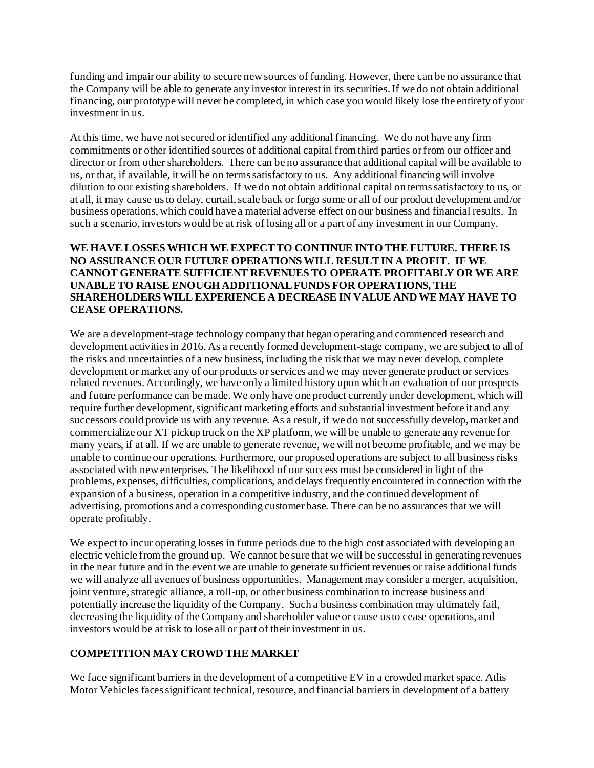funding and impair our ability to secure new sources of funding. However, there can be no assurance that the Company will be able to generate any investor interest in its securities. If we do not obtain additional financing, our prototype will never be completed, in which case you would likely lose the entirety of your investment in us.

At this time, we have not secured or identified any additional financing. We do not have any firm commitments or other identified sources of additional capital from third parties or from our officer and director or from other shareholders. There can be no assurance that additional capital will be available to us, or that, if available, it will be on terms satisfactory to us. Any additional financing will involve dilution to our existing shareholders. If we do not obtain additional capital on terms satisfactory to us, or at all, it may cause us to delay, curtail, scale back or forgo some or all of our product development and/or business operations, which could have a material adverse effect on our business and financial results. In such a scenario, investors would be at risk of losing all or a part of any investment in our Company.

## **WE HAVE LOSSES WHICH WE EXPECT TO CONTINUE INTO THE FUTURE. THERE IS NO ASSURANCE OUR FUTURE OPERATIONS WILL RESULT IN A PROFIT. IF WE CANNOT GENERATE SUFFICIENT REVENUES TO OPERATE PROFITABLY OR WE ARE UNABLE TO RAISE ENOUGH ADDITIONAL FUNDS FOR OPERATIONS, THE SHAREHOLDERS WILL EXPERIENCE A DECREASE IN VALUE AND WE MAY HAVE TO CEASE OPERATIONS.**

We are a development-stage technology company that began operating and commenced research and development activities in 2016. As a recently formed development-stage company, we are subject to all of the risks and uncertainties of a new business, including the risk that we may never develop, complete development or market any of our products or services and we may never generate product or services related revenues. Accordingly, we have only a limited history upon which an evaluation of our prospects and future performance can be made. We only have one product currently under development, which will require further development, significant marketing efforts and substantial investment before it and any successors could provide us with any revenue. As a result, if we do not successfully develop, market and commercialize our XT pickup truck on the XP platform, we will be unable to generate any revenue for many years, if at all. If we are unable to generate revenue, we will not become profitable, and we may be unable to continue our operations. Furthermore, our proposed operations are subject to all business risks associated with new enterprises. The likelihood of our success must be considered in light of the problems, expenses, difficulties, complications, and delays frequently encountered in connection with the expansion of a business, operation in a competitive industry, and the continued development of advertising, promotions and a corresponding customer base. There can be no assurances that we will operate profitably.

We expect to incur operating losses in future periods due to the high cost associated with developing an electric vehicle from the ground up. We cannot be sure that we will be successful in generating revenues in the near future and in the event we are unable to generate sufficient revenues or raise additional funds we will analyze all avenues of business opportunities. Management may consider a merger, acquisition, joint venture, strategic alliance, a roll-up, or other business combination to increase business and potentially increase the liquidity of the Company. Such a business combination may ultimately fail, decreasing the liquidity of the Company and shareholder value or cause us to cease operations, and investors would be at risk to lose all or part of their investment in us.

# **COMPETITION MAY CROWD THE MARKET**

We face significant barriers in the development of a competitive EV in a crowded market space. At is Motor Vehicles faces significant technical, resource, and financial barriers in development of a battery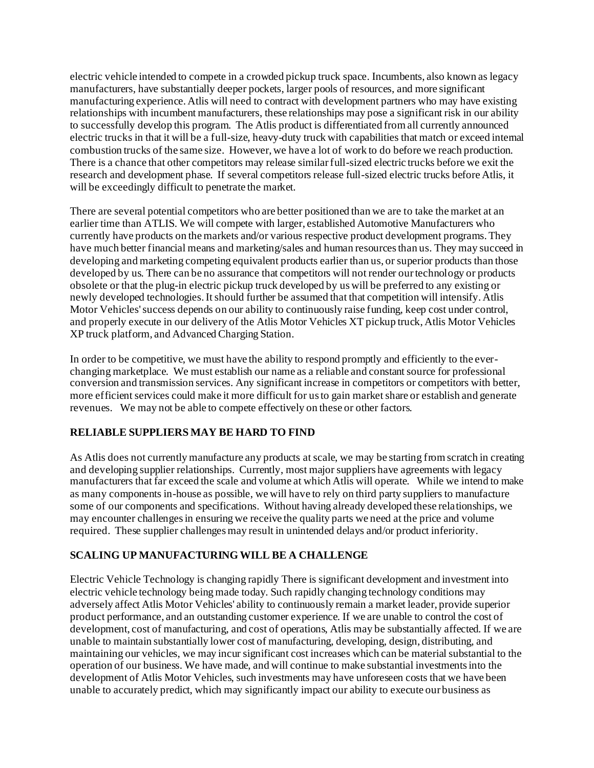electric vehicle intended to compete in a crowded pickup truck space. Incumbents, also known as legacy manufacturers, have substantially deeper pockets, larger pools of resources, and more significant manufacturing experience. Atlis will need to contract with development partners who may have existing relationships with incumbent manufacturers, these relationships may pose a significant risk in our ability to successfully develop this program. The Atlis product is differentiated from all currently announced electric trucks in that it will be a full-size, heavy-duty truck with capabilities that match or exceed internal combustion trucks of the same size. However, we have a lot of work to do before we reach production. There is a chance that other competitors may release similar full-sized electric trucks before we exit the research and development phase. If several competitors release full-sized electric trucks before Atlis, it will be exceedingly difficult to penetrate the market.

There are several potential competitors who are better positioned than we are to take the market at an earlier time than ATLIS. We will compete with larger, established Automotive Manufacturers who currently have products on the markets and/or various respective product development programs. They have much better financial means and marketing/sales and human resources than us. They may succeed in developing and marketing competing equivalent products earlier than us, or superior products than those developed by us. There can be no assurance that competitors will not render our technology or products obsolete or that the plug-in electric pickup truck developed by us will be preferred to any existing or newly developed technologies. It should further be assumed that that competition will intensify. Atlis Motor Vehicles' success depends on our ability to continuously raise funding, keep cost under control, and properly execute in our delivery of the Atlis Motor Vehicles XT pickup truck, Atlis Motor Vehicles XP truck platform, and Advanced Charging Station.

In order to be competitive, we must have the ability to respond promptly and efficiently to the everchanging marketplace. We must establish our name as a reliable and constant source for professional conversion and transmission services. Any significant increase in competitors or competitors with better, more efficient services could make it more difficult for us to gain market share or establish and generate revenues.We may not be able to compete effectively on these or other factors.

# **RELIABLE SUPPLIERS MAY BE HARD TO FIND**

As Atlis does not currently manufacture any products at scale, we may be starting from scratch in creating and developing supplier relationships. Currently, most major suppliers have agreements with legacy manufacturers that far exceed the scale and volume at which Atlis will operate. While we intend to make as many components in-house as possible, we will have to rely on third party suppliers to manufacture some of our components and specifications. Without having already developed these relationships, we may encounter challenges in ensuring we receive the quality parts we need at the price and volume required. These supplier challenges may result in unintended delays and/or product inferiority.

# **SCALING UP MANUFACTURING WILL BE A CHALLENGE**

Electric Vehicle Technology is changing rapidly There is significant development and investment into electric vehicle technology being made today. Such rapidly changing technology conditions may adversely affect Atlis Motor Vehicles' ability to continuously remain a market leader, provide superior product performance, and an outstanding customer experience. If we are unable to control the cost of development, cost of manufacturing, and cost of operations, Atlis may be substantially affected. If we are unable to maintain substantially lower cost of manufacturing, developing, design, distributing, and maintaining our vehicles, we may incur significant cost increases which can be material substantial to the operation of our business. We have made, and will continue to make substantial investments into the development of Atlis Motor Vehicles, such investments may have unforeseen costs that we have been unable to accurately predict, which may significantly impact our ability to execute our business as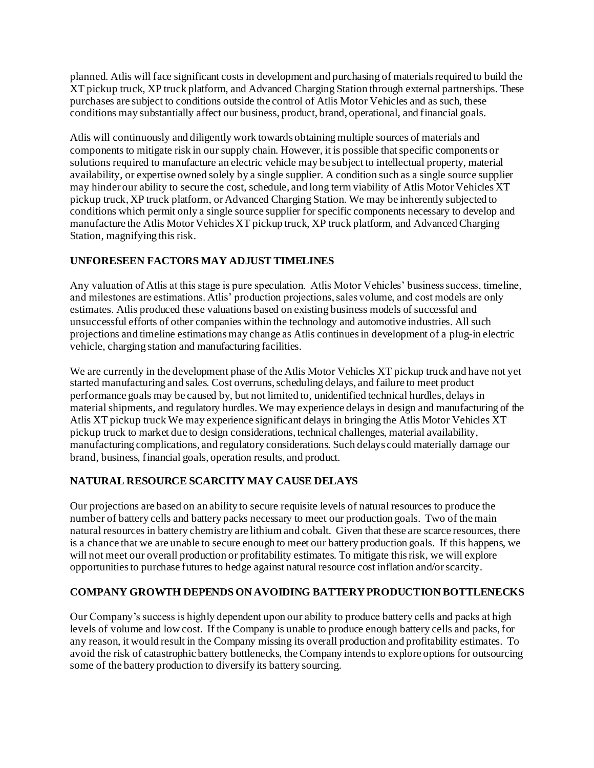planned. Atlis will face significant costs in development and purchasing of materials required to build the XT pickup truck, XP truck platform, and Advanced Charging Station through external partnerships. These purchases are subject to conditions outside the control of Atlis Motor Vehicles and as such, these conditions may substantially affect our business, product, brand, operational, and financial goals.

Atlis will continuously and diligently work towards obtaining multiple sources of materials and components to mitigate risk in our supply chain. However, it is possible that specific components or solutions required to manufacture an electric vehicle may be subject to intellectual property, material availability, or expertise owned solely by a single supplier. A condition such as a single source supplier may hinder our ability to secure the cost, schedule, and long term viability of Atlis Motor Vehicles XT pickup truck, XP truck platform, or Advanced Charging Station. We may be inherently subjected to conditions which permit only a single source supplier for specific components necessary to develop and manufacture the Atlis Motor Vehicles XT pickup truck, XP truck platform, and Advanced Charging Station, magnifying this risk.

# **UNFORESEEN FACTORS MAY ADJUST TIMELINES**

Any valuation of Atlis at this stage is pure speculation. Atlis Motor Vehicles' business success, timeline, and milestones are estimations. Atlis' production projections, sales volume, and cost models are only estimates. Atlis produced these valuations based on existing business models of successful and unsuccessful efforts of other companies within the technology and automotive industries. All such projections and timeline estimations may change as Atlis continues in development of a plug-in electric vehicle, charging station and manufacturing facilities.

We are currently in the development phase of the Atlis Motor Vehicles XT pickup truck and have not yet started manufacturing and sales. Cost overruns, scheduling delays, and failure to meet product performance goals may be caused by, but not limited to, unidentified technical hurdles, delays in material shipments, and regulatory hurdles. We may experience delays in design and manufacturing of the Atlis XT pickup truck We may experience significant delays in bringing the Atlis Motor Vehicles XT pickup truck to market due to design considerations, technical challenges, material availability, manufacturing complications, and regulatory considerations. Such delays could materially damage our brand, business, financial goals, operation results, and product.

# **NATURAL RESOURCE SCARCITY MAY CAUSE DELAYS**

Our projections are based on an ability to secure requisite levels of natural resources to produce the number of battery cells and battery packs necessary to meet our production goals. Two of the main natural resources in battery chemistry are lithium and cobalt. Given that these are scarce resources, there is a chance that we are unable to secure enough to meet our battery production goals. If this happens, we will not meet our overall production or profitability estimates. To mitigate this risk, we will explore opportunities to purchase futures to hedge against natural resource cost inflation and/or scarcity.

# **COMPANY GROWTH DEPENDS ON AVOIDING BATTERY PRODUCTION BOTTLENECKS**

Our Company's success is highly dependent upon our ability to produce battery cells and packs at high levels of volume and low cost. If the Company is unable to produce enough battery cells and packs, for any reason, it would result in the Company missing its overall production and profitability estimates. To avoid the risk of catastrophic battery bottlenecks, the Company intends to explore options for outsourcing some of the battery production to diversify its battery sourcing.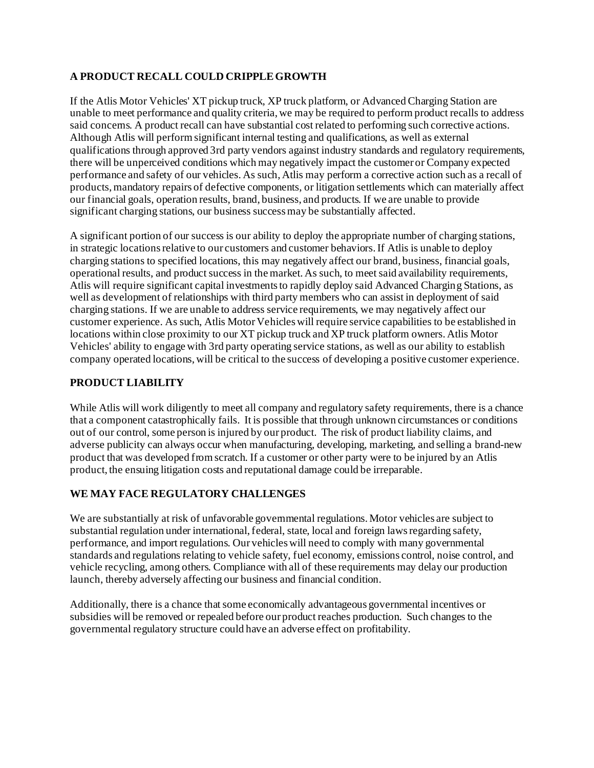# **A PRODUCT RECALL COULD CRIPPLE GROWTH**

If the Atlis Motor Vehicles' XT pickup truck, XP truck platform, or Advanced Charging Station are unable to meet performance and quality criteria, we may be required to perform product recalls to address said concerns. A product recall can have substantial cost related to performing such corrective actions. Although Atlis will perform significant internal testing and qualifications, as well as external qualifications through approved 3rd party vendors against industry standards and regulatory requirements, there will be unperceived conditions which may negatively impact the customer or Company expected performance and safety of our vehicles. As such, Atlis may perform a corrective action such as a recall of products, mandatory repairs of defective components, or litigation settlements which can materially affect our financial goals, operation results, brand, business, and products. If we are unable to provide significant charging stations, our business success may be substantially affected.

A significant portion of our success is our ability to deploy the appropriate number of charging stations, in strategic locations relative to our customers and customer behaviors. If Atlis is unable to deploy charging stations to specified locations, this may negatively affect our brand, business, financial goals, operational results, and product success in the market. As such, to meet said availability requirements, Atlis will require significant capital investments to rapidly deploy said Advanced Charging Stations, as well as development of relationships with third party members who can assist in deployment of said charging stations. If we are unable to address service requirements, we may negatively affect our customer experience. As such, Atlis Motor Vehicles will require service capabilities to be established in locations within close proximity to our XT pickup truck and XP truck platform owners. Atlis Motor Vehicles' ability to engage with 3rd party operating service stations, as well as our ability to establish company operated locations, will be critical to the success of developing a positive customer experience.

# **PRODUCT LIABILITY**

While Atlis will work diligently to meet all company and regulatory safety requirements, there is a chance that a component catastrophically fails. It is possible that through unknown circumstances or conditions out of our control, some person is injured by our product. The risk of product liability claims, and adverse publicity can always occur when manufacturing, developing, marketing, and selling a brand-new product that was developed from scratch. If a customer or other party were to be injured by an Atlis product, the ensuing litigation costs and reputational damage could be irreparable.

# **WE MAY FACE REGULATORY CHALLENGES**

We are substantially at risk of unfavorable governmental regulations. Motor vehicles are subject to substantial regulation under international, federal, state, local and foreign laws regarding safety, performance, and import regulations. Our vehicles will need to comply with many governmental standards and regulations relating to vehicle safety, fuel economy, emissions control, noise control, and vehicle recycling, among others. Compliance with all of these requirements may delay our production launch, thereby adversely affecting our business and financial condition.

Additionally, there is a chance that some economically advantageous governmental incentives or subsidies will be removed or repealed before our product reaches production. Such changes to the governmental regulatory structure could have an adverse effect on profitability.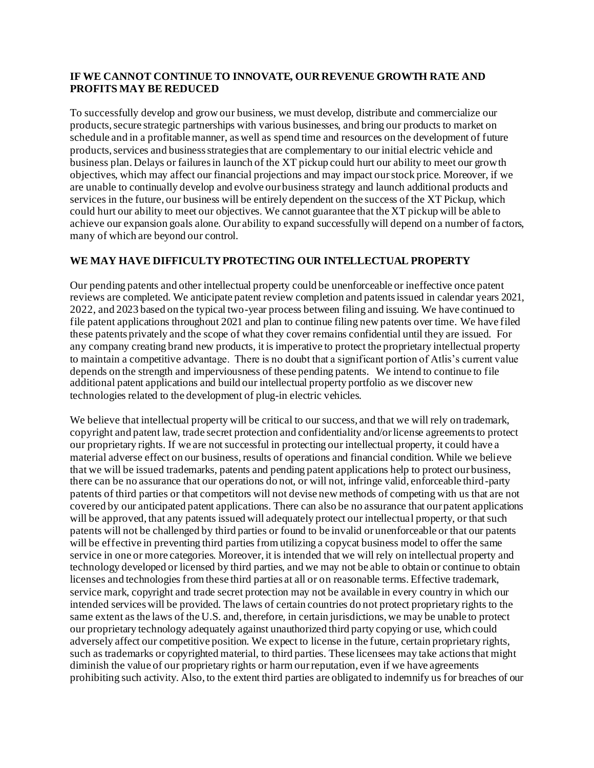#### **IF WE CANNOT CONTINUE TO INNOVATE, OUR REVENUE GROWTH RATE AND PROFITS MAY BE REDUCED**

To successfully develop and grow our business, we must develop, distribute and commercialize our products, secure strategic partnerships with various businesses, and bring our products to market on schedule and in a profitable manner, as well as spend time and resources on the development of future products, services and business strategies that are complementary to our initial electric vehicle and business plan. Delays or failures in launch of the XT pickup could hurt our ability to meet our growth objectives, which may affect our financial projections and may impact our stock price. Moreover, if we are unable to continually develop and evolve our business strategy and launch additional products and services in the future, our business will be entirely dependent on the success of the XT Pickup, which could hurt our ability to meet our objectives. We cannot guarantee that the XT pickup will be able to achieve our expansion goals alone. Our ability to expand successfully will depend on a number of factors, many of which are beyond our control.

# **WE MAY HAVE DIFFICULTY PROTECTING OUR INTELLECTUAL PROPERTY**

Our pending patents and other intellectual property could be unenforceable or ineffective once patent reviews are completed. We anticipate patent review completion and patents issued in calendar years 2021, 2022, and 2023 based on the typical two-year process between filing and issuing. We have continued to file patent applications throughout 2021 and plan to continue filing new patents over time. We have filed these patents privately and the scope of what they cover remains confidential until they are issued. For any company creating brand new products, it is imperative to protect the proprietary intellectual property to maintain a competitive advantage. There is no doubt that a significant portion of Atlis's current value depends on the strength and imperviousness of these pending patents. We intend to continue to file additional patent applications and build our intellectual property portfolio as we discover new technologies related to the development of plug-in electric vehicles.

We believe that intellectual property will be critical to our success, and that we will rely on trademark, copyright and patent law, trade secret protection and confidentiality and/or license agreements to protect our proprietary rights. If we are not successful in protecting our intellectual property, it could have a material adverse effect on our business, results of operations and financial condition. While we believe that we will be issued trademarks, patents and pending patent applications help to protect our business, there can be no assurance that our operations do not, or will not, infringe valid, enforceable third-party patents of third parties or that competitors will not devise new methods of competing with us that are not covered by our anticipated patent applications. There can also be no assurance that our patent applications will be approved, that any patents issued will adequately protect our intellectual property, or that such patents will not be challenged by third parties or found to be invalid or unenforceable or that our patents will be effective in preventing third parties from utilizing a copycat business model to offer the same service in one or more categories. Moreover, it is intended that we will rely on intellectual property and technology developed or licensed by third parties, and we may not be able to obtain or continue to obtain licenses and technologies from these third parties at all or on reasonable terms. Effective trademark, service mark, copyright and trade secret protection may not be available in every country in which our intended services will be provided. The laws of certain countries do not protect proprietary rights to the same extent as the laws of the U.S. and, therefore, in certain jurisdictions, we may be unable to protect our proprietary technology adequately against unauthorized third party copying or use, which could adversely affect our competitive position. We expect to license in the future, certain proprietary rights, such as trademarks or copyrighted material, to third parties. These licensees may take actions that might diminish the value of our proprietary rights or harm our reputation, even if we have agreements prohibiting such activity. Also, to the extent third parties are obligated to indemnify us for breaches of our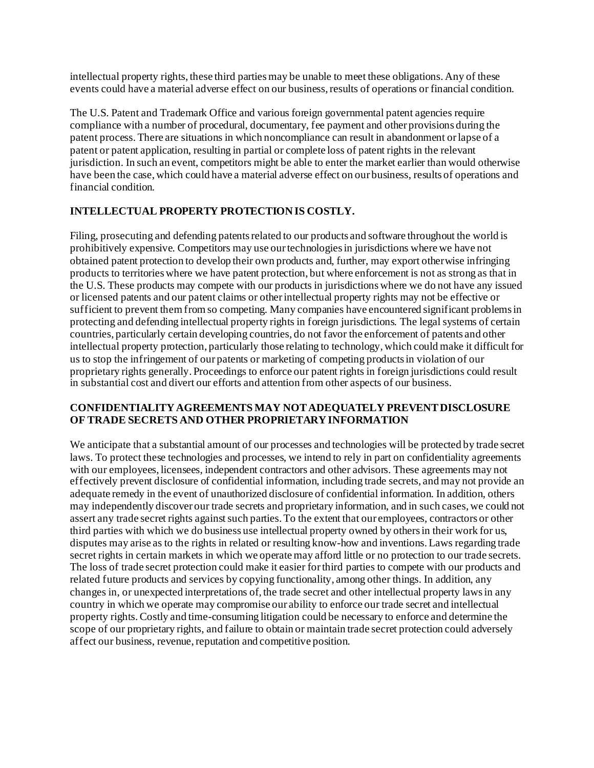intellectual property rights, these third parties may be unable to meet these obligations. Any of these events could have a material adverse effect on our business, results of operations or financial condition.

The U.S. Patent and Trademark Office and various foreign governmental patent agencies require compliance with a number of procedural, documentary, fee payment and other provisions during the patent process. There are situations in which noncompliance can result in abandonment or lapse of a patent or patent application, resulting in partial or complete loss of patent rights in the relevant jurisdiction. In such an event, competitors might be able to enter the market earlier than would otherwise have been the case, which could have a material adverse effect on our business, results of operations and financial condition.

# **INTELLECTUAL PROPERTY PROTECTION IS COSTLY***.*

Filing, prosecuting and defending patents related to our products and software throughout the world is prohibitively expensive. Competitors may use our technologies in jurisdictions where we have not obtained patent protection to develop their own products and, further, may export otherwise infringing products to territories where we have patent protection, but where enforcement is not as strong as that in the U.S. These products may compete with our products in jurisdictions where we do not have any issued or licensed patents and our patent claims or other intellectual property rights may not be effective or sufficient to prevent them from so competing. Many companies have encountered significant problems in protecting and defending intellectual property rights in foreign jurisdictions. The legal systems of certain countries, particularly certain developing countries, do not favor the enforcement of patents and other intellectual property protection, particularly those relating to technology, which could make it difficult for us to stop the infringement of our patents or marketing of competing products in violation of our proprietary rights generally. Proceedings to enforce our patent rights in foreign jurisdictions could result in substantial cost and divert our efforts and attention from other aspects of our business.

#### **CONFIDENTIALITY AGREEMENTS MAY NOT ADEQUATELY PREVENT DISCLOSURE OF TRADE SECRETS AND OTHER PROPRIETARY INFORMATION**

We anticipate that a substantial amount of our processes and technologies will be protected by trade secret laws. To protect these technologies and processes, we intend to rely in part on confidentiality agreements with our employees, licensees, independent contractors and other advisors. These agreements may not effectively prevent disclosure of confidential information, including trade secrets, and may not provide an adequate remedy in the event of unauthorized disclosure of confidential information. In addition, others may independently discover our trade secrets and proprietary information, and in such cases, we could not assert any trade secret rights against such parties. To the extent that our employees, contractors or other third parties with which we do business use intellectual property owned by others in their work for us, disputes may arise as to the rights in related or resulting know-how and inventions. Laws regarding trade secret rights in certain markets in which we operate may afford little or no protection to our trade secrets. The loss of trade secret protection could make it easier for third parties to compete with our products and related future products and services by copying functionality, among other things. In addition, any changes in, or unexpected interpretations of, the trade secret and other intellectual property laws in any country in which we operate may compromise our ability to enforce our trade secret and intellectual property rights. Costly and time-consuming litigation could be necessary to enforce and determine the scope of our proprietary rights, and failure to obtain or maintain trade secret protection could adversely affect our business, revenue, reputation and competitive position.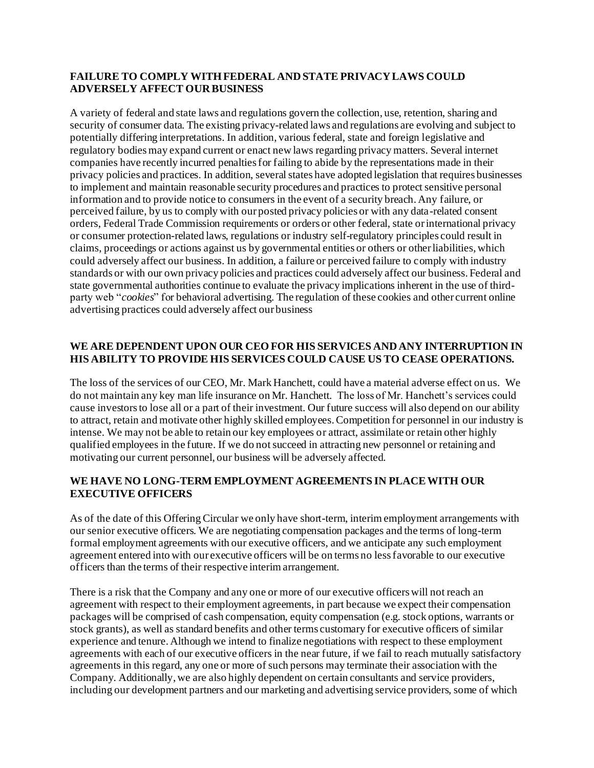# **FAILURE TO COMPLY WITH FEDERAL AND STATE PRIVACY LAWS COULD ADVERSELY AFFECT OUR BUSINESS**

A variety of federal and state laws and regulations govern the collection, use, retention, sharing and security of consumer data. The existing privacy-related laws and regulations are evolving and subject to potentially differing interpretations. In addition, various federal, state and foreign legislative and regulatory bodies may expand current or enact new laws regarding privacy matters. Several internet companies have recently incurred penalties for failing to abide by the representations made in their privacy policies and practices. In addition, several states have adopted legislation that requires businesses to implement and maintain reasonable security procedures and practices to protect sensitive personal information and to provide notice to consumers in the event of a security breach. Any failure, or perceived failure, by us to comply with our posted privacy policies or with any data-related consent orders, Federal Trade Commission requirements or orders or other federal, state or international privacy or consumer protection-related laws, regulations or industry self-regulatory principles could result in claims, proceedings or actions against us by governmental entities or others or other liabilities, which could adversely affect our business. In addition, a failure or perceived failure to comply with industry standards or with our own privacy policies and practices could adversely affect our business. Federal and state governmental authorities continue to evaluate the privacy implications inherent in the use of thirdparty web "*cookies*" for behavioral advertising. The regulation of these cookies and other current online advertising practices could adversely affect our business

# **WE ARE DEPENDENT UPON OUR CEO FOR HIS SERVICES AND ANY INTERRUPTION IN HIS ABILITY TO PROVIDE HIS SERVICES COULD CAUSE US TO CEASE OPERATIONS.**

The loss of the services of our CEO, Mr. Mark Hanchett, could have a material adverse effect on us. We do not maintain any key man life insurance on Mr. Hanchett. The loss of Mr. Hanchett's services could cause investors to lose all or a part of their investment. Our future success will also depend on our ability to attract, retain and motivate other highly skilled employees. Competition for personnel in our industry is intense. We may not be able to retain our key employees or attract, assimilate or retain other highly qualified employees in the future. If we do not succeed in attracting new personnel or retaining and motivating our current personnel, our business will be adversely affected.

# **WE HAVE NO LONG-TERM EMPLOYMENT AGREEMENTS IN PLACE WITH OUR EXECUTIVE OFFICERS**

As of the date of this Offering Circular we only have short-term, interim employment arrangements with our senior executive officers. We are negotiating compensation packages and the terms of long-term formal employment agreements with our executive officers, and we anticipate any such employment agreement entered into with our executive officers will be on terms no less favorable to our executive officers than the terms of their respective interim arrangement.

There is a risk that the Company and any one or more of our executive officers will not reach an agreement with respect to their employment agreements, in part because we expect their compensation packages will be comprised of cash compensation, equity compensation (e.g. stock options, warrants or stock grants), as well as standard benefits and other terms customary for executive officers of similar experience and tenure. Although we intend to finalize negotiations with respect to these employment agreements with each of our executive officers in the near future, if we fail to reach mutually satisfactory agreements in this regard, any one or more of such persons may terminate their association with the Company. Additionally, we are also highly dependent on certain consultants and service providers, including our development partners and our marketing and advertising service providers, some of which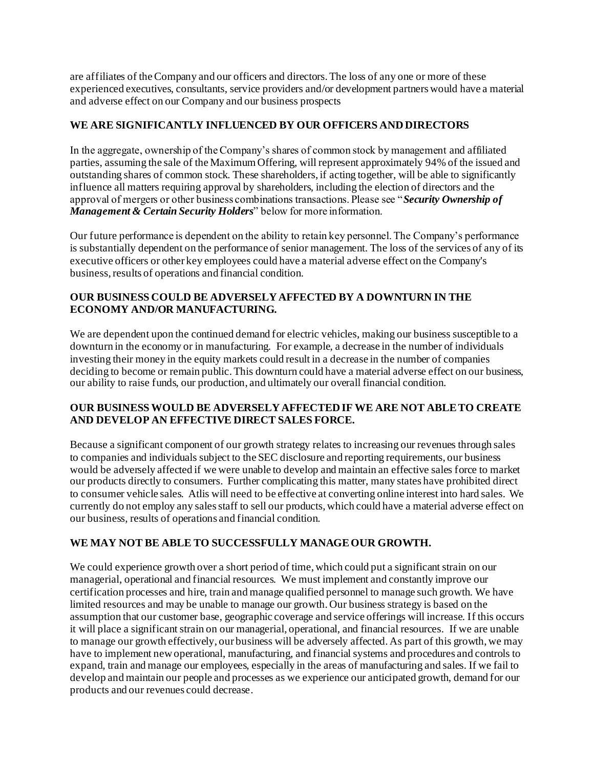are affiliates of the Company and our officers and directors. The loss of any one or more of these experienced executives, consultants, service providers and/or development partners would have a material and adverse effect on our Company and our business prospects

# **WE ARE SIGNIFICANTLY INFLUENCED BY OUR OFFICERS AND DIRECTORS**

In the aggregate, ownership of the Company's shares of common stock by management and affiliated parties, assuming the sale of the Maximum Offering, will represent approximately 94% of the issued and outstanding shares of common stock. These shareholders, if acting together, will be able to significantly influence all matters requiring approval by shareholders, including the election of directors and the approval of mergers or other business combinations transactions. Please see "*Security Ownership of Management & Certain Security Holders*" below for more information.

Our future performance is dependent on the ability to retain key personnel. The Company's performance is substantially dependent on the performance of senior management. The loss of the services of any of its executive officers or other key employees could have a material adverse effect on the Company's business, results of operations and financial condition.

# **OUR BUSINESS COULD BE ADVERSELY AFFECTED BY A DOWNTURN IN THE ECONOMY AND/OR MANUFACTURING.**

We are dependent upon the continued demand for electric vehicles, making our business susceptible to a downturn in the economy or in manufacturing. For example, a decrease in the number of individuals investing their money in the equity markets could result in a decrease in the number of companies deciding to become or remain public. This downturn could have a material adverse effect on our business, our ability to raise funds, our production, and ultimately our overall financial condition.

# **OUR BUSINESS WOULD BE ADVERSELY AFFECTED IF WE ARE NOT ABLE TO CREATE AND DEVELOP AN EFFECTIVE DIRECT SALES FORCE.**

Because a significant component of our growth strategy relates to increasing our revenues through sales to companies and individuals subject to the SEC disclosure and reporting requirements, our business would be adversely affected if we were unable to develop and maintain an effective sales force to market our products directly to consumers. Further complicating this matter, many states have prohibited direct to consumer vehicle sales. Atlis will need to be effective at converting online interest into hard sales. We currently do not employ any sales staff to sell our products, which could have a material adverse effect on our business, results of operations and financial condition.

# **WE MAY NOT BE ABLE TO SUCCESSFULLY MANAGE OUR GROWTH.**

We could experience growth over a short period of time, which could put a significant strain on our managerial, operational and financial resources. We must implement and constantly improve our certification processes and hire, train and manage qualified personnel to manage such growth. We have limited resources and may be unable to manage our growth. Our business strategy is based on the assumption that our customer base, geographic coverage and service offerings will increase. If this occurs it will place a significant strain on our managerial, operational, and financial resources. If we are unable to manage our growth effectively, our business will be adversely affected. As part of this growth, we may have to implement new operational, manufacturing, and financial systems and procedures and controls to expand, train and manage our employees, especially in the areas of manufacturing and sales. If we fail to develop and maintain our people and processes as we experience our anticipated growth, demand for our products and our revenues could decrease.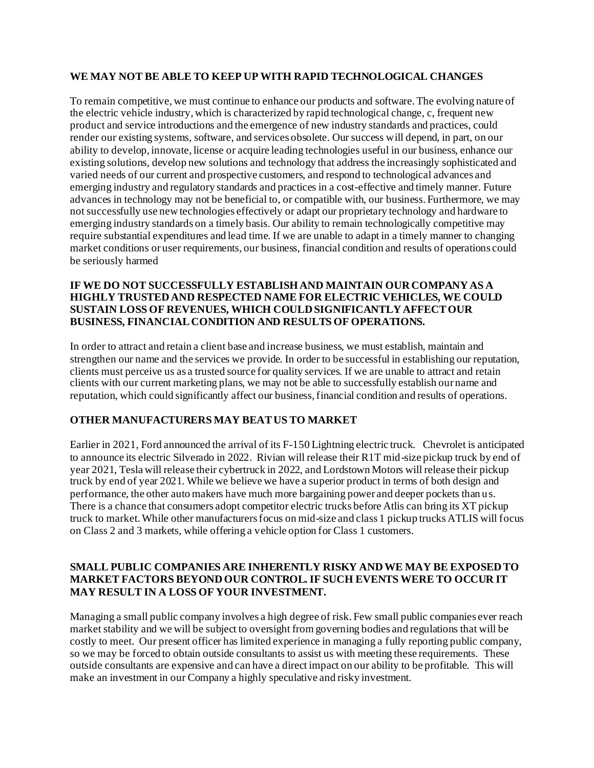#### **WE MAY NOT BE ABLE TO KEEP UP WITH RAPID TECHNOLOGICAL CHANGES**

To remain competitive, we must continue to enhance our products and software. The evolving nature of the electric vehicle industry, which is characterized by rapid technological change, c, frequent new product and service introductions and the emergence of new industry standards and practices, could render our existing systems, software, and services obsolete. Our success will depend, in part, on our ability to develop, innovate, license or acquire leading technologies useful in our business, enhance our existing solutions, develop new solutions and technology that address the increasingly sophisticated and varied needs of our current and prospective customers, and respond to technological advances and emerging industry and regulatory standards and practices in a cost-effective and timely manner. Future advances in technology may not be beneficial to, or compatible with, our business. Furthermore, we may not successfully use new technologies effectively or adapt our proprietary technology and hardware to emerging industry standards on a timely basis. Our ability to remain technologically competitive may require substantial expenditures and lead time. If we are unable to adapt in a timely manner to changing market conditions or user requirements, our business, financial condition and results of operations could be seriously harmed

#### **IF WE DO NOT SUCCESSFULLY ESTABLISH AND MAINTAIN OUR COMPANY AS A HIGHLY TRUSTED AND RESPECTED NAME FOR ELECTRIC VEHICLES, WE COULD SUSTAIN LOSS OF REVENUES, WHICH COULD SIGNIFICANTLY AFFECT OUR BUSINESS, FINANCIAL CONDITION AND RESULTS OF OPERATIONS.**

In order to attract and retain a client base and increase business, we must establish, maintain and strengthen our name and the services we provide. In order to be successful in establishing our reputation, clients must perceive us as a trusted source for quality services. If we are unable to attract and retain clients with our current marketing plans, we may not be able to successfully establish our name and reputation, which could significantly affect our business, financial condition and results of operations.

#### **OTHER MANUFACTURERS MAY BEAT US TO MARKET**

Earlier in 2021, Ford announced the arrival of its F-150 Lightning electric truck. Chevrolet is anticipated to announce its electric Silverado in 2022. Rivian will release their R1T mid-size pickup truck by end of year 2021, Tesla will release their cybertruck in 2022, and Lordstown Motors will release their pickup truck by end of year 2021. While we believe we have a superior product in terms of both design and performance, the other auto makers have much more bargaining power and deeper pockets than us. There is a chance that consumers adopt competitor electric trucks before Atlis can bring its XT pickup truck to market. While other manufacturers focus on mid-size and class 1 pickup trucks ATLIS will focus on Class 2 and 3 markets, while offering a vehicle option for Class 1 customers.

### **SMALL PUBLIC COMPANIES ARE INHERENTLY RISKY AND WE MAY BE EXPOSED TO MARKET FACTORS BEYOND OUR CONTROL. IF SUCH EVENTS WERE TO OCCUR IT MAY RESULT IN A LOSS OF YOUR INVESTMENT.**

Managing a small public company involves a high degree of risk. Few small public companies ever reach market stability and we will be subject to oversight from governing bodies and regulations that will be costly to meet. Our present officer has limited experience in managing a fully reporting public company, so we may be forced to obtain outside consultants to assist us with meeting these requirements. These outside consultants are expensive and can have a direct impact on our ability to be profitable. This will make an investment in our Company a highly speculative and risky investment.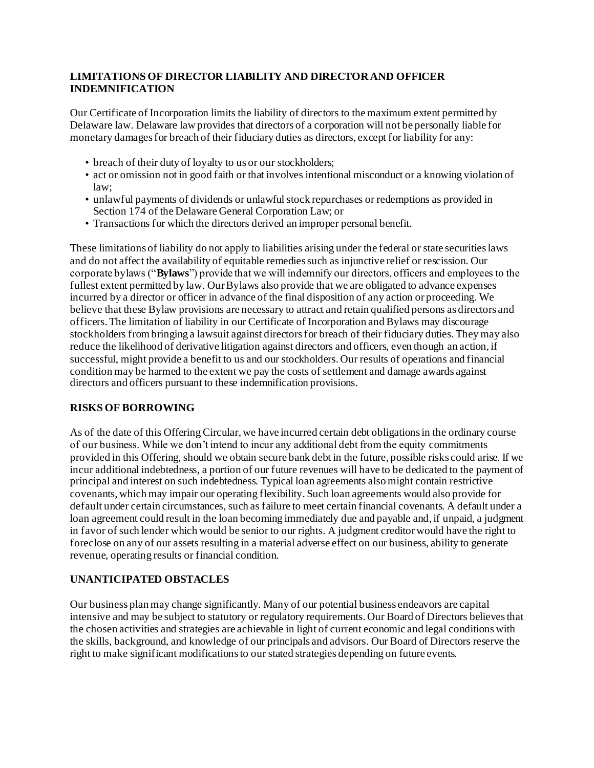# **LIMITATIONS OF DIRECTOR LIABILITY AND DIRECTOR AND OFFICER INDEMNIFICATION**

Our Certificate of Incorporation limits the liability of directors to the maximum extent permitted by Delaware law. Delaware law provides that directors of a corporation will not be personally liable for monetary damages for breach of their fiduciary duties as directors, except for liability for any:

- breach of their duty of loyalty to us or our stockholders;
- act or omission not in good faith or that involves intentional misconduct or a knowing violation of  $law<sup>+</sup>$
- unlawful payments of dividends or unlawful stock repurchases or redemptions as provided in Section 174 of the Delaware General Corporation Law; or
- Transactions for which the directors derived an improper personal benefit.

These limitations of liability do not apply to liabilities arising under the federal or state securities laws and do not affect the availability of equitable remedies such as injunctive relief or rescission. Our corporate bylaws ("**Bylaws**") provide that we will indemnify our directors, officers and employees to the fullest extent permitted by law. Our Bylaws also provide that we are obligated to advance expenses incurred by a director or officer in advance of the final disposition of any action or proceeding. We believe that these Bylaw provisions are necessary to attract and retain qualified persons as directors and officers. The limitation of liability in our Certificate of Incorporation and Bylaws may discourage stockholders from bringing a lawsuit against directors for breach of their fiduciary duties. They may also reduce the likelihood of derivative litigation against directors and officers, even though an action, if successful, might provide a benefit to us and our stockholders. Our results of operations and financial condition may be harmed to the extent we pay the costs of settlement and damage awards against directors and officers pursuant to these indemnification provisions.

# **RISKS OF BORROWING**

As of the date of this Offering Circular, we have incurred certain debt obligations in the ordinary course of our business. While we don't intend to incur any additional debt from the equity commitments provided in this Offering, should we obtain secure bank debt in the future, possible risks could arise. If we incur additional indebtedness, a portion of our future revenues will have to be dedicated to the payment of principal and interest on such indebtedness. Typical loan agreements also might contain restrictive covenants, which may impair our operating flexibility. Such loan agreements would also provide for default under certain circumstances, such as failure to meet certain financial covenants. A default under a loan agreement could result in the loan becoming immediately due and payable and, if unpaid, a judgment in favor of such lender which would be senior to our rights. A judgment creditor would have the right to foreclose on any of our assets resulting in a material adverse effect on our business, ability to generate revenue, operating results or financial condition.

# **UNANTICIPATED OBSTACLES**

Our business plan may change significantly. Many of our potential business endeavors are capital intensive and may be subject to statutory or regulatory requirements. Our Board of Directors believes that the chosen activities and strategies are achievable in light of current economic and legal conditions with the skills, background, and knowledge of our principals and advisors. Our Board of Directors reserve the right to make significant modifications to our stated strategies depending on future events.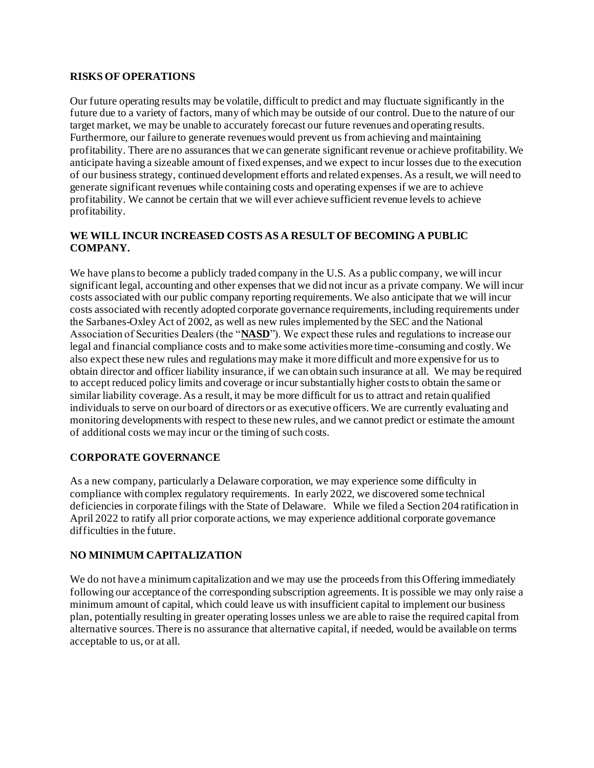## **RISKS OF OPERATIONS**

Our future operating results may be volatile, difficult to predict and may fluctuate significantly in the future due to a variety of factors, many of which may be outside of our control. Due to the nature of our target market, we may be unable to accurately forecast our future revenues and operating results. Furthermore, our failure to generate revenues would prevent us from achieving and maintaining profitability. There are no assurances that we can generate significant revenue or achieve profitability. We anticipate having a sizeable amount of fixed expenses, and we expect to incur losses due to the execution of our business strategy, continued development efforts and related expenses. As a result, we will need to generate significant revenues while containing costs and operating expenses if we are to achieve profitability. We cannot be certain that we will ever achieve sufficient revenue levels to achieve profitability.

## **WE WILL INCUR INCREASED COSTS AS A RESULT OF BECOMING A PUBLIC COMPANY.**

We have plans to become a publicly traded company in the U.S. As a public company, we will incur significant legal, accounting and other expenses that we did not incur as a private company. We will incur costs associated with our public company reporting requirements. We also anticipate that we will incur costs associated with recently adopted corporate governance requirements, including requirements under the Sarbanes-Oxley Act of 2002, as well as new rules implemented by the SEC and the National Association of Securities Dealers (the "**NASD**"). We expect these rules and regulations to increase our legal and financial compliance costs and to make some activities more time-consuming and costly. We also expect these new rules and regulations may make it more difficult and more expensive for us to obtain director and officer liability insurance, if we can obtain such insurance at all. We may be required to accept reduced policy limits and coverage or incur substantially higher costs to obtain the same or similar liability coverage. As a result, it may be more difficult for us to attract and retain qualified individuals to serve on our board of directors or as executive officers. We are currently evaluating and monitoring developments with respect to these new rules, and we cannot predict or estimate the amount of additional costs we may incur or the timing of such costs.

# **CORPORATE GOVERNANCE**

As a new company, particularly a Delaware corporation, we may experience some difficulty in compliance with complex regulatory requirements. In early 2022, we discovered some technical deficiencies in corporate filings with the State of Delaware. While we filed a Section 204 ratification in April 2022 to ratify all prior corporate actions, we may experience additional corporate governance difficulties in the future.

# **NO MINIMUM CAPITALIZATION**

We do not have a minimum capitalization and we may use the proceeds from this Offering immediately following our acceptance of the corresponding subscription agreements. It is possible we may only raise a minimum amount of capital, which could leave us with insufficient capital to implement our business plan, potentially resulting in greater operating losses unless we are able to raise the required capital from alternative sources. There is no assurance that alternative capital, if needed, would be available on terms acceptable to us, or at all.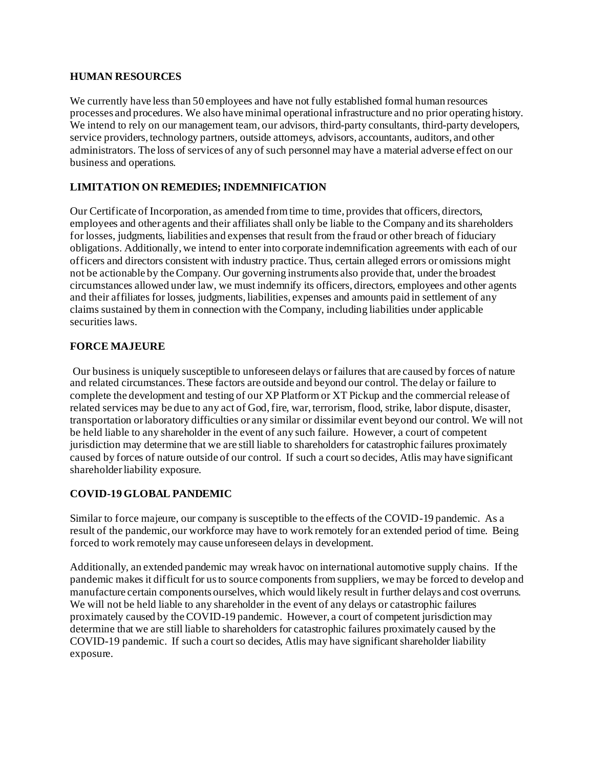#### **HUMAN RESOURCES**

We currently have less than 50 employees and have not fully established formal human resources processes and procedures. We also have minimal operational infrastructure and no prior operating history. We intend to rely on our management team, our advisors, third-party consultants, third-party developers, service providers, technology partners, outside attorneys, advisors, accountants, auditors, and other administrators. The loss of services of any of such personnel may have a material adverse effect on our business and operations.

# **LIMITATION ON REMEDIES; INDEMNIFICATION**

Our Certificate of Incorporation, as amended from time to time, provides that officers, directors, employees and other agents and their affiliates shall only be liable to the Company and its shareholders for losses, judgments, liabilities and expenses that result from the fraud or other breach of fiduciary obligations. Additionally, we intend to enter into corporate indemnification agreements with each of our officers and directors consistent with industry practice. Thus, certain alleged errors or omissions might not be actionable by the Company. Our governing instruments also provide that, under the broadest circumstances allowed under law, we must indemnify its officers, directors, employees and other agents and their affiliates for losses, judgments, liabilities, expenses and amounts paid in settlement of any claims sustained by them in connection with the Company, including liabilities under applicable securities laws.

# **FORCE MAJEURE**

Our business is uniquely susceptible to unforeseen delays or failures that are caused by forces of nature and related circumstances. These factors are outside and beyond our control. The delay or failure to complete the development and testing of our XP Platform or XT Pickup and the commercial release of related services may be due to any act of God, fire, war, terrorism, flood, strike, labor dispute, disaster, transportation or laboratory difficulties or any similar or dissimilar event beyond our control. We will not be held liable to any shareholder in the event of any such failure. However, a court of competent jurisdiction may determine that we are still liable to shareholders for catastrophic failures proximately caused by forces of nature outside of our control. If such a court so decides, Atlis may have significant shareholder liability exposure.

# **COVID-19 GLOBAL PANDEMIC**

Similar to force majeure, our company is susceptible to the effects of the COVID-19 pandemic. As a result of the pandemic, our workforce may have to work remotely for an extended period of time. Being forced to work remotely may cause unforeseen delays in development.

Additionally, an extended pandemic may wreak havoc on international automotive supply chains. If the pandemic makes it difficult for us to source components from suppliers, we may be forced to develop and manufacture certain components ourselves, which would likely result in further delays and cost overruns. We will not be held liable to any shareholder in the event of any delays or catastrophic failures proximately caused by the COVID-19 pandemic. However, a court of competent jurisdiction may determine that we are still liable to shareholders for catastrophic failures proximately caused by the COVID-19 pandemic. If such a court so decides, Atlis may have significant shareholder liability exposure.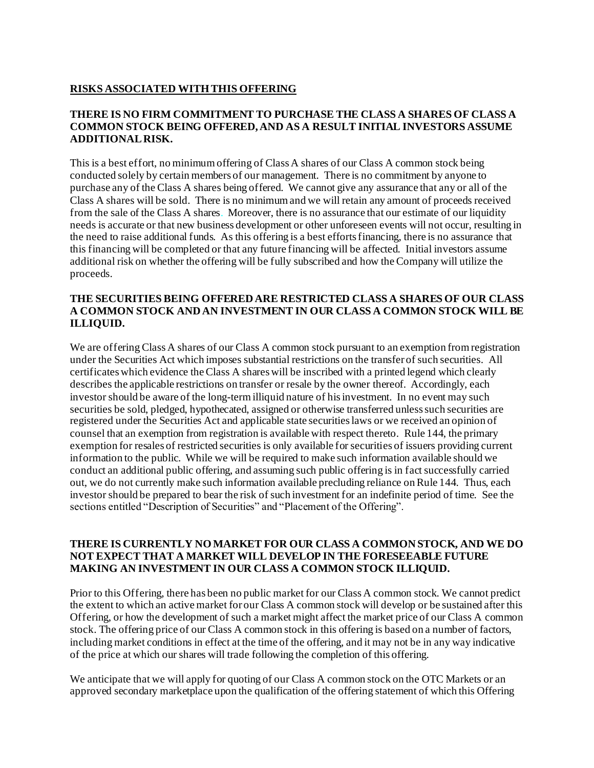## **RISKS ASSOCIATED WITH THIS OFFERING**

#### **THERE IS NO FIRM COMMITMENT TO PURCHASE THE CLASS A SHARES OF CLASS A COMMON STOCK BEING OFFERED, AND AS A RESULT INITIAL INVESTORS ASSUME ADDITIONAL RISK.**

This is a best effort, no minimum offering of Class A shares of our Class A common stock being conducted solely by certain members of our management. There is no commitment by anyone to purchase any of the Class A shares being offered. We cannot give any assurance that any or all of the Class A shares will be sold. There is no minimum and we will retain any amount of proceeds received from the sale of the Class A shares. Moreover, there is no assurance that our estimate of our liquidity needs is accurate or that new business development or other unforeseen events will not occur, resulting in the need to raise additional funds. As this offering is a best efforts financing, there is no assurance that this financing will be completed or that any future financing will be affected. Initial investors assume additional risk on whether the offering will be fully subscribed and how the Company will utilize the proceeds.

#### **THE SECURITIES BEING OFFERED ARE RESTRICTED CLASS A SHARES OF OUR CLASS A COMMON STOCK AND AN INVESTMENT IN OUR CLASS A COMMON STOCK WILL BE ILLIQUID.**

We are offering Class A shares of our Class A common stock pursuant to an exemption from registration under the Securities Act which imposes substantial restrictions on the transfer of such securities. All certificates which evidence the Class A shares will be inscribed with a printed legend which clearly describes the applicable restrictions on transfer or resale by the owner thereof. Accordingly, each investor should be aware of the long-term illiquid nature of his investment. In no event may such securities be sold, pledged, hypothecated, assigned or otherwise transferred unless such securities are registered under the Securities Act and applicable state securities laws or we received an opinion of counsel that an exemption from registration is available with respect thereto. Rule 144, the primary exemption for resales of restricted securities is only available for securities of issuers providing current information to the public. While we will be required to make such information available should we conduct an additional public offering, and assuming such public offering is in fact successfully carried out, we do not currently make such information available precluding reliance on Rule 144. Thus, each investor should be prepared to bear the risk of such investment for an indefinite period of time. See the sections entitled "Description of Securities" and "Placement of the Offering".

### **THERE IS CURRENTLY NO MARKET FOR OUR CLASS A COMMON STOCK, AND WE DO NOT EXPECT THAT A MARKET WILL DEVELOP IN THE FORESEEABLE FUTURE MAKING AN INVESTMENT IN OUR CLASS A COMMON STOCK ILLIQUID.**

Prior to this Offering, there has been no public market for our Class A common stock. We cannot predict the extent to which an active market for our Class A common stock will develop or be sustained after this Offering, or how the development of such a market might affect the market price of our Class A common stock. The offering price of our Class A common stock in this offering is based on a number of factors, including market conditions in effect at the time of the offering, and it may not be in any way indicative of the price at which our shares will trade following the completion of this offering.

We anticipate that we will apply for quoting of our Class A common stock on the OTC Markets or an approved secondary marketplace upon the qualification of the offering statement of which this Offering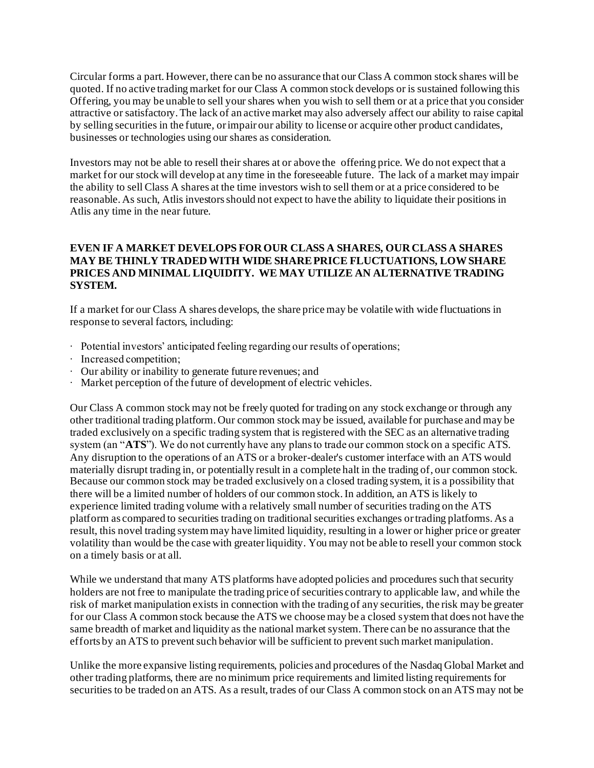Circular forms a part. However, there can be no assurance that our Class A common stock shares will be quoted. If no active trading market for our Class A common stock develops or is sustained following this Offering, you may be unable to sell your shares when you wish to sell them or at a price that you consider attractive or satisfactory. The lack of an active market may also adversely affect our ability to raise capital by selling securities in the future, or impair our ability to license or acquire other product candidates, businesses or technologies using our shares as consideration.

Investors may not be able to resell their shares at or above the offering price. We do not expect that a market for our stock will develop at any time in the foreseeable future. The lack of a market may impair the ability to sell Class A shares at the time investors wish to sell them or at a price considered to be reasonable. As such, Atlis investors should not expect to have the ability to liquidate their positions in Atlis any time in the near future.

#### **EVEN IF A MARKET DEVELOPS FOR OUR CLASS A SHARES, OUR CLASS A SHARES MAY BE THINLY TRADED WITH WIDE SHARE PRICE FLUCTUATIONS, LOW SHARE PRICES AND MINIMAL LIQUIDITY. WE MAY UTILIZE AN ALTERNATIVE TRADING SYSTEM.**

If a market for our Class A shares develops, the share price may be volatile with wide fluctuations in response to several factors, including:

- ∙ Potential investors' anticipated feeling regarding our results of operations;
- ∙ Ιncreased competition;
- ∙ Our ability or inability to generate future revenues; and
- ∙ Market perception of the future of development of electric vehicles.

Our Class A common stock may not be freely quoted for trading on any stock exchange or through any other traditional trading platform. Our common stock may be issued, available for purchase and may be traded exclusively on a specific trading system that is registered with the SEC as an alternative trading system (an "**ATS**"). We do not currently have any plans to trade our common stock on a specific ATS. Any disruption to the operations of an ATS or a broker-dealer's customer interface with an ATS would materially disrupt trading in, or potentially result in a complete halt in the trading of, our common stock. Because our common stock may be traded exclusively on a closed trading system, it is a possibility that there will be a limited number of holders of our common stock. In addition, an ATS is likely to experience limited trading volume with a relatively small number of securities trading on the ATS platform as compared to securities trading on traditional securities exchanges or trading platforms. As a result, this novel trading system may have limited liquidity, resulting in a lower or higher price or greater volatility than would be the case with greater liquidity. You may not be able to resell your common stock on a timely basis or at all.

While we understand that many ATS platforms have adopted policies and procedures such that security holders are not free to manipulate the trading price of securities contrary to applicable law, and while the risk of market manipulation exists in connection with the trading of any securities, the risk may be greater for our Class A common stock because the ATS we choose may be a closed system that does not have the same breadth of market and liquidity as the national market system. There can be no assurance that the efforts by an ATS to prevent such behavior will be sufficient to prevent such market manipulation.

Unlike the more expansive listing requirements, policies and procedures of the Nasdaq Global Market and other trading platforms, there are no minimum price requirements and limited listing requirements for securities to be traded on an ATS. As a result, trades of our Class A common stock on an ATS may not be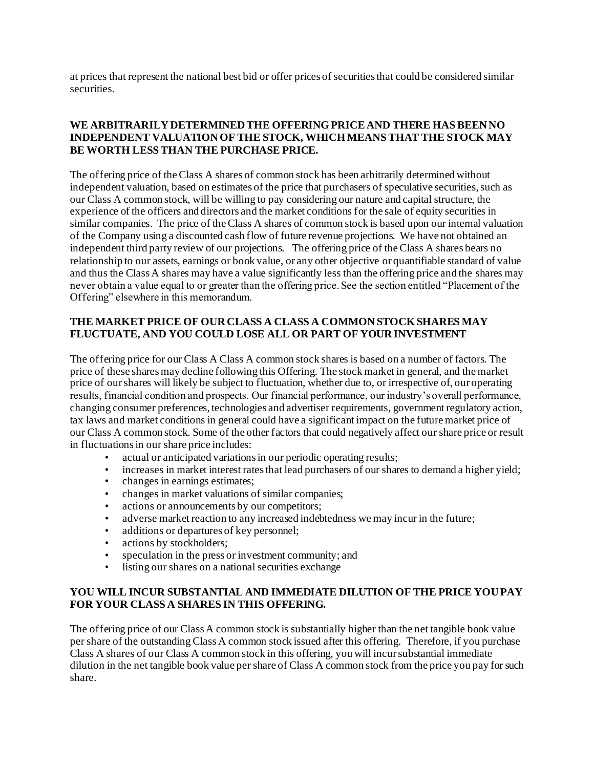at prices that represent the national best bid or offer prices of securities that could be considered similar securities.

### **WE ARBITRARILY DETERMINED THE OFFERING PRICE AND THERE HAS BEEN NO INDEPENDENT VALUATION OF THE STOCK, WHICH MEANS THAT THE STOCK MAY BE WORTH LESS THAN THE PURCHASE PRICE.**

The offering price of the Class A shares of common stock has been arbitrarily determined without independent valuation, based on estimates of the price that purchasers of speculative securities, such as our Class A common stock, will be willing to pay considering our nature and capital structure, the experience of the officers and directors and the market conditions for the sale of equity securities in similar companies. The price of the Class A shares of common stock is based upon our internal valuation of the Company using a discounted cash flow of future revenue projections. We have not obtained an independent third party review of our projections. The offering price of the Class A shares bears no relationship to our assets, earnings or book value, or any other objective or quantifiable standard of value and thus the Class A shares may have a value significantly less than the offering price and the shares may never obtain a value equal to or greater than the offering price. See the section entitled "Placement of the Offering" elsewhere in this memorandum.

## **THE MARKET PRICE OF OUR CLASS A CLASS A COMMON STOCK SHARES MAY FLUCTUATE, AND YOU COULD LOSE ALL OR PART OF YOUR INVESTMENT**

The offering price for our Class A Class A common stock shares is based on a number of factors. The price of these shares may decline following this Offering. The stock market in general, and the market price of our shares will likely be subject to fluctuation, whether due to, or irrespective of, our operating results, financial condition and prospects. Our financial performance, our industry's overall performance, changing consumer preferences, technologies and advertiser requirements, government regulatory action, tax laws and market conditions in general could have a significant impact on the future market price of our Class A common stock. Some of the other factors that could negatively affect our share price or result in fluctuations in our share price includes:

- actual or anticipated variations in our periodic operating results;
- increases in market interest rates that lead purchasers of our shares to demand a higher yield;
- changes in earnings estimates;
- changes in market valuations of similar companies;
- actions or announcements by our competitors;
- adverse market reaction to any increased indebtedness we may incur in the future;
- additions or departures of key personnel;
- actions by stockholders;
- speculation in the press or investment community; and
- listing our shares on a national securities exchange

### **YOU WILL INCUR SUBSTANTIAL AND IMMEDIATE DILUTION OF THE PRICE YOU PAY FOR YOUR CLASS A SHARES IN THIS OFFERING.**

The offering price of our Class A common stock is substantially higher than the net tangible book value per share of the outstanding Class A common stock issued after this offering. Therefore, if you purchase Class A shares of our Class A common stock in this offering, you will incur substantial immediate dilution in the net tangible book value per share of Class A common stock from the price you pay for such share.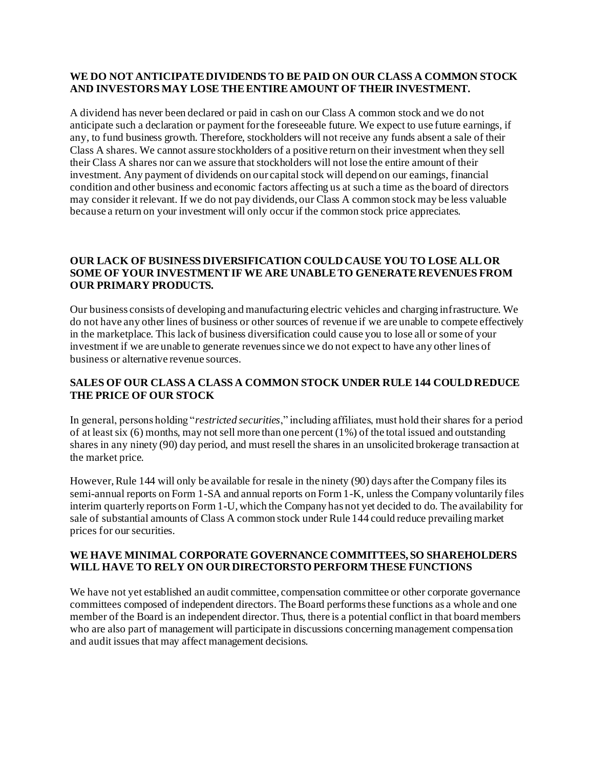## **WE DO NOT ANTICIPATE DIVIDENDS TO BE PAID ON OUR CLASS A COMMON STOCK AND INVESTORS MAY LOSE THE ENTIRE AMOUNT OF THEIR INVESTMENT.**

A dividend has never been declared or paid in cash on our Class A common stock and we do not anticipate such a declaration or payment for the foreseeable future. We expect to use future earnings, if any, to fund business growth. Therefore, stockholders will not receive any funds absent a sale of their Class A shares. We cannot assure stockholders of a positive return on their investment when they sell their Class A shares nor can we assure that stockholders will not lose the entire amount of their investment. Any payment of dividends on our capital stock will depend on our earnings, financial condition and other business and economic factors affecting us at such a time as the board of directors may consider it relevant. If we do not pay dividends, our Class A common stock may be less valuable because a return on your investment will only occur if the common stock price appreciates.

# **OUR LACK OF BUSINESS DIVERSIFICATION COULD CAUSE YOU TO LOSE ALL OR SOME OF YOUR INVESTMENT IF WE ARE UNABLE TO GENERATE REVENUES FROM OUR PRIMARY PRODUCTS.**

Our business consists of developing and manufacturing electric vehicles and charging infrastructure. We do not have any other lines of business or other sources of revenue if we are unable to compete effectively in the marketplace. This lack of business diversification could cause you to lose all or some of your investment if we are unable to generate revenues since we do not expect to have any other lines of business or alternative revenue sources.

# **SALES OF OUR CLASS A CLASS A COMMON STOCK UNDER RULE 144 COULD REDUCE THE PRICE OF OUR STOCK**

In general, persons holding "*restricted securities*," including affiliates, must hold their shares for a period of at least six (6) months, may not sell more than one percent (1%) of the total issued and outstanding shares in any ninety (90) day period, and must resell the shares in an unsolicited brokerage transaction at the market price.

However, Rule 144 will only be available for resale in the ninety (90) days after the Company files its semi-annual reports on Form 1-SA and annual reports on Form 1-K, unless the Company voluntarily files interim quarterly reports on Form 1-U, which the Company has not yet decided to do. The availability for sale of substantial amounts of Class A common stock under Rule 144 could reduce prevailing market prices for our securities.

#### **WE HAVE MINIMAL CORPORATE GOVERNANCE COMMITTEES, SO SHAREHOLDERS WILL HAVE TO RELY ON OUR DIRECTORSTO PERFORM THESE FUNCTIONS**

We have not yet established an audit committee, compensation committee or other corporate governance committees composed of independent directors. The Board performs these functions as a whole and one member of the Board is an independent director. Thus, there is a potential conflict in that board members who are also part of management will participate in discussions concerning management compensation and audit issues that may affect management decisions.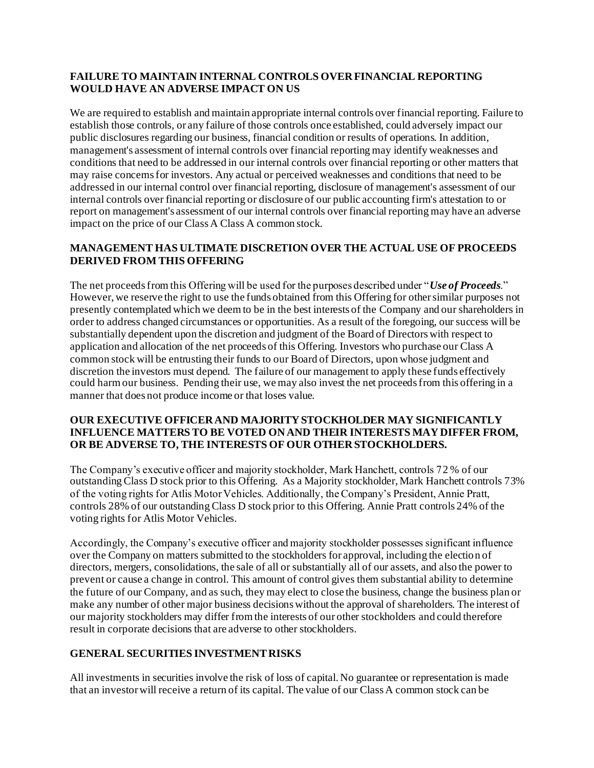## **FAILURE TO MAINTAIN INTERNAL CONTROLS OVER FINANCIAL REPORTING WOULD HAVE AN ADVERSE IMPACT ON US**

We are required to establish and maintain appropriate internal controls over financial reporting. Failure to establish those controls, or any failure of those controls once established, could adversely impact our public disclosures regarding our business, financial condition or results of operations. In addition, management's assessment of internal controls over financial reporting may identify weaknesses and conditions that need to be addressed in our internal controls over financial reporting or other matters that may raise concerns for investors. Any actual or perceived weaknesses and conditions that need to be addressed in our internal control over financial reporting, disclosure of management's assessment of our internal controls over financial reporting or disclosure of our public accounting firm's attestation to or report on management's assessment of our internal controls over financial reporting may have an adverse impact on the price of our Class A Class A common stock.

# **MANAGEMENT HAS ULTIMATE DISCRETION OVER THE ACTUAL USE OF PROCEEDS DERIVED FROM THIS OFFERING**

The net proceeds from this Offering will be used for the purposes described under "*Use of Proceeds*." However, we reserve the right to use the funds obtained from this Offering for other similar purposes not presently contemplated which we deem to be in the best interests of the Company and our shareholders in order to address changed circumstances or opportunities. As a result of the foregoing, our success will be substantially dependent upon the discretion and judgment of the Board of Directors with respect to application and allocation of the net proceeds of this Offering. Investors who purchase our Class A common stock will be entrusting their funds to our Board of Directors, upon whose judgment and discretion the investors must depend. The failure of our management to apply these funds effectively could harm our business. Pending their use, we may also invest the net proceeds from this offering in a manner that does not produce income or that loses value.

#### **OUR EXECUTIVE OFFICER AND MAJORITY STOCKHOLDER MAY SIGNIFICANTLY INFLUENCE MATTERS TO BE VOTED ON AND THEIR INTERESTS MAY DIFFER FROM, OR BE ADVERSE TO, THE INTERESTS OF OUR OTHER STOCKHOLDERS.**

The Company's executive officer and majority stockholder, Mark Hanchett, controls 72 % of our outstanding Class D stock prior to this Offering. As a Majority stockholder, Mark Hanchett controls 73% of the voting rights for Atlis Motor Vehicles. Additionally, the Company's President, Annie Pratt, controls 28% of our outstanding Class D stock prior to this Offering. Annie Pratt controls 24% of the voting rights for Atlis Motor Vehicles.

Accordingly, the Company's executive officer and majority stockholder possesses significant influence over the Company on matters submitted to the stockholders for approval, including the election of directors, mergers, consolidations, the sale of all or substantially all of our assets, and also the power to prevent or cause a change in control. This amount of control gives them substantial ability to determine the future of our Company, and as such, they may elect to close the business, change the business plan or make any number of other major business decisions without the approval of shareholders. The interest of our majority stockholders may differ from the interests of our other stockholders and could therefore result in corporate decisions that are adverse to other stockholders.

# **GENERAL SECURITIES INVESTMENT RISKS**

All investments in securities involve the risk of loss of capital. No guarantee or representation is made that an investor will receive a return of its capital. The value of our Class A common stock can be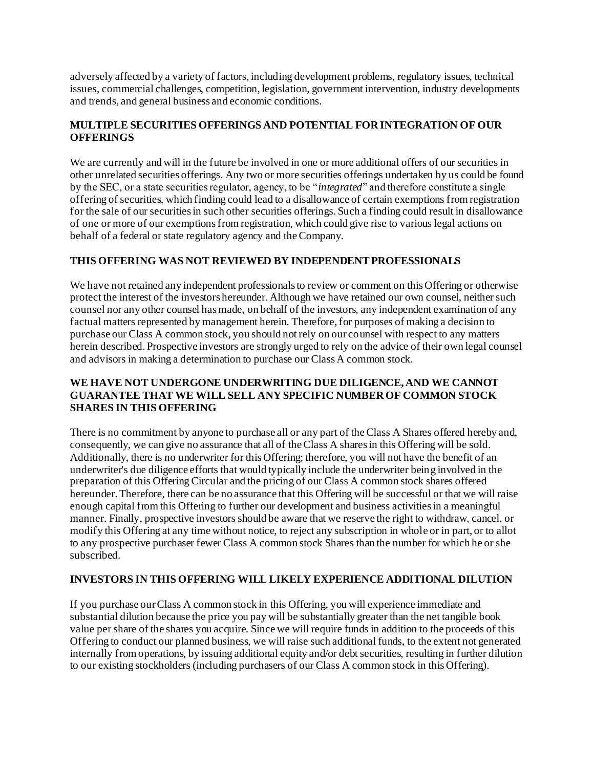adversely affected by a variety of factors, including development problems, regulatory issues, technical issues, commercial challenges, competition, legislation, government intervention, industry developments and trends, and general business and economic conditions.

# **MULTIPLE SECURITIES OFFERINGS AND POTENTIAL FOR INTEGRATION OF OUR OFFERINGS**

We are currently and will in the future be involved in one or more additional offers of our securities in other unrelated securities offerings. Any two or more securities offerings undertaken by us could be found by the SEC, or a state securities regulator, agency, to be "*integrated*" and therefore constitute a single offering of securities, which finding could lead to a disallowance of certain exemptions from registration for the sale of our securities in such other securities offerings. Such a finding could result in disallowance of one or more of our exemptions from registration, which could give rise to various legal actions on behalf of a federal or state regulatory agency and the Company.

# **THIS OFFERING WAS NOT REVIEWED BY INDEPENDENT PROFESSIONALS**

We have not retained any independent professionals to review or comment on this Offering or otherwise protect the interest of the investors hereunder. Although we have retained our own counsel, neither such counsel nor any other counsel has made, on behalf of the investors, any independent examination of any factual matters represented by management herein. Therefore, for purposes of making a decision to purchase our Class A common stock, you should not rely on our counsel with respect to any matters herein described. Prospective investors are strongly urged to rely on the advice of their own legal counsel and advisors in making a determination to purchase our Class A common stock.

# **WE HAVE NOT UNDERGONE UNDERWRITING DUE DILIGENCE, AND WE CANNOT GUARANTEE THAT WE WILL SELL ANY SPECIFIC NUMBER OF COMMON STOCK SHARES IN THIS OFFERING**

There is no commitment by anyone to purchase all or any part of the Class A Shares offered hereby and, consequently, we can give no assurance that all of the Class A shares in this Offering will be sold. Additionally, there is no underwriter for this Offering; therefore, you will not have the benefit of an underwriter's due diligence efforts that would typically include the underwriter being involved in the preparation of this Offering Circular and the pricing of our Class A common stock shares offered hereunder. Therefore, there can be no assurance that this Offering will be successful or that we will raise enough capital from this Offering to further our development and business activities in a meaningful manner. Finally, prospective investors should be aware that we reserve the right to withdraw, cancel, or modify this Offering at any time without notice, to reject any subscription in whole or in part, or to allot to any prospective purchaser fewer Class A common stock Shares than the number for which he or she subscribed.

# **INVESTORS IN THIS OFFERING WILL LIKELY EXPERIENCE ADDITIONAL DILUTION**

If you purchase our Class A common stock in this Offering, you will experience immediate and substantial dilution because the price you pay will be substantially greater than the net tangible book value per share of the shares you acquire. Since we will require funds in addition to the proceeds of this Offering to conduct our planned business, we will raise such additional funds, to the extent not generated internally from operations, by issuing additional equity and/or debt securities, resulting in further dilution to our existing stockholders (including purchasers of our Class A common stock in this Offering).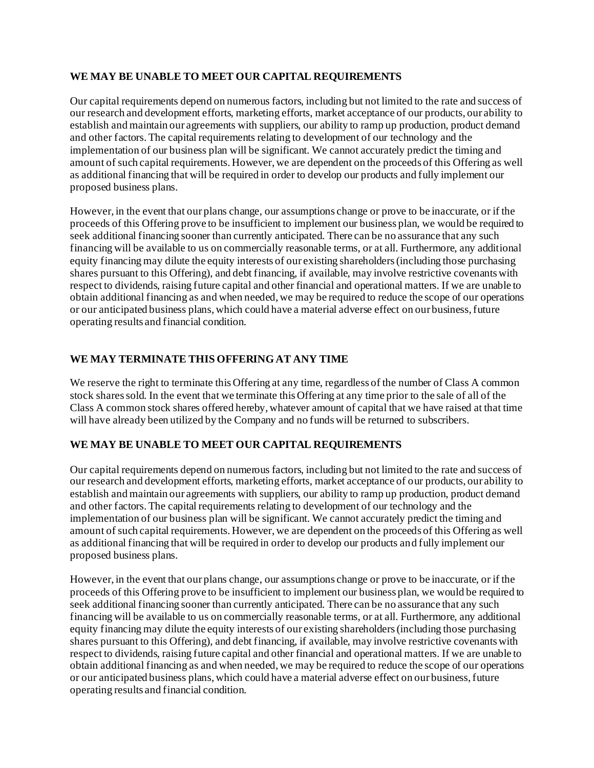# **WE MAY BE UNABLE TO MEET OUR CAPITAL REQUIREMENTS**

Our capital requirements depend on numerous factors, including but not limited to the rate and success of our research and development efforts, marketing efforts, market acceptance of our products, our ability to establish and maintain our agreements with suppliers, our ability to ramp up production, product demand and other factors. The capital requirements relating to development of our technology and the implementation of our business plan will be significant. We cannot accurately predict the timing and amount of such capital requirements. However, we are dependent on the proceeds of this Offering as well as additional financing that will be required in order to develop our products and fully implement our proposed business plans.

However, in the event that our plans change, our assumptions change or prove to be inaccurate, or if the proceeds of this Offering prove to be insufficient to implement our business plan, we would be required to seek additional financing sooner than currently anticipated. There can be no assurance that any such financing will be available to us on commercially reasonable terms, or at all. Furthermore, any additional equity financing may dilute the equity interests of our existing shareholders (including those purchasing shares pursuant to this Offering), and debt financing, if available, may involve restrictive covenants with respect to dividends, raising future capital and other financial and operational matters. If we are unable to obtain additional financing as and when needed, we may be required to reduce the scope of our operations or our anticipated business plans, which could have a material adverse effect on our business, future operating results and financial condition.

#### **WE MAY TERMINATE THIS OFFERING AT ANY TIME**

We reserve the right to terminate this Offering at any time, regardless of the number of Class A common stock shares sold. In the event that we terminate this Offering at any time prior to the sale of all of the Class A common stock shares offered hereby, whatever amount of capital that we have raised at that time will have already been utilized by the Company and no funds will be returned to subscribers.

# **WE MAY BE UNABLE TO MEET OUR CAPITAL REQUIREMENTS**

Our capital requirements depend on numerous factors, including but not limited to the rate and success of our research and development efforts, marketing efforts, market acceptance of our products, our ability to establish and maintain our agreements with suppliers, our ability to ramp up production, product demand and other factors. The capital requirements relating to development of our technology and the implementation of our business plan will be significant. We cannot accurately predict the timing and amount of such capital requirements. However, we are dependent on the proceeds of this Offering as well as additional financing that will be required in order to develop our products and fully implement our proposed business plans.

However, in the event that our plans change, our assumptions change or prove to be inaccurate, or if the proceeds of this Offering prove to be insufficient to implement our business plan, we would be required to seek additional financing sooner than currently anticipated. There can be no assurance that any such financing will be available to us on commercially reasonable terms, or at all. Furthermore, any additional equity financing may dilute the equity interests of our existing shareholders (including those purchasing shares pursuant to this Offering), and debt financing, if available, may involve restrictive covenants with respect to dividends, raising future capital and other financial and operational matters. If we are unable to obtain additional financing as and when needed, we may be required to reduce the scope of our operations or our anticipated business plans, which could have a material adverse effect on our business, future operating results and financial condition.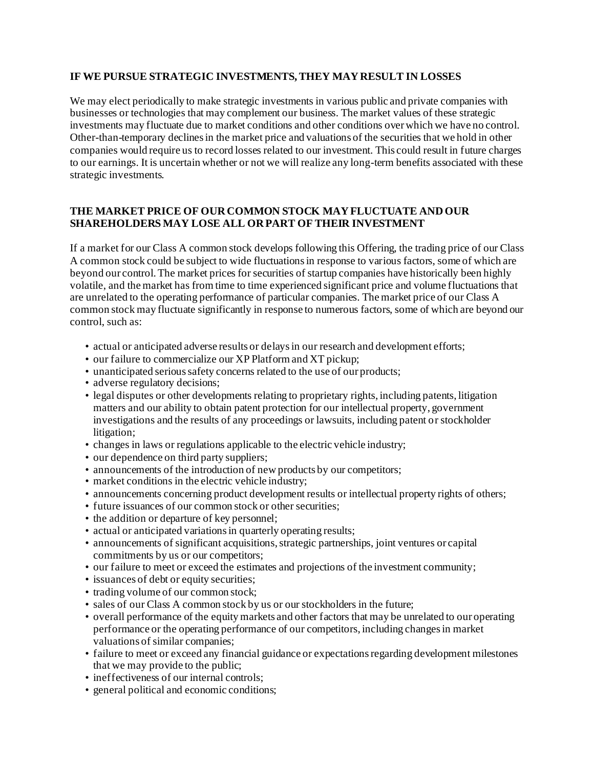#### **IF WE PURSUE STRATEGIC INVESTMENTS, THEY MAY RESULT IN LOSSES**

We may elect periodically to make strategic investments in various public and private companies with businesses or technologies that may complement our business. The market values of these strategic investments may fluctuate due to market conditions and other conditions over which we have no control. Other-than-temporary declines in the market price and valuations of the securities that we hold in other companies would require us to record losses related to our investment. This could result in future charges to our earnings. It is uncertain whether or not we will realize any long-term benefits associated with these strategic investments.

## **THE MARKET PRICE OF OUR COMMON STOCK MAY FLUCTUATE AND OUR SHAREHOLDERS MAY LOSE ALL OR PART OF THEIR INVESTMENT**

If a market for our Class A common stock develops following this Offering, the trading price of our Class A common stock could be subject to wide fluctuations in response to various factors, some of which are beyond our control. The market prices for securities of startup companies have historically been highly volatile, and the market has from time to time experienced significant price and volume fluctuations that are unrelated to the operating performance of particular companies. The market price of our Class A common stock may fluctuate significantly in response to numerous factors, some of which are beyond our control, such as:

- actual or anticipated adverse results or delays in our research and development efforts;
- our failure to commercialize our XP Platform and XT pickup;
- unanticipated serious safety concerns related to the use of our products;
- adverse regulatory decisions;
- legal disputes or other developments relating to proprietary rights, including patents, litigation matters and our ability to obtain patent protection for our intellectual property, government investigations and the results of any proceedings or lawsuits, including patent or stockholder litigation;
- changes in laws or regulations applicable to the electric vehicle industry;
- our dependence on third party suppliers;
- announcements of the introduction of new products by our competitors;
- market conditions in the electric vehicle industry;
- announcements concerning product development results or intellectual property rights of others;
- future issuances of our common stock or other securities;
- the addition or departure of key personnel;
- actual or anticipated variations in quarterly operating results;
- announcements of significant acquisitions, strategic partnerships, joint ventures or capital commitments by us or our competitors;
- our failure to meet or exceed the estimates and projections of the investment community;
- issuances of debt or equity securities;
- trading volume of our common stock;
- sales of our Class A common stock by us or our stockholders in the future;
- overall performance of the equity markets and other factors that may be unrelated to our operating performance or the operating performance of our competitors, including changes in market valuations of similar companies;
- failure to meet or exceed any financial guidance or expectations regarding development milestones that we may provide to the public;
- ineffectiveness of our internal controls;
- general political and economic conditions;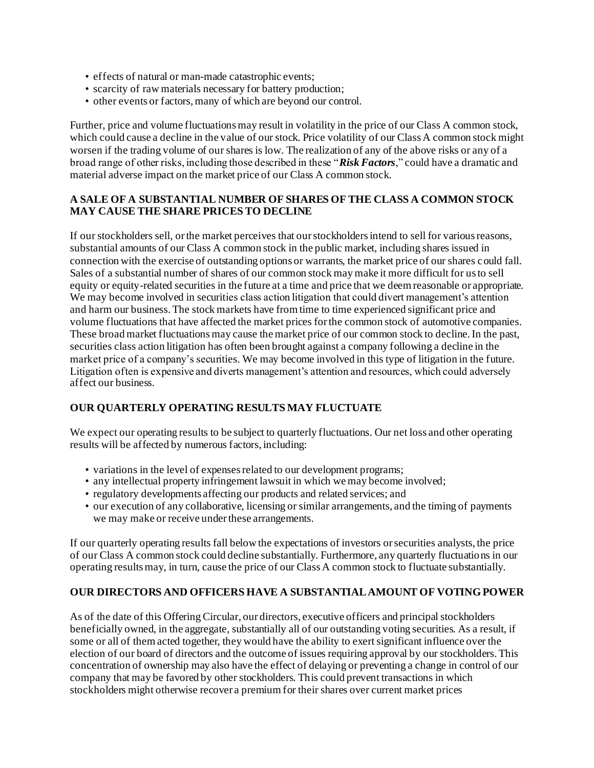- effects of natural or man-made catastrophic events;
- scarcity of raw materials necessary for battery production;
- other events or factors, many of which are beyond our control.

Further, price and volume fluctuations may result in volatility in the price of our Class A common stock, which could cause a decline in the value of our stock. Price volatility of our Class A common stock might worsen if the trading volume of our shares is low. The realization of any of the above risks or any of a broad range of other risks, including those described in these "*Risk Factors*," could have a dramatic and material adverse impact on the market price of our Class A common stock.

#### **A SALE OF A SUBSTANTIAL NUMBER OF SHARES OF THE CLASS A COMMON STOCK MAY CAUSE THE SHARE PRICES TO DECLINE**

If our stockholders sell, or the market perceives that our stockholders intend to sell for various reasons, substantial amounts of our Class A common stock in the public market, including shares issued in connection with the exercise of outstanding options or warrants, the market price of our shares could fall. Sales of a substantial number of shares of our common stock may make it more difficult for us to sell equity or equity-related securities in the future at a time and price that we deem reasonable or appropriate. We may become involved in securities class action litigation that could divert management's attention and harm our business. The stock markets have from time to time experienced significant price and volume fluctuations that have affected the market prices for the common stock of automotive companies. These broad market fluctuations may cause the market price of our common stock to decline. In the past, securities class action litigation has often been brought against a company following a decline in the market price of a company's securities. We may become involved in this type of litigation in the future. Litigation often is expensive and diverts management's attention and resources, which could adversely affect our business.

# **OUR QUARTERLY OPERATING RESULTS MAY FLUCTUATE**

We expect our operating results to be subject to quarterly fluctuations. Our net loss and other operating results will be affected by numerous factors, including:

- variations in the level of expenses related to our development programs;
- any intellectual property infringement lawsuit in which we may become involved;
- regulatory developments affecting our products and related services; and
- our execution of any collaborative, licensing or similar arrangements, and the timing of payments we may make or receive under these arrangements.

If our quarterly operating results fall below the expectations of investors or securities analysts, the price of our Class A common stock could decline substantially. Furthermore, any quarterly fluctuations in our operating results may, in turn, cause the price of our Class A common stock to fluctuate substantially.

#### **OUR DIRECTORS AND OFFICERS HAVE A SUBSTANTIAL AMOUNT OF VOTING POWER**

As of the date of this Offering Circular, our directors, executive officers and principal stockholders beneficially owned, in the aggregate, substantially all of our outstanding voting securities. As a result, if some or all of them acted together, they would have the ability to exert significant influence over the election of our board of directors and the outcome of issues requiring approval by our stockholders. This concentration of ownership may also have the effect of delaying or preventing a change in control of our company that may be favored by other stockholders. This could prevent transactions in which stockholders might otherwise recover a premium for their shares over current market prices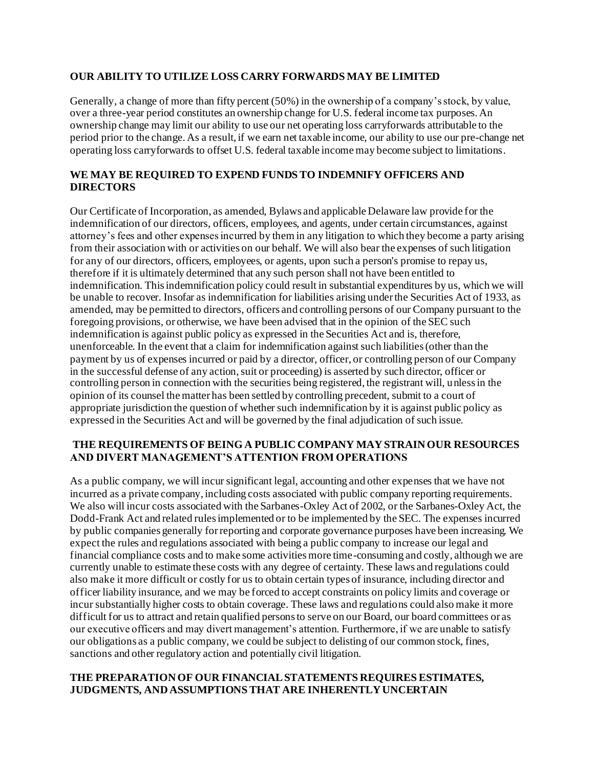#### **OUR ABILITY TO UTILIZE LOSS CARRY FORWARDS MAY BE LIMITED**

Generally, a change of more than fifty percent (50%) in the ownership of a company's stock, by value, over a three-year period constitutes an ownership change for U.S. federal income tax purposes. An ownership change may limit our ability to use our net operating loss carryforwards attributable to the period prior to the change. As a result, if we earn net taxable income, our ability to use our pre-change net operating loss carryforwards to offset U.S. federal taxable income may become subject to limitations.

# **WE MAY BE REQUIRED TO EXPEND FUNDS TO INDEMNIFY OFFICERS AND DIRECTORS**

Our Certificate of Incorporation, as amended, Bylaws and applicable Delaware law provide for the indemnification of our directors, officers, employees, and agents, under certain circumstances, against attorney's fees and other expenses incurred by them in any litigation to which they become a party arising from their association with or activities on our behalf. We will also bear the expenses of such litigation for any of our directors, officers, employees, or agents, upon such a person's promise to repay us, therefore if it is ultimately determined that any such person shall not have been entitled to indemnification. This indemnification policy could result in substantial expenditures by us, which we will be unable to recover. Insofar as indemnification for liabilities arising under the Securities Act of 1933, as amended, may be permitted to directors, officers and controlling persons of our Company pursuant to the foregoing provisions, or otherwise, we have been advised that in the opinion of the SEC such indemnification is against public policy as expressed in the Securities Act and is, therefore, unenforceable. In the event that a claim for indemnification against such liabilities (other than the payment by us of expenses incurred or paid by a director, officer, or controlling person of our Company in the successful defense of any action, suit or proceeding) is asserted by such director, officer or controlling person in connection with the securities being registered, the registrant will, unless in the opinion of its counsel the matter has been settled by controlling precedent, submit to a court of appropriate jurisdiction the question of whether such indemnification by it is against public policy as expressed in the Securities Act and will be governed by the final adjudication of such issue.

#### **THE REQUIREMENTS OF BEING A PUBLIC COMPANY MAY STRAIN OUR RESOURCES AND DIVERT MANAGEMENT'S ATTENTION FROM OPERATIONS**

As a public company, we will incur significant legal, accounting and other expenses that we have not incurred as a private company, including costs associated with public company reporting requirements. We also will incur costs associated with the Sarbanes-Oxley Act of 2002, or the Sarbanes-Oxley Act, the Dodd-Frank Act and related rules implemented or to be implemented by the SEC. The expenses incurred by public companies generally for reporting and corporate governance purposes have been increasing. We expect the rules and regulations associated with being a public company to increase our legal and financial compliance costs and to make some activities more time-consuming and costly, although we are currently unable to estimate these costs with any degree of certainty. These laws and regulations could also make it more difficult or costly for us to obtain certain types of insurance, including director and officer liability insurance, and we may be forced to accept constraints on policy limits and coverage or incur substantially higher costs to obtain coverage. These laws and regulations could also make it more difficult for us to attract and retain qualified persons to serve on our Board, our board committees or as our executive officers and may divert management's attention. Furthermore, if we are unable to satisfy our obligations as a public company, we could be subject to delisting of our common stock, fines, sanctions and other regulatory action and potentially civil litigation.

## **THE PREPARATION OF OUR FINANCIAL STATEMENTS REQUIRES ESTIMATES, JUDGMENTS, AND ASSUMPTIONS THAT ARE INHERENTLY UNCERTAIN**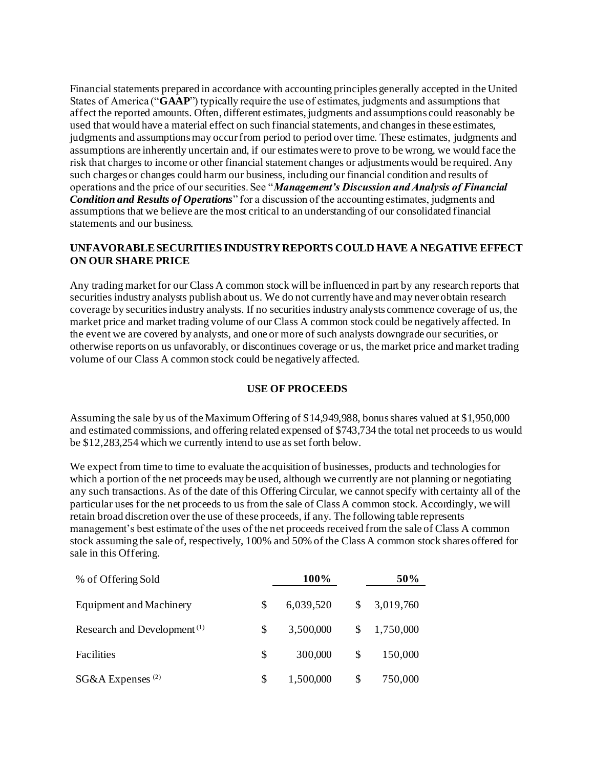Financial statements prepared in accordance with accounting principles generally accepted in the United States of America ("**GAAP**") typically require the use of estimates, judgments and assumptions that affect the reported amounts. Often, different estimates, judgments and assumptions could reasonably be used that would have a material effect on such financial statements, and changes in these estimates, judgments and assumptions may occur from period to period over time. These estimates, judgments and assumptions are inherently uncertain and, if our estimates were to prove to be wrong, we would face the risk that charges to income or other financial statement changes or adjustments would be required. Any such charges or changes could harm our business, including our financial condition and results of operations and the price of our securities. See "*Management's Discussion and Analysis of Financial Condition and Results of Operations*" for a discussion of the accounting estimates, judgments and assumptions that we believe are the most critical to an understanding of our consolidated financial statements and our business.

# **UNFAVORABLE SECURITIES INDUSTRY REPORTS COULD HAVE A NEGATIVE EFFECT ON OUR SHARE PRICE**

Any trading market for our Class A common stock will be influenced in part by any research reports that securities industry analysts publish about us. We do not currently have and may never obtain research coverage by securities industry analysts. If no securities industry analysts commence coverage of us, the market price and market trading volume of our Class A common stock could be negatively affected. In the event we are covered by analysts, and one or more of such analysts downgrade our securities, or otherwise reports on us unfavorably, or discontinues coverage or us, the market price and market trading volume of our Class A common stock could be negatively affected.

### **USE OF PROCEEDS**

Assuming the sale by us of the Maximum Offering of \$14,949,988, bonus shares valued at \$1,950,000 and estimated commissions, and offering related expensed of \$743,734 the total net proceeds to us would be \$12,283,254 which we currently intend to use as set forth below.

We expect from time to time to evaluate the acquisition of businesses, products and technologies for which a portion of the net proceeds may be used, although we currently are not planning or negotiating any such transactions. As of the date of this Offering Circular, we cannot specify with certainty all of the particular uses for the net proceeds to us from the sale of Class A common stock. Accordingly, we will retain broad discretion over the use of these proceeds, if any. The following table represents management's best estimate of the uses of the net proceeds received from the sale of Class A common stock assuming the sale of, respectively, 100% and 50% of the Class A common stock shares offered for sale in this Offering.

| % of Offering Sold                      |    | 100%      |    | 50%       |  |
|-----------------------------------------|----|-----------|----|-----------|--|
| <b>Equipment and Machinery</b>          | S  | 6,039,520 | S  | 3,019,760 |  |
| Research and Development <sup>(1)</sup> | S  | 3,500,000 | \$ | 1,750,000 |  |
| Facilities                              | S  | 300,000   | S  | 150,000   |  |
| $SG&A$ Expenses <sup>(2)</sup>          | \$ | 1,500,000 | \$ | 750,000   |  |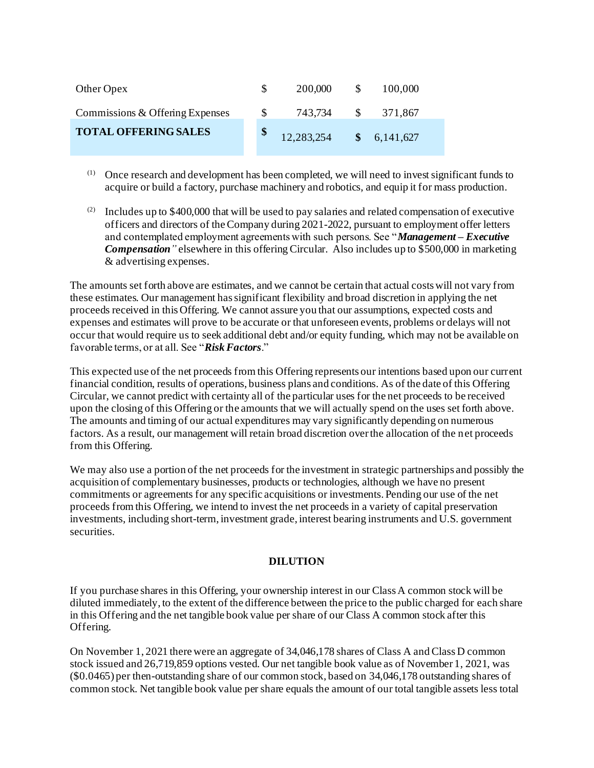| Other Opex                      | 200,000                 | -S  | 100,000 |
|---------------------------------|-------------------------|-----|---------|
| Commissions & Offering Expenses | 743,734                 | -SS | 371,867 |
| <b>TOTAL OFFERING SALES</b>     | 12,283,254 \$ 6,141,627 |     |         |

- (1) Once research and development has been completed, we will need to invest significant funds to acquire or build a factory, purchase machinery and robotics, and equip it for mass production.
- (2) Includes up to  $$400,000$  that will be used to pay salaries and related compensation of executive officers and directors of the Company during 2021-2022, pursuant to employment offer letters and contemplated employment agreements with such persons. See "*Management – Executive Compensation"* elsewhere in this offering Circular. Also includes up to \$500,000 in marketing & advertising expenses.

The amounts set forth above are estimates, and we cannot be certain that actual costs will not vary from these estimates. Our management has significant flexibility and broad discretion in applying the net proceeds received in this Offering. We cannot assure you that our assumptions, expected costs and expenses and estimates will prove to be accurate or that unforeseen events, problems or delays will not occur that would require us to seek additional debt and/or equity funding, which may not be available on favorable terms, or at all. See "*Risk Factors*."

This expected use of the net proceeds from this Offering represents our intentions based upon our current financial condition, results of operations, business plans and conditions. As of the date of this Offering Circular, we cannot predict with certainty all of the particular uses for the net proceeds to be received upon the closing of this Offering or the amounts that we will actually spend on the uses set forth above. The amounts and timing of our actual expenditures may vary significantly depending on numerous factors. As a result, our management will retain broad discretion over the allocation of the net proceeds from this Offering.

We may also use a portion of the net proceeds for the investment in strategic partnerships and possibly the acquisition of complementary businesses, products or technologies, although we have no present commitments or agreements for any specific acquisitions or investments. Pending our use of the net proceeds from this Offering, we intend to invest the net proceeds in a variety of capital preservation investments, including short-term, investment grade, interest bearing instruments and U.S. government securities.

### **DILUTION**

If you purchase shares in this Offering, your ownership interest in our Class A common stock will be diluted immediately, to the extent of the difference between the price to the public charged for each share in this Offering and the net tangible book value per share of our Class A common stock after this Offering.

On November 1, 2021 there were an aggregate of 34,046,178 shares of Class A and Class D common stock issued and 26,719,859 options vested. Our net tangible book value as of November 1, 2021, was (\$0.0465) per then-outstanding share of our common stock, based on 34,046,178 outstanding shares of common stock. Net tangible book value per share equals the amount of our total tangible assets less total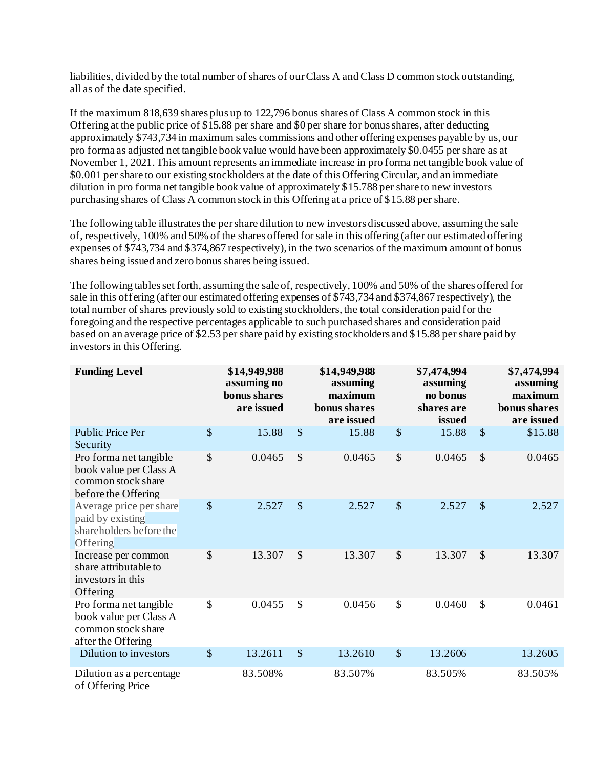liabilities, divided by the total number of shares of our Class A and Class D common stock outstanding, all as of the date specified.

If the maximum 818,639 shares plus up to 122,796 bonus shares of Class A common stock in this Offering at the public price of \$15.88 per share and \$0 per share for bonus shares, after deducting approximately \$743,734 in maximum sales commissions and other offering expenses payable by us, our pro forma as adjusted net tangible book value would have been approximately \$0.0455 per share as at November 1, 2021. This amount represents an immediate increase in pro forma net tangible book value of \$0.001 per share to our existing stockholders at the date of this Offering Circular, and an immediate dilution in pro forma net tangible book value of approximately \$15.788 per share to new investors purchasing shares of Class A common stock in this Offering at a price of \$15.88 per share.

The following table illustrates the per share dilution to new investors discussed above, assuming the sale of, respectively, 100% and 50% of the shares offered for sale in this offering (after our estimated offering expenses of \$743,734 and \$374,867 respectively), in the two scenarios of the maximum amount of bonus shares being issued and zero bonus shares being issued.

The following tables set forth, assuming the sale of, respectively, 100% and 50% of the shares offered for sale in this offering (after our estimated offering expenses of \$743,734 and \$374,867 respectively), the total number of shares previously sold to existing stockholders, the total consideration paid for the foregoing and the respective percentages applicable to such purchased shares and consideration paid based on an average price of \$2.53 per share paid by existing stockholders and \$15.88 per share paid by investors in this Offering.

| <b>Funding Level</b>                                                                          |                           | \$14,949,988<br>assuming no<br>bonus shares<br>are issued |               | \$14,949,988<br>assuming<br>maximum<br>bonus shares<br>are issued |                           | \$7,474,994<br>assuming<br>no bonus<br>shares are<br>issued |               | \$7,474,994<br>assuming<br>maximum<br>bonus shares<br>are issued |
|-----------------------------------------------------------------------------------------------|---------------------------|-----------------------------------------------------------|---------------|-------------------------------------------------------------------|---------------------------|-------------------------------------------------------------|---------------|------------------------------------------------------------------|
| <b>Public Price Per</b><br>Security                                                           | \$                        | 15.88                                                     | \$            | 15.88                                                             | $\boldsymbol{\mathsf{S}}$ | 15.88                                                       | $\mathcal{S}$ | \$15.88                                                          |
| Pro forma net tangible<br>book value per Class A<br>common stock share<br>before the Offering | $\boldsymbol{\mathsf{S}}$ | 0.0465                                                    | \$            | 0.0465                                                            | \$                        | 0.0465                                                      | $\mathcal{S}$ | 0.0465                                                           |
| Average price per share<br>paid by existing<br>shareholders before the<br>Offering            | $\boldsymbol{\mathsf{S}}$ | 2.527                                                     | $\mathcal{S}$ | 2.527                                                             | $\boldsymbol{\mathsf{S}}$ | 2.527                                                       | $\mathcal{S}$ | 2.527                                                            |
| Increase per common<br>share attributable to<br>investors in this<br>Offering                 | $\mathcal{S}$             | 13.307                                                    | $\mathcal{S}$ | 13.307                                                            | $\mathcal{S}$             | 13.307                                                      | $\mathcal{S}$ | 13.307                                                           |
| Pro forma net tangible<br>book value per Class A<br>common stock share<br>after the Offering  | $\mathcal{S}$             | 0.0455                                                    | \$            | 0.0456                                                            | $\mathbb{S}$              | 0.0460                                                      | \$            | 0.0461                                                           |
| Dilution to investors                                                                         | $\$\$                     | 13.2611                                                   | $\mathcal{S}$ | 13.2610                                                           | \$                        | 13.2606                                                     |               | 13.2605                                                          |
| Dilution as a percentage<br>of Offering Price                                                 |                           | 83.508%                                                   |               | 83.507%                                                           |                           | 83.505%                                                     |               | 83.505%                                                          |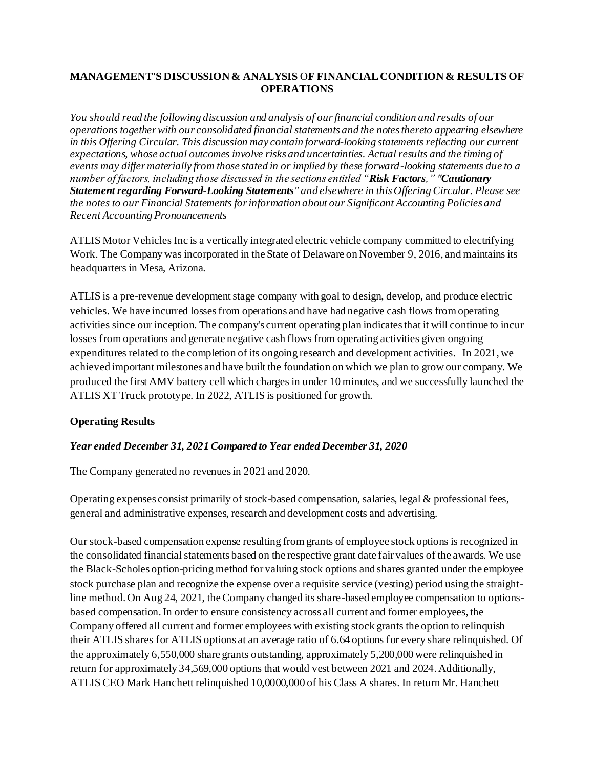# **MANAGEMENT'S DISCUSSION & ANALYSIS** O**F FINANCIAL CONDITION & RESULTS OF OPERATIONS**

*You should read the following discussion and analysis of our financial condition and results of our operations together with our consolidated financial statements and the notes thereto appearing elsewhere in this Offering Circular. This discussion may contain forward-looking statements reflecting our current expectations, whose actual outcomes involve risks and uncertainties. Actual results and the timing of events may differ materially from those stated in or implied by these forward-looking statements due to a number of factors, including those discussed in the sections entitled "Risk Factors," "Cautionary Statement regarding Forward-Looking Statements" and elsewhere in this Offering Circular. Please see the notes to our Financial Statements for information about our Significant Accounting Policies and Recent Accounting Pronouncements*

ATLIS Motor Vehicles Inc is a vertically integrated electric vehicle company committed to electrifying Work. The Company was incorporated in the State of Delaware on November 9, 2016, and maintains its headquarters in Mesa, Arizona.

ATLIS is a pre-revenue development stage company with goal to design, develop, and produce electric vehicles. We have incurred losses from operations and have had negative cash flows from operating activities since our inception. The company's current operating plan indicates that it will continue to incur losses from operations and generate negative cash flows from operating activities given ongoing expenditures related to the completion of its ongoing research and development activities. In 2021, we achieved important milestones and have built the foundation on which we plan to grow our company. We produced the first AMV battery cell which charges in under 10 minutes, and we successfully launched the ATLIS XT Truck prototype. In 2022, ATLIS is positioned for growth.

# **Operating Results**

# *Year ended December 31, 2021 Compared to Year ended December 31, 2020*

The Company generated no revenues in 2021 and 2020.

Operating expenses consist primarily of stock-based compensation, salaries, legal & professional fees, general and administrative expenses, research and development costs and advertising.

Our stock-based compensation expense resulting from grants of employee stock options is recognized in the consolidated financial statements based on the respective grant date fair values of the awards. We use the Black-Scholes option-pricing method for valuing stock options and shares granted under the employee stock purchase plan and recognize the expense over a requisite service (vesting) period using the straightline method. On Aug 24, 2021, the Company changed its share-based employee compensation to optionsbased compensation. In order to ensure consistency across all current and former employees, the Company offered all current and former employees with existing stock grants the option to relinquish their ATLIS shares for ATLIS options at an average ratio of 6.64 options for every share relinquished. Of the approximately 6,550,000 share grants outstanding, approximately 5,200,000 were relinquished in return for approximately 34,569,000 options that would vest between 2021 and 2024. Additionally, ATLIS CEO Mark Hanchett relinquished 10,0000,000 of his Class A shares. In return Mr. Hanchett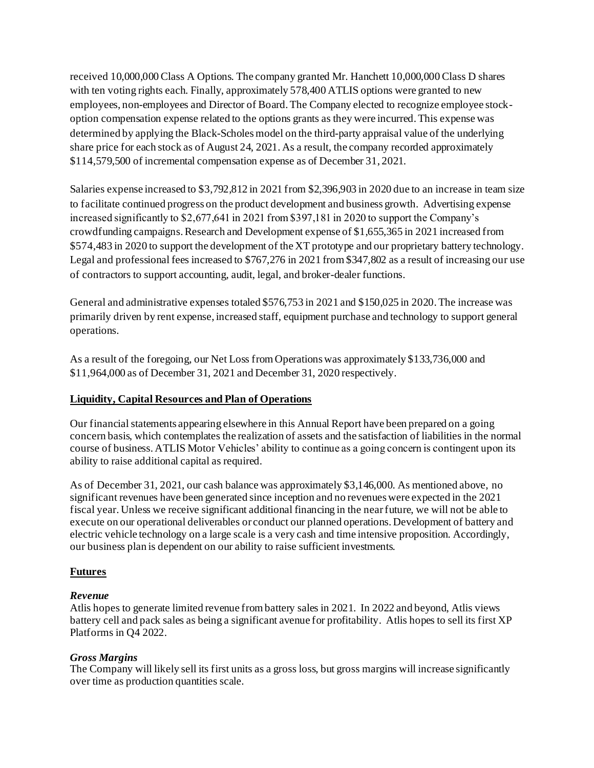received 10,000,000 Class A Options. The company granted Mr. Hanchett 10,000,000 Class D shares with ten voting rights each. Finally, approximately 578,400 ATLIS options were granted to new employees, non-employees and Director of Board. The Company elected to recognize employee stockoption compensation expense related to the options grants as they were incurred. This expense was determined by applying the Black-Scholes model on the third-party appraisal value of the underlying share price for each stock as of August 24, 2021. As a result, the company recorded approximately \$114,579,500 of incremental compensation expense as of December 31, 2021.

Salaries expense increased to \$3,792,812 in 2021 from \$2,396,903 in 2020 due to an increase in team size to facilitate continued progress on the product development and business growth. Advertising expense increased significantly to \$2,677,641 in 2021 from \$397,181 in 2020 to support the Company's crowdfunding campaigns. Research and Development expense of \$1,655,365 in 2021 increased from \$574,483 in 2020 to support the development of the XT prototype and our proprietary battery technology. Legal and professional fees increased to \$767,276 in 2021 from \$347,802 as a result of increasing our use of contractors to support accounting, audit, legal, and broker-dealer functions.

General and administrative expenses totaled \$576,753 in 2021 and \$150,025 in 2020. The increase was primarily driven by rent expense, increased staff, equipment purchase and technology to support general operations.

As a result of the foregoing, our Net Loss from Operations was approximately \$133,736,000 and \$11,964,000 as of December 31, 2021 and December 31, 2020 respectively.

# **Liquidity, Capital Resources and Plan of Operations**

Our financial statements appearing elsewhere in this Annual Report have been prepared on a going concern basis, which contemplates the realization of assets and the satisfaction of liabilities in the normal course of business. ATLIS Motor Vehicles' ability to continue as a going concern is contingent upon its ability to raise additional capital as required.

As of December 31, 2021, our cash balance was approximately \$3,146,000. As mentioned above, no significant revenues have been generated since inception and no revenues were expected in the 2021 fiscal year. Unless we receive significant additional financing in the near future, we will not be able to execute on our operational deliverables or conduct our planned operations. Development of battery and electric vehicle technology on a large scale is a very cash and time intensive proposition. Accordingly, our business plan is dependent on our ability to raise sufficient investments.

# **Futures**

# *Revenue*

Atlis hopes to generate limited revenue from battery sales in 2021. In 2022 and beyond, Atlis views battery cell and pack sales as being a significant avenue for profitability. Atlis hopes to sell its first XP Platforms in Q4 2022.

# *Gross Margins*

The Company will likely sell its first units as a gross loss, but gross margins will increase significantly over time as production quantities scale.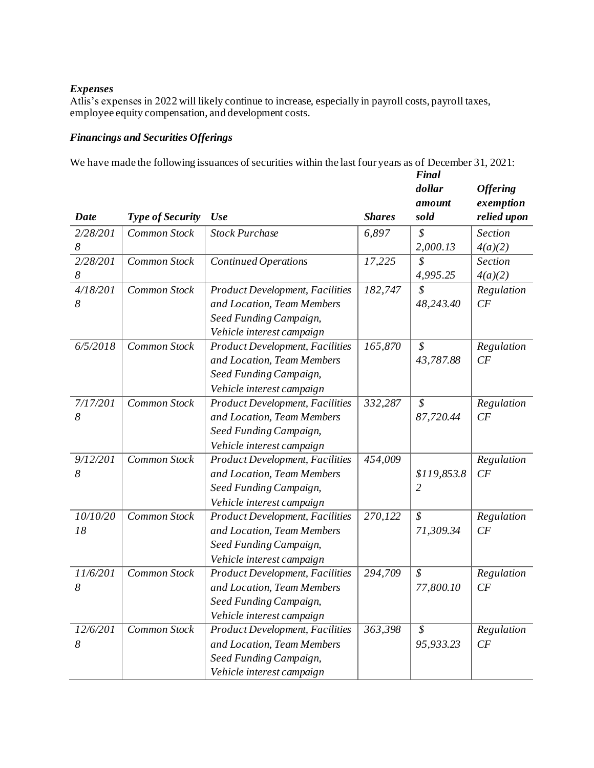# *Expenses*

Atlis's expenses in 2022 will likely continue to increase, especially in payroll costs, payroll taxes, employee equity compensation, and development costs.

# *Financings and Securities Offerings*

We have made the following issuances of securities within the last four years as of December 31, 2021: *Final* 

| Date     | <b>Type of Security</b> | Use                                    | <b>Shares</b> | dollar<br>amount<br>sold | <b>Offering</b><br>exemption<br>relied upon |
|----------|-------------------------|----------------------------------------|---------------|--------------------------|---------------------------------------------|
| 2/28/201 | <b>Common Stock</b>     | <b>Stock Purchase</b>                  | 6,897         | \$                       | <b>Section</b>                              |
| 8        |                         |                                        |               | 2,000.13                 | 4(a)(2)                                     |
| 2/28/201 | <b>Common Stock</b>     | <b>Continued Operations</b>            | 17,225        | $\mathcal{S}_{0}$        | Section                                     |
| 8        |                         |                                        |               | 4,995.25                 | 4(a)(2)                                     |
| 4/18/201 | Common Stock            | <b>Product Development, Facilities</b> | 182,747       | $\mathcal{S}_{0}$        | Regulation                                  |
| 8        |                         | and Location, Team Members             |               | 48,243.40                | CF                                          |
|          |                         | Seed Funding Campaign,                 |               |                          |                                             |
|          |                         | Vehicle interest campaign              |               |                          |                                             |
| 6/5/2018 | Common Stock            | <b>Product Development, Facilities</b> | 165,870       | $\mathcal{S}$            | Regulation                                  |
|          |                         | and Location, Team Members             |               | 43,787.88                | CF                                          |
|          |                         | Seed Funding Campaign,                 |               |                          |                                             |
|          |                         | Vehicle interest campaign              |               |                          |                                             |
| 7/17/201 | Common Stock            | <b>Product Development, Facilities</b> | 332,287       | $\mathcal{S}$            | Regulation                                  |
| 8        |                         | and Location, Team Members             |               | 87,720.44                | CF                                          |
|          |                         | Seed Funding Campaign,                 |               |                          |                                             |
|          |                         | Vehicle interest campaign              |               |                          |                                             |
| 9/12/201 | Common Stock            | <b>Product Development, Facilities</b> | 454,009       |                          | Regulation                                  |
| 8        |                         | and Location, Team Members             |               | \$119,853.8              | CF                                          |
|          |                         | Seed Funding Campaign,                 |               | $\overline{2}$           |                                             |
|          |                         | Vehicle interest campaign              |               |                          |                                             |
| 10/10/20 | Common Stock            | <b>Product Development, Facilities</b> | 270,122       | $\mathcal{S}_{0}$        | Regulation                                  |
| 18       |                         | and Location, Team Members             |               | 71,309.34                | CF                                          |
|          |                         | Seed Funding Campaign,                 |               |                          |                                             |
|          |                         | Vehicle interest campaign              |               |                          |                                             |
| 11/6/201 | Common Stock            | <b>Product Development, Facilities</b> | 294,709       | $\mathcal{S}_{0}$        | Regulation                                  |
| 8        |                         | and Location, Team Members             |               | 77,800.10                | CF                                          |
|          |                         | Seed Funding Campaign,                 |               |                          |                                             |
|          |                         | Vehicle interest campaign              |               |                          |                                             |
| 12/6/201 | Common Stock            | <b>Product Development, Facilities</b> | 363,398       | \$                       | Regulation                                  |
| 8        |                         | and Location, Team Members             |               | 95,933.23                | CF                                          |
|          |                         | Seed Funding Campaign,                 |               |                          |                                             |
|          |                         | Vehicle interest campaign              |               |                          |                                             |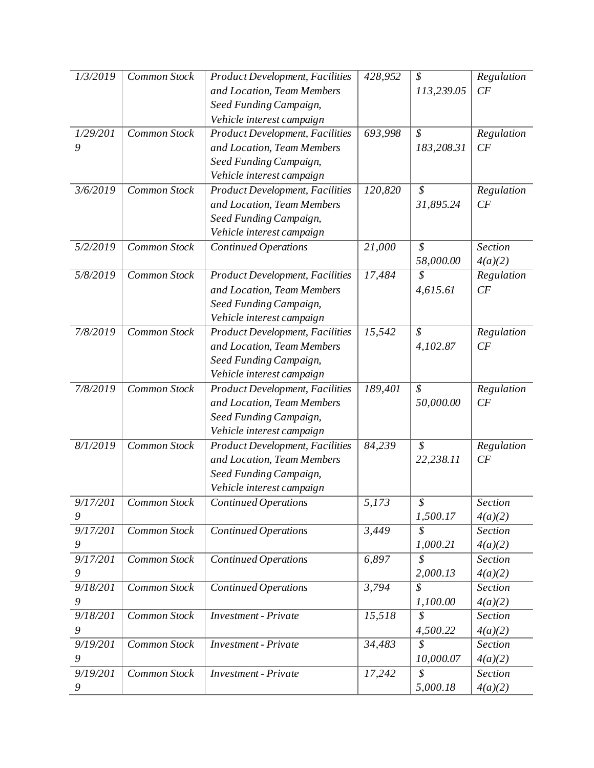| 1/3/2019              | Common Stock | <b>Product Development, Facilities</b> | 428,952 | \$                         | Regulation |
|-----------------------|--------------|----------------------------------------|---------|----------------------------|------------|
|                       |              | and Location, Team Members             |         | 113,239.05                 | CF         |
|                       |              | Seed Funding Campaign,                 |         |                            |            |
|                       |              | Vehicle interest campaign              |         |                            |            |
| 1/29/201              | Common Stock | <b>Product Development, Facilities</b> | 693,998 | $\mathcal{S}$              | Regulation |
| 9                     |              | and Location, Team Members             |         | 183,208.31                 | CF         |
|                       |              | Seed Funding Campaign,                 |         |                            |            |
|                       |              | Vehicle interest campaign              |         |                            |            |
| 3/6/2019              | Common Stock | <b>Product Development, Facilities</b> | 120,820 | $\mathcal{S}$              | Regulation |
|                       |              | and Location, Team Members             |         | 31,895.24                  | CF         |
|                       |              | Seed Funding Campaign,                 |         |                            |            |
|                       |              | Vehicle interest campaign              |         |                            |            |
| 5/2/2019              | Common Stock | <b>Continued Operations</b>            | 21,000  | $\overline{s}$             | Section    |
|                       |              |                                        |         | 58,000.00                  | 4(a)(2)    |
| 5/8/2019              | Common Stock | <b>Product Development, Facilities</b> | 17,484  | $\mathcal{S}_{0}$          | Regulation |
|                       |              | and Location, Team Members             |         | 4,615.61                   | CF         |
|                       |              | Seed Funding Campaign,                 |         |                            |            |
|                       |              | Vehicle interest campaign              |         |                            |            |
| 7/8/2019              | Common Stock | <b>Product Development, Facilities</b> | 15,542  | $\boldsymbol{\mathcal{S}}$ | Regulation |
|                       |              | and Location, Team Members             |         | 4,102.87                   | CF         |
|                       |              | Seed Funding Campaign,                 |         |                            |            |
|                       |              | Vehicle interest campaign              |         |                            |            |
| 7/8/2019              | Common Stock | <b>Product Development, Facilities</b> | 189,401 | $\mathcal{S}_{0}$          | Regulation |
|                       |              | and Location, Team Members             |         | 50,000.00                  | CF         |
|                       |              | Seed Funding Campaign,                 |         |                            |            |
|                       |              | Vehicle interest campaign              |         |                            |            |
| $\frac{8}{1}{2019}$   | Common Stock | <b>Product Development, Facilities</b> | 84,239  | $\overline{\mathcal{S}}$   | Regulation |
|                       |              | and Location, Team Members             |         | 22,238.11                  | CF         |
|                       |              | Seed Funding Campaign,                 |         |                            |            |
|                       |              | Vehicle interest campaign              |         |                            |            |
| 9/17/201              | Common Stock | <b>Continued Operations</b>            | 5,173   | \$                         | Section    |
| 9                     |              |                                        |         | 1,500.17                   | 4(a)(2)    |
| 9/17/201              | Common Stock | <b>Continued Operations</b>            | 3,449   | $\mathcal{S}$              | Section    |
| 9                     |              |                                        |         | 1,000.21                   | 4(a)(2)    |
| 9/17/201              | Common Stock | <b>Continued Operations</b>            | 6,897   | \$                         | Section    |
| 9                     |              |                                        |         | 2,000.13                   | 4(a)(2)    |
| $\overline{9}/18/201$ | Common Stock | <b>Continued Operations</b>            | 3,794   | \$                         | Section    |
| 9                     |              |                                        |         | 1,100.00                   | 4(a)(2)    |
| 9/18/201              | Common Stock | <b>Investment</b> - Private            | 15,518  | $\mathcal{S}$              | Section    |
| 9                     |              |                                        |         | 4,500.22                   | 4(a)(2)    |
| 9/19/201              | Common Stock | <b>Investment</b> - Private            | 34,483  | $\boldsymbol{\mathcal{S}}$ | Section    |
| 9                     |              |                                        |         | 10,000.07                  | 4(a)(2)    |
| 9/19/201              | Common Stock | <b>Investment</b> - Private            | 17,242  | \$                         | Section    |
| 9                     |              |                                        |         | 5,000.18                   | 4(a)(2)    |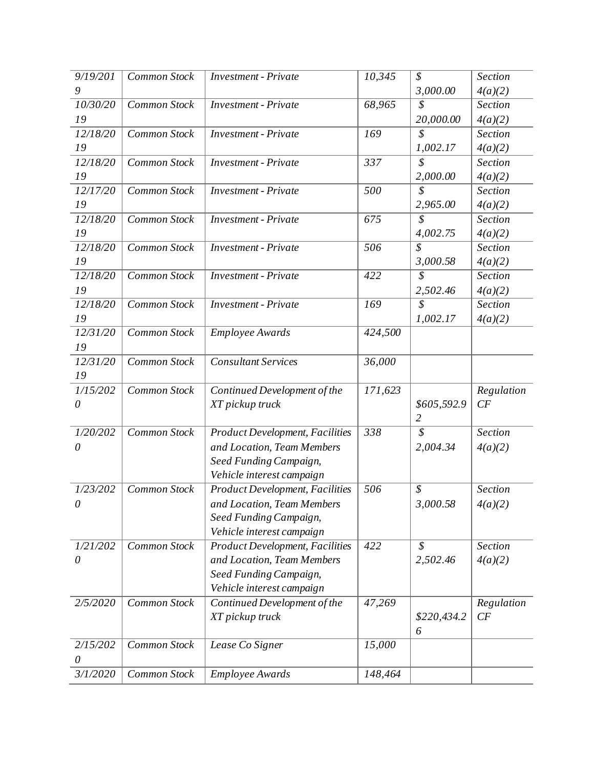| 9/19/201           | <b>Common Stock</b> | <b>Investment</b> - Private                                         | 10,345  | $\mathcal{S}$              | Section        |
|--------------------|---------------------|---------------------------------------------------------------------|---------|----------------------------|----------------|
| 9                  |                     |                                                                     |         | 3,000.00                   | 4(a)(2)        |
| 10/30/20           | Common Stock        | <b>Investment</b> - Private                                         | 68,965  | \$                         | Section        |
| 19                 |                     |                                                                     |         | 20,000.00                  | 4(a)(2)        |
| 12/18/20           | Common Stock        | <b>Investment</b> - Private                                         | 169     | \$                         | Section        |
| 19                 |                     |                                                                     |         | 1,002.17                   | 4(a)(2)        |
| 12/18/20           | Common Stock        | <b>Investment</b> - Private                                         | 337     | \$                         | Section        |
| 19                 |                     |                                                                     |         | 2,000.00                   | 4(a)(2)        |
| 12/17/20           | Common Stock        | <b>Investment</b> - Private                                         | 500     | \$                         | Section        |
| 19                 |                     |                                                                     |         | 2,965.00                   | 4(a)(2)        |
| 12/18/20           | Common Stock        | <b>Investment</b> - Private                                         | 675     | $\overline{\mathcal{S}}$   | Section        |
| 19                 |                     |                                                                     |         | 4,002.75                   | 4(a)(2)        |
| 12/18/20           | Common Stock        | <b>Investment</b> - Private                                         | 506     | $\overline{s}$             | <b>Section</b> |
| 19                 |                     |                                                                     |         | 3,000.58                   | 4(a)(2)        |
| $\frac{12}{18/20}$ | Common Stock        | <b>Investment</b> - Private                                         | 422     | $\mathcal{S}_{0}$          | <b>Section</b> |
| 19                 |                     |                                                                     |         | 2,502.46                   | 4(a)(2)        |
| 12/18/20           | Common Stock        | <b>Investment</b> - Private                                         | 169     | $\overline{s}$             | <b>Section</b> |
| 19                 |                     |                                                                     |         | 1,002.17                   | 4(a)(2)        |
| $\frac{12}{3}1/20$ | Common Stock        | <b>Employee Awards</b>                                              | 424,500 |                            |                |
| 19                 |                     |                                                                     |         |                            |                |
| 12/31/20           | Common Stock        | <b>Consultant Services</b>                                          | 36,000  |                            |                |
| 19                 |                     |                                                                     |         |                            |                |
| 1/15/202           | <b>Common Stock</b> | Continued Development of the                                        | 171,623 |                            | Regulation     |
| $\theta$           |                     | XT pickup truck                                                     |         | \$605,592.9                | CF             |
|                    |                     |                                                                     |         | $\overline{2}$             |                |
| 1/20/202           | <b>Common Stock</b> | <b>Product Development, Facilities</b>                              | 338     | $\mathcal{S}_{0}$          | Section        |
| $\theta$           |                     | and Location, Team Members                                          |         | 2,004.34                   | 4(a)(2)        |
|                    |                     | Seed Funding Campaign,                                              |         |                            |                |
|                    |                     | Vehicle interest campaign                                           |         |                            |                |
| 1/23/202           | <b>Common Stock</b> | <b>Product Development, Facilities</b>                              | 506     | $\boldsymbol{\mathcal{S}}$ | Section        |
| $\theta$           |                     | and Location, Team Members                                          |         | 3,000.58                   | 4(a)(2)        |
|                    |                     | Seed Funding Campaign,                                              |         |                            |                |
| 1/21/202           | Common Stock        | Vehicle interest campaign<br><b>Product Development, Facilities</b> | 422     | $\mathcal{S}_{0}$          | Section        |
| $\theta$           |                     | and Location, Team Members                                          |         | 2,502.46                   | 4(a)(2)        |
|                    |                     |                                                                     |         |                            |                |
|                    |                     | Seed Funding Campaign,<br>Vehicle interest campaign                 |         |                            |                |
| 2/5/2020           | Common Stock        | Continued Development of the                                        | 47,269  |                            | Regularion     |
|                    |                     | XT pickup truck                                                     |         | \$220,434.2                | CF             |
|                    |                     |                                                                     |         | 6                          |                |
| 2/15/202           | Common Stock        | Lease Co Signer                                                     | 15,000  |                            |                |
| $\theta$           |                     |                                                                     |         |                            |                |
| 3/1/2020           | Common Stock        | <b>Employee Awards</b>                                              | 148,464 |                            |                |
|                    |                     |                                                                     |         |                            |                |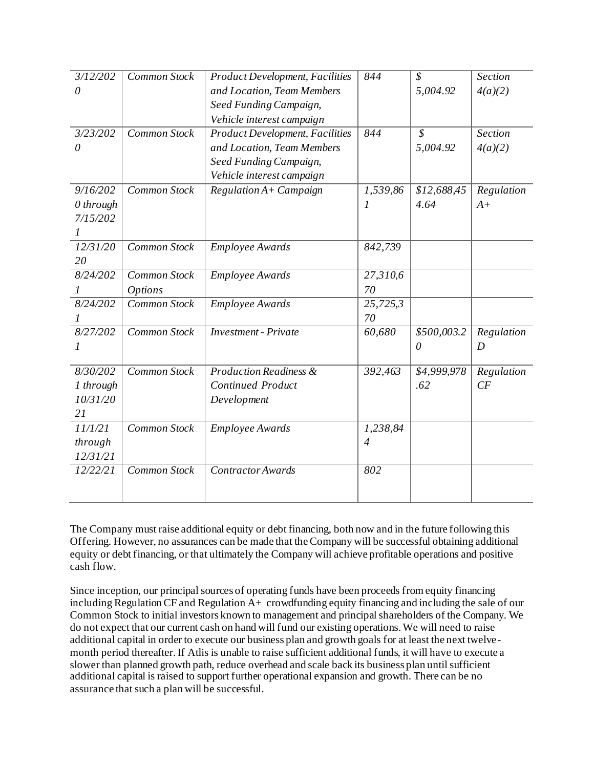| 3/12/202           | <b>Common Stock</b> | <b>Product Development, Facilities</b> | 844                   | $\mathcal{S}_{0}$        | <b>Section</b> |
|--------------------|---------------------|----------------------------------------|-----------------------|--------------------------|----------------|
| $\theta$           |                     | and Location, Team Members             |                       | 5,004.92                 | 4(a)(2)        |
|                    |                     | Seed Funding Campaign,                 |                       |                          |                |
|                    |                     | Vehicle interest campaign              |                       |                          |                |
| 3/23/202           | <b>Common Stock</b> | <b>Product Development, Facilities</b> | 844                   | $\overline{\mathcal{S}}$ | <b>Section</b> |
| $\theta$           |                     | and Location, Team Members             |                       | 5,004.92                 | 4(a)(2)        |
|                    |                     | Seed Funding Campaign,                 |                       |                          |                |
|                    |                     | Vehicle interest campaign              |                       |                          |                |
| 9/16/202           | Common Stock        | Regulation A+ Campaign                 | 1,539,86              | \$12,688,45              | Regulation     |
| $0$ through        |                     |                                        | 1                     | 4.64                     | $A+$           |
| 7/15/202           |                     |                                        |                       |                          |                |
|                    |                     |                                        |                       |                          |                |
| $\frac{12}{3}1/20$ | Common Stock        | <b>Employee Awards</b>                 | 842,739               |                          |                |
| 20                 |                     |                                        |                       |                          |                |
| 8/24/202           | Common Stock        | <b>Employee Awards</b>                 | $\overline{27,310,6}$ |                          |                |
| 1                  | <b>Options</b>      |                                        | 70                    |                          |                |
| 8/24/202           | Common Stock        | <b>Employee Awards</b>                 | 25,725,3              |                          |                |
|                    |                     |                                        | 70                    |                          |                |
| 8/27/202           | Common Stock        | <b>Investment</b> - Private            | 60,680                | \$500,003.2              | Regulation     |
| 1                  |                     |                                        |                       | $\theta$                 | $\overline{D}$ |
|                    |                     |                                        |                       |                          |                |
| 8/30/202           | Common Stock        | <b>Production Readiness &amp;</b>      | 392,463               | \$4,999,978              | Regulation     |
| 1 through          |                     | <b>Continued Product</b>               |                       | .62                      | CF             |
| 10/31/20           |                     | Development                            |                       |                          |                |
| 21                 |                     |                                        |                       |                          |                |
| 11/1/21            | Common Stock        | <b>Employee Awards</b>                 | 1,238,84              |                          |                |
| through            |                     |                                        | $\overline{4}$        |                          |                |
| 12/31/21           |                     |                                        |                       |                          |                |
| 12/22/21           | Common Stock        | <b>Contractor Awards</b>               | 802                   |                          |                |
|                    |                     |                                        |                       |                          |                |
|                    |                     |                                        |                       |                          |                |

The Company must raise additional equity or debt financing, both now and in the future following this Offering. However, no assurances can be made that the Company will be successful obtaining additional equity or debt financing, or that ultimately the Company will achieve profitable operations and positive cash flow.

Since inception, our principal sources of operating funds have been proceeds from equity financing including Regulation CF and Regulation  $\overline{A}$  crowdfunding equity financing and including the sale of our Common Stock to initial investors known to management and principal shareholders of the Company. We do not expect that our current cash on hand will fund our existing operations. We will need to raise additional capital in order to execute our business plan and growth goals for at least the next twelvemonth period thereafter. If Atlis is unable to raise sufficient additional funds, it will have to execute a slower than planned growth path, reduce overhead and scale back its business plan until sufficient additional capital is raised to support further operational expansion and growth. There can be no assurance that such a plan will be successful.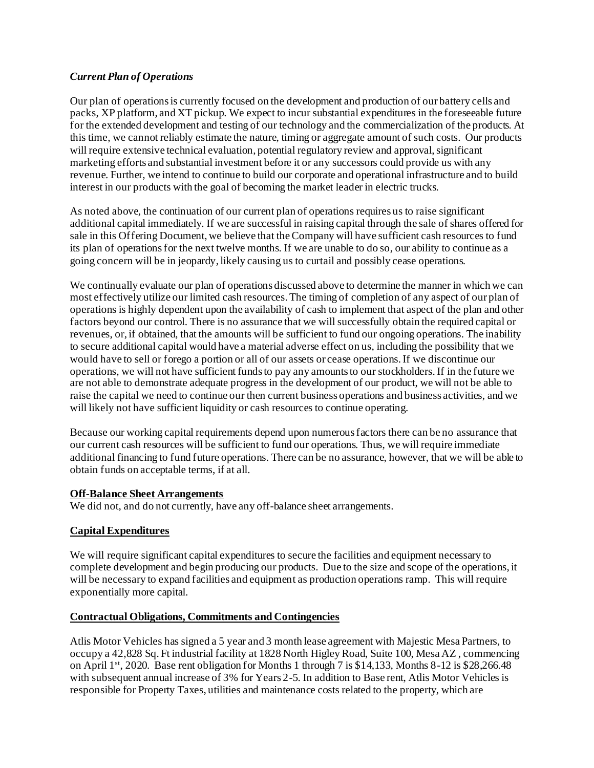# *Current Plan of Operations*

Our plan of operations is currently focused on the development and production of our battery cells and packs, XP platform, and XT pickup. We expect to incur substantial expenditures in the foreseeable future for the extended development and testing of our technology and the commercialization of the products. At this time, we cannot reliably estimate the nature, timing or aggregate amount of such costs. Our products will require extensive technical evaluation, potential regulatory review and approval, significant marketing efforts and substantial investment before it or any successors could provide us with any revenue. Further, we intend to continue to build our corporate and operational infrastructure and to build interest in our products with the goal of becoming the market leader in electric trucks.

As noted above, the continuation of our current plan of operations requires us to raise significant additional capital immediately. If we are successful in raising capital through the sale of shares offered for sale in this Offering Document, we believe that the Company will have sufficient cash resources to fund its plan of operations for the next twelve months. If we are unable to do so, our ability to continue as a going concern will be in jeopardy, likely causing us to curtail and possibly cease operations.

We continually evaluate our plan of operations discussed above to determine the manner in which we can most effectively utilize our limited cash resources. The timing of completion of any aspect of our plan of operations is highly dependent upon the availability of cash to implement that aspect of the plan and other factors beyond our control. There is no assurance that we will successfully obtain the required capital or revenues, or, if obtained, that the amounts will be sufficient to fund our ongoing operations. The inability to secure additional capital would have a material adverse effect on us, including the possibility that we would have to sell or forego a portion or all of our assets or cease operations. If we discontinue our operations, we will not have sufficient funds to pay any amounts to our stockholders. If in the future we are not able to demonstrate adequate progress in the development of our product, we will not be able to raise the capital we need to continue our then current business operations and business activities, and we will likely not have sufficient liquidity or cash resources to continue operating.

Because our working capital requirements depend upon numerous factors there can be no assurance that our current cash resources will be sufficient to fund our operations. Thus, we will require immediate additional financing to fund future operations. There can be no assurance, however, that we will be able to obtain funds on acceptable terms, if at all.

### **Off-Balance Sheet Arrangements**

We did not, and do not currently, have any off-balance sheet arrangements.

# **Capital Expenditures**

We will require significant capital expenditures to secure the facilities and equipment necessary to complete development and begin producing our products. Due to the size and scope of the operations, it will be necessary to expand facilities and equipment as production operations ramp. This will require exponentially more capital.

### **Contractual Obligations, Commitments and Contingencies**

Atlis Motor Vehicles has signed a 5 year and 3 month lease agreement with Majestic Mesa Partners, to occupy a 42,828 Sq. Ft industrial facility at 1828 North Higley Road, Suite 100, Mesa AZ , commencing on April 1st, 2020. Base rent obligation for Months 1 through 7 is \$14,133, Months 8-12 is \$28,266.48 with subsequent annual increase of 3% for Years 2-5. In addition to Base rent, Atlis Motor Vehicles is responsible for Property Taxes, utilities and maintenance costs related to the property, which are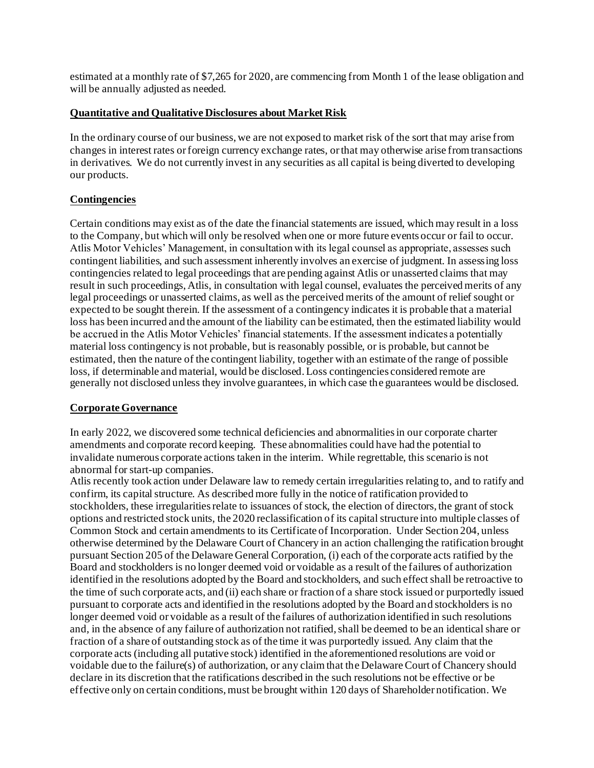estimated at a monthly rate of \$7,265 for 2020, are commencing from Month 1 of the lease obligation and will be annually adjusted as needed.

### **Quantitative and Qualitative Disclosures about Market Risk**

In the ordinary course of our business, we are not exposed to market risk of the sort that may arise from changes in interest rates or foreign currency exchange rates, or that may otherwise arise from transactions in derivatives. We do not currently invest in any securities as all capital is being diverted to developing our products.

# **Contingencies**

Certain conditions may exist as of the date the financial statements are issued, which may result in a loss to the Company, but which will only be resolved when one or more future events occur or fail to occur. Atlis Motor Vehicles' Management, in consultation with its legal counsel as appropriate, assesses such contingent liabilities, and such assessment inherently involves an exercise of judgment. In assessing loss contingencies related to legal proceedings that are pending against Atlis or unasserted claims that may result in such proceedings, Atlis, in consultation with legal counsel, evaluates the perceived merits of any legal proceedings or unasserted claims, as well as the perceived merits of the amount of relief sought or expected to be sought therein. If the assessment of a contingency indicates it is probable that a material loss has been incurred and the amount of the liability can be estimated, then the estimated liability would be accrued in the Atlis Motor Vehicles' financial statements. If the assessment indicates a potentially material loss contingency is not probable, but is reasonably possible, or is probable, but cannot be estimated, then the nature of the contingent liability, together with an estimate of the range of possible loss, if determinable and material, would be disclosed. Loss contingencies considered remote are generally not disclosed unless they involve guarantees, in which case the guarantees would be disclosed.

### **Corporate Governance**

In early 2022, we discovered some technical deficiencies and abnormalities in our corporate charter amendments and corporate record keeping. These abnormalities could have had the potential to invalidate numerous corporate actions taken in the interim. While regrettable, this scenario is not abnormal for start-up companies.

Atlis recently took action under Delaware law to remedy certain irregularities relating to, and to ratify and confirm, its capital structure. As described more fully in the notice of ratification provided to stockholders, these irregularities relate to issuances of stock, the election of directors, the grant of stock options and restricted stock units, the 2020 reclassification of its capital structure into multiple classes of Common Stock and certain amendments to its Certificate of Incorporation. Under Section 204, unless otherwise determined by the Delaware Court of Chancery in an action challenging the ratification brought pursuant Section 205 of the Delaware General Corporation, (i) each of the corporate acts ratified by the Board and stockholders is no longer deemed void or voidable as a result of the failures of authorization identified in the resolutions adopted by the Board and stockholders, and such effect shall be retroactive to the time of such corporate acts, and (ii) each share or fraction of a share stock issued or purportedly issued pursuant to corporate acts and identified in the resolutions adopted by the Board and stockholders is no longer deemed void or voidable as a result of the failures of authorization identified in such resolutions and, in the absence of any failure of authorization not ratified, shall be deemed to be an identical share or fraction of a share of outstanding stock as of the time it was purportedly issued. Any claim that the corporate acts (including all putative stock) identified in the aforementioned resolutions are void or voidable due to the failure(s) of authorization, or any claim that the Delaware Court of Chancery should declare in its discretion that the ratifications described in the such resolutions not be effective or be effective only on certain conditions, must be brought within 120 days of Shareholder notification. We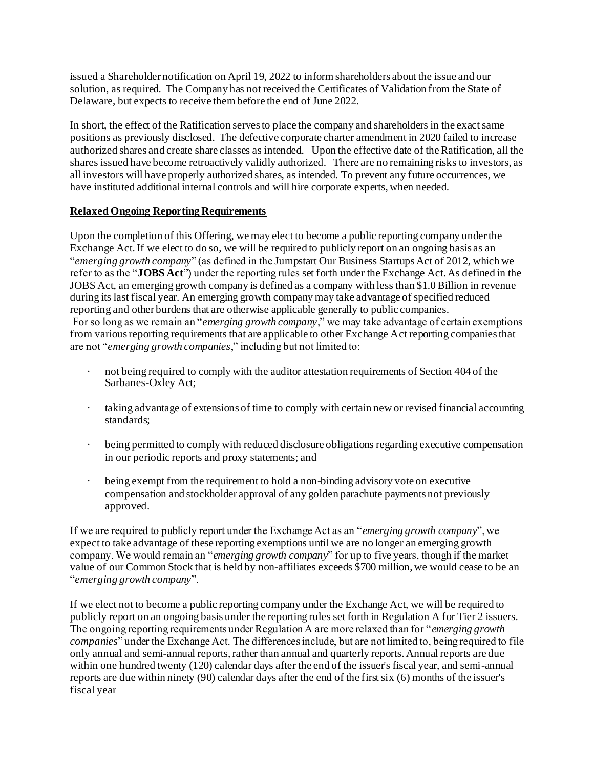issued a Shareholder notification on April 19, 2022 to inform shareholders about the issue and our solution, as required. The Company has not received the Certificates of Validation from the State of Delaware, but expects to receive them before the end of June 2022.

In short, the effect of the Ratification serves to place the company and shareholders in the exact same positions as previously disclosed. The defective corporate charter amendment in 2020 failed to increase authorized shares and create share classes as intended. Upon the effective date of the Ratification, all the shares issued have become retroactively validly authorized. There are no remaining risks to investors, as all investors will have properly authorized shares, as intended. To prevent any future occurrences, we have instituted additional internal controls and will hire corporate experts, when needed.

# **Relaxed Ongoing Reporting Requirements**

Upon the completion of this Offering, we may elect to become a public reporting company under the Exchange Act. If we elect to do so, we will be required to publicly report on an ongoing basis as an "*emerging growth company*" (as defined in the Jumpstart Our Business Startups Act of 2012, which we refer to as the "**JOBS Act**") under the reporting rules set forth under the Exchange Act. As defined in the JOBS Act, an emerging growth company is defined as a company with less than \$1.0 Billion in revenue during its last fiscal year. An emerging growth company may take advantage of specified reduced reporting and other burdens that are otherwise applicable generally to public companies. For so long as we remain an "*emerging growth company*," we may take advantage of certain exemptions from various reporting requirements that are applicable to other Exchange Act reporting companies that are not "*emerging growth companies*," including but not limited to:

- · not being required to comply with the auditor attestation requirements of Section 404 of the Sarbanes-Oxley Act;
- · taking advantage of extensions of time to comply with certain new or revised financial accounting standards;
- · being permitted to comply with reduced disclosure obligations regarding executive compensation in our periodic reports and proxy statements; and
- being exempt from the requirement to hold a non-binding advisory vote on executive compensation and stockholder approval of any golden parachute payments not previously approved.

If we are required to publicly report under the Exchange Act as an "*emerging growth company*", we expect to take advantage of these reporting exemptions until we are no longer an emerging growth company. We would remain an "*emerging growth company*" for up to five years, though if the market value of our Common Stock that is held by non-affiliates exceeds \$700 million, we would cease to be an "*emerging growth company*".

If we elect not to become a public reporting company under the Exchange Act, we will be required to publicly report on an ongoing basis under the reporting rules set forth in Regulation A for Tier 2 issuers. The ongoing reporting requirements under Regulation A are more relaxed than for "*emerging growth companies*" under the Exchange Act. The differences include, but are not limited to, being required to file only annual and semi-annual reports, rather than annual and quarterly reports. Annual reports are due within one hundred twenty (120) calendar days after the end of the issuer's fiscal year, and semi-annual reports are due within ninety (90) calendar days after the end of the first six (6) months of the issuer's fiscal year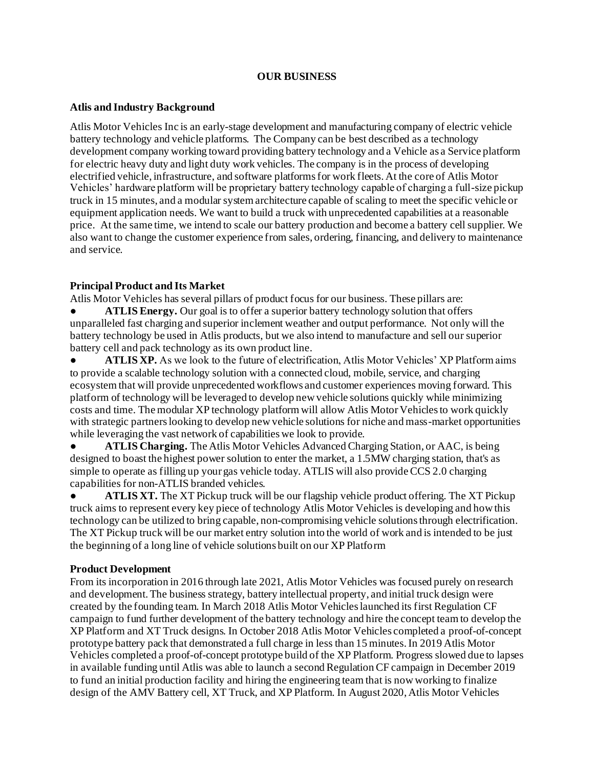### **OUR BUSINESS**

### **Atlis and Industry Background**

Atlis Motor Vehicles Inc is an early-stage development and manufacturing company of electric vehicle battery technology and vehicle platforms. The Company can be best described as a technology development company working toward providing battery technology and a Vehicle as a Service platform for electric heavy duty and light duty work vehicles. The company is in the process of developing electrified vehicle, infrastructure, and software platforms for work fleets. At the core of Atlis Motor Vehicles' hardware platform will be proprietary battery technology capable of charging a full-size pickup truck in 15 minutes, and a modular system architecture capable of scaling to meet the specific vehicle or equipment application needs. We want to build a truck with unprecedented capabilities at a reasonable price. At the same time, we intend to scale our battery production and become a battery cell supplier. We also want to change the customer experience from sales, ordering, financing, and delivery to maintenance and service.

# **Principal Product and Its Market**

Atlis Motor Vehicles has several pillars of product focus for our business. These pillars are:

ATLIS Energy. Our goal is to offer a superior battery technology solution that offers unparalleled fast charging and superior inclement weather and output performance. Not only will the battery technology be used in Atlis products, but we also intend to manufacture and sell our superior battery cell and pack technology as its own product line.

ATLIS XP. As we look to the future of electrification, Atlis Motor Vehicles' XP Platform aims to provide a scalable technology solution with a connected cloud, mobile, service, and charging ecosystem that will provide unprecedented workflows and customer experiences moving forward. This platform of technology will be leveraged to develop new vehicle solutions quickly while minimizing costs and time. The modular XP technology platform will allow Atlis Motor Vehicles to work quickly with strategic partners looking to develop new vehicle solutions for niche and mass-market opportunities while leveraging the vast network of capabilities we look to provide.

**• ATLIS Charging.** The Atlis Motor Vehicles Advanced Charging Station, or AAC, is being designed to boast the highest power solution to enter the market, a 1.5MW charging station, that's as simple to operate as filling up your gas vehicle today. ATLIS will also provide CCS 2.0 charging capabilities for non-ATLIS branded vehicles.

**• ATLIS XT.** The XT Pickup truck will be our flagship vehicle product offering. The XT Pickup truck aims to represent every key piece of technology Atlis Motor Vehicles is developing and how this technology can be utilized to bring capable, non-compromising vehicle solutions through electrification. The XT Pickup truck will be our market entry solution into the world of work and is intended to be just the beginning of a long line of vehicle solutions built on our XP Platform

### **Product Development**

From its incorporation in 2016 through late 2021, Atlis Motor Vehicles was focused purely on research and development. The business strategy, battery intellectual property, and initial truck design were created by the founding team. In March 2018 Atlis Motor Vehicles launched its first Regulation CF campaign to fund further development of the battery technology and hire the concept team to develop the XP Platform and XT Truck designs. In October 2018 Atlis Motor Vehicles completed a proof-of-concept prototype battery pack that demonstrated a full charge in less than 15 minutes. In 2019 Atlis Motor Vehicles completed a proof-of-concept prototype build of the XP Platform. Progress slowed due to lapses in available funding until Atlis was able to launch a second Regulation CF campaign in December 2019 to fund an initial production facility and hiring the engineering team that is now working to finalize design of the AMV Battery cell, XT Truck, and XP Platform. In August 2020, Atlis Motor Vehicles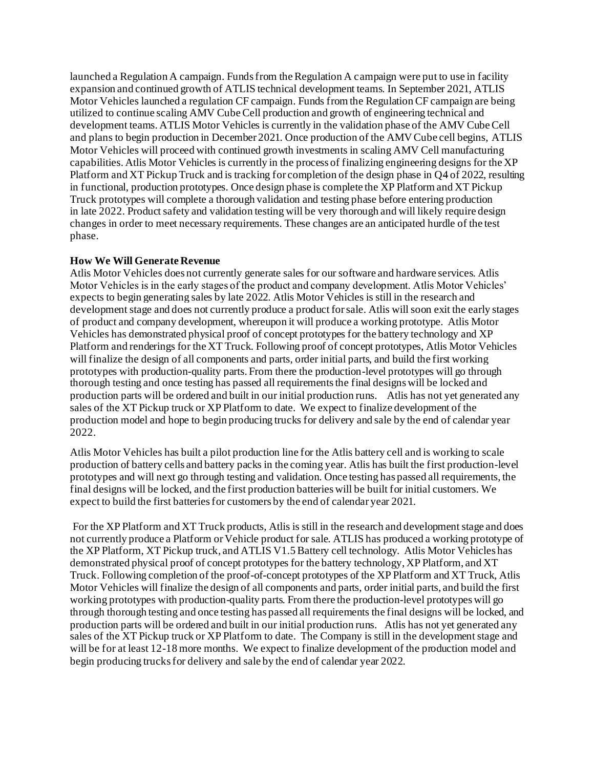launched a Regulation A campaign. Funds from the Regulation A campaign were put to use in facility expansion and continued growth of ATLIS technical development teams. In September 2021, ATLIS Motor Vehicles launched a regulation CF campaign. Funds from the Regulation CF campaign are being utilized to continue scaling AMV Cube Cell production and growth of engineering technical and development teams. ATLIS Motor Vehicles is currently in the validation phase of the AMV Cube Cell and plans to begin production in December 2021. Once production of the AMV Cube cell begins, ATLIS Motor Vehicles will proceed with continued growth investments in scaling AMV Cell manufacturing capabilities. Atlis Motor Vehicles is currently in the process of finalizing engineering designs for the XP Platform and XT Pickup Truck and is tracking for completion of the design phase in Q4 of 2022, resulting in functional, production prototypes. Once design phase is complete the XP Platform and XT Pickup Truck prototypes will complete a thorough validation and testing phase before entering production in late 2022. Product safety and validation testing will be very thorough and will likely require design changes in order to meet necessary requirements. These changes are an anticipated hurdle of the test phase.

### **How We Will Generate Revenue**

Atlis Motor Vehicles does not currently generate sales for our software and hardware services. Atlis Motor Vehicles is in the early stages of the product and company development. Atlis Motor Vehicles' expects to begin generating sales by late 2022. Atlis Motor Vehicles is still in the research and development stage and does not currently produce a product for sale. Atlis will soon exit the early stages of product and company development, whereupon it will produce a working prototype. Atlis Motor Vehicles has demonstrated physical proof of concept prototypes for the battery technology and XP Platform and renderings for the XT Truck. Following proof of concept prototypes, Atlis Motor Vehicles will finalize the design of all components and parts, order initial parts, and build the first working prototypes with production-quality parts. From there the production-level prototypes will go through thorough testing and once testing has passed all requirements the final designs will be locked and production parts will be ordered and built in our initial production runs. Atlis has not yet generated any sales of the XT Pickup truck or XP Platform to date. We expect to finalize development of the production model and hope to begin producing trucks for delivery and sale by the end of calendar year 2022.

Atlis Motor Vehicles has built a pilot production line for the Atlis battery cell and is working to scale production of battery cells and battery packs in the coming year. Atlis has built the first production-level prototypes and will next go through testing and validation. Once testing has passed all requirements, the final designs will be locked, and the first production batteries will be built for initial customers. We expect to build the first batteries for customers by the end of calendar year 2021.

For the XP Platform and XT Truck products, Atlis is still in the research and development stage and does not currently produce a Platform or Vehicle product for sale. ATLIS has produced a working prototype of the XP Platform, XT Pickup truck, and ATLIS V1.5 Battery cell technology. Atlis Motor Vehicles has demonstrated physical proof of concept prototypes for the battery technology, XP Platform, and XT Truck. Following completion of the proof-of-concept prototypes of the XP Platform and XT Truck, Atlis Motor Vehicles will finalize the design of all components and parts, order initial parts, and build the first working prototypes with production-quality parts. From there the production-level prototypes will go through thorough testing and once testing has passed all requirements the final designs will be locked, and production parts will be ordered and built in our initial production runs. Atlis has not yet generated any sales of the XT Pickup truck or XP Platform to date. The Company is still in the development stage and will be for at least 12-18 more months. We expect to finalize development of the production model and begin producing trucks for delivery and sale by the end of calendar year 2022.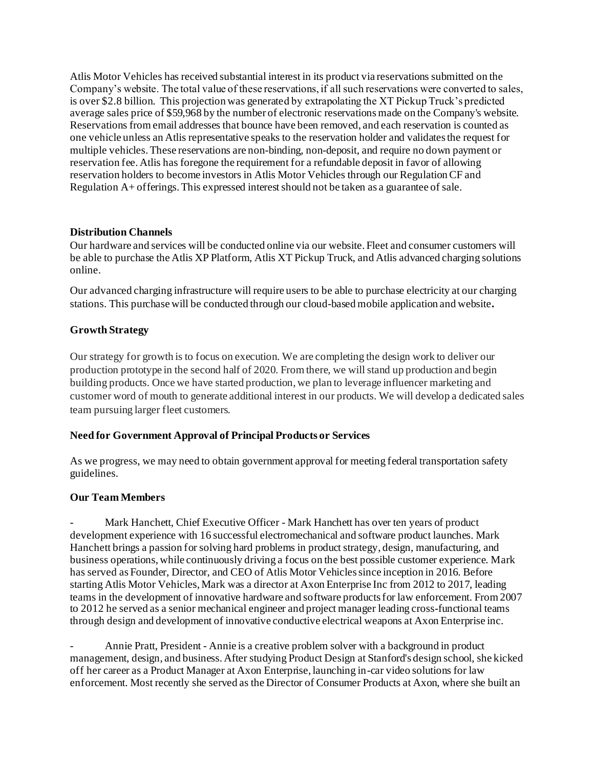Atlis Motor Vehicles has received substantial interest in its product via reservations submitted on the Company's website. The total value of these reservations, if all such reservations were converted to sales, is over \$2.8 billion. This projection was generated by extrapolating the XT Pickup Truck's predicted average sales price of \$59,968 by the number of electronic reservations made on the Company's website. Reservations from email addresses that bounce have been removed, and each reservation is counted as one vehicle unless an Atlis representative speaks to the reservation holder and validates the request for multiple vehicles. These reservations are non-binding, non-deposit, and require no down payment or reservation fee. Atlis has foregone the requirement for a refundable deposit in favor of allowing reservation holders to become investors in Atlis Motor Vehicles through our Regulation CF and Regulation A+ offerings. This expressed interest should not be taken as a guarantee of sale.

# **Distribution Channels**

Our hardware and services will be conducted online via our website. Fleet and consumer customers will be able to purchase the Atlis XP Platform, Atlis XT Pickup Truck, and Atlis advanced charging solutions online.

Our advanced charging infrastructure will require users to be able to purchase electricity at our charging stations. This purchase will be conducted through our cloud-based mobile application and website**.** 

# **Growth Strategy**

Our strategy for growth is to focus on execution. We are completing the design work to deliver our production prototype in the second half of 2020. From there, we will stand up production and begin building products. Once we have started production, we plan to leverage influencer marketing and customer word of mouth to generate additional interest in our products. We will develop a dedicated sales team pursuing larger fleet customers.

# **Need for Government Approval of Principal Products or Services**

As we progress, we may need to obtain government approval for meeting federal transportation safety guidelines.

### **Our Team Members**

Mark Hanchett, Chief Executive Officer - Mark Hanchett has over ten years of product development experience with 16 successful electromechanical and software product launches. Mark Hanchett brings a passion for solving hard problems in product strategy, design, manufacturing, and business operations, while continuously driving a focus on the best possible customer experience. Mark has served as Founder, Director, and CEO of Atlis Motor Vehicles since inception in 2016. Before starting Atlis Motor Vehicles, Mark was a director at Axon Enterprise Inc from 2012 to 2017, leading teams in the development of innovative hardware and software products for law enforcement. From 2007 to 2012 he served as a senior mechanical engineer and project manager leading cross-functional teams through design and development of innovative conductive electrical weapons at Axon Enterprise inc.

- Annie Pratt, President - Annie is a creative problem solver with a background in product management, design, and business. After studying Product Design at Stanford's design school, she kicked off her career as a Product Manager at Axon Enterprise, launching in-car video solutions for law enforcement. Most recently she served as the Director of Consumer Products at Axon, where she built an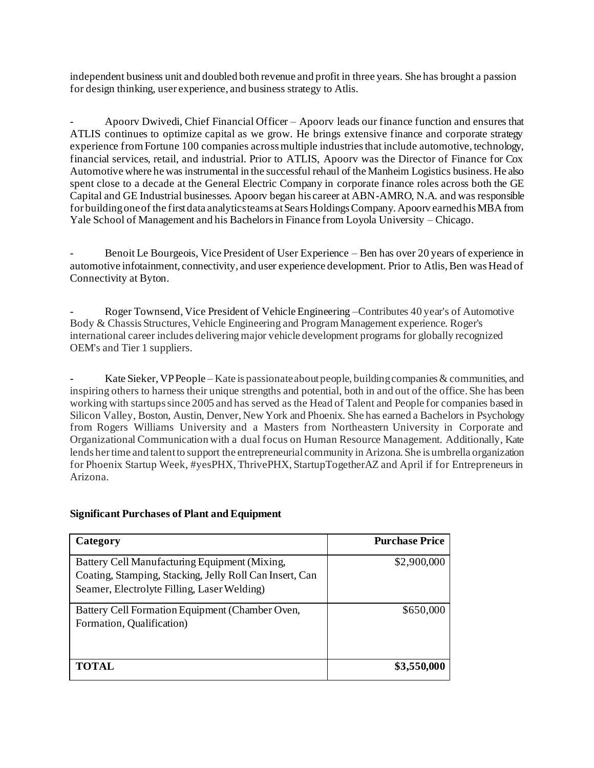independent business unit and doubled both revenue and profit in three years. She has brought a passion for design thinking, user experience, and business strategy to Atlis.

- Apoorv Dwivedi, Chief Financial Officer – Apoorv leads our finance function and ensures that ATLIS continues to optimize capital as we grow. He brings extensive finance and corporate strategy experience from Fortune 100 companies across multiple industries that include automotive, technology, financial services, retail, and industrial. Prior to ATLIS, Apoorv was the Director of Finance for Cox Automotive where he was instrumental in the successful rehaul of the Manheim Logistics business. He also spent close to a decade at the General Electric Company in corporate finance roles across both the GE Capital and GE Industrial businesses. Apoorv began his career at ABN-AMRO, N.A. and was responsible for building one of the first data analytics teams at Sears Holdings Company. Apoorv earned his MBA from Yale School of Management and his Bachelors in Finance from Loyola University – Chicago.

- Benoit Le Bourgeois, Vice President of User Experience – Ben has over 20 years of experience in automotive infotainment, connectivity, and user experience development. Prior to Atlis, Ben was Head of Connectivity at Byton.

- Roger Townsend, Vice President of Vehicle Engineering –Contributes 40 year's of Automotive Body & Chassis Structures, Vehicle Engineering and Program Management experience. Roger's international career includes delivering major vehicle development programs for globally recognized OEM's and Tier 1 suppliers.

Kate Sieker, VP People – Kate is passionate about people, building companies & communities, and inspiring others to harness their unique strengths and potential, both in and out of the office. She has been working with startups since 2005 and has served as the Head of Talent and People for companies based in Silicon Valley, Boston, Austin, Denver, New York and Phoenix. She has earned a Bachelors in Psychology from Rogers Williams University and a Masters from Northeastern University in Corporate and Organizational Communication with a dual focus on Human Resource Management. Additionally, Kate lends her time and talent to support the entrepreneurial community in Arizona. She is umbrella organization for Phoenix Startup Week, #yesPHX, ThrivePHX, StartupTogetherAZ and April if for Entrepreneurs in Arizona.

# **Category Purchase Price** Battery Cell Manufacturing Equipment (Mixing, Coating, Stamping, Stacking, Jelly Roll Can Insert, Can Seamer, Electrolyte Filling, Laser Welding) \$2,900,000 Battery Cell Formation Equipment (Chamber Oven, Formation, Qualification) \$650,000 **TOTAL** \$3,550,000

# **Significant Purchases of Plant and Equipment**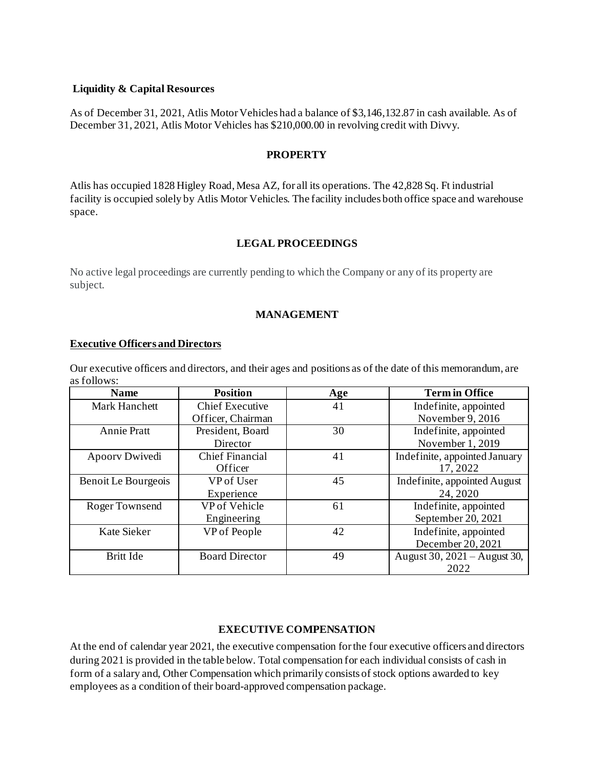### **Liquidity & Capital Resources**

As of December 31, 2021, Atlis Motor Vehicles had a balance of \$3,146,132.87 in cash available. As of December 31, 2021, Atlis Motor Vehicles has \$210,000.00 in revolving credit with Divvy.

### **PROPERTY**

Atlis has occupied 1828 Higley Road, Mesa AZ, for all its operations. The 42,828 Sq. Ft industrial facility is occupied solely by Atlis Motor Vehicles. The facility includes both office space and warehouse space.

# **LEGAL PROCEEDINGS**

No active legal proceedings are currently pending to which the Company or any of its property are subject.

### **MANAGEMENT**

### **Executive Officers and Directors**

Our executive officers and directors, and their ages and positions as of the date of this memorandum, are as follows:

| <b>Name</b>          | <b>Position</b>        | Age | <b>Term in Office</b>         |
|----------------------|------------------------|-----|-------------------------------|
| <b>Mark Hanchett</b> | <b>Chief Executive</b> | 41  | Indefinite, appointed         |
|                      | Officer, Chairman      |     | November 9, 2016              |
| <b>Annie Pratt</b>   | President, Board       | 30  | Indefinite, appointed         |
|                      | Director               |     | November 1, 2019              |
| Apoorv Dwivedi       | <b>Chief Financial</b> | 41  | Indefinite, appointed January |
|                      | Officer                |     | 17,2022                       |
| Benoit Le Bourgeois  | VP of User             | 45  | Indefinite, appointed August  |
|                      | Experience             |     | 24, 2020                      |
| Roger Townsend       | VP of Vehicle          | 61  | Indefinite, appointed         |
|                      | Engineering            |     | September 20, 2021            |
| Kate Sieker          | VP of People           | 42  | Indefinite, appointed         |
|                      |                        |     | December 20, 2021             |
| Britt Ide            | <b>Board Director</b>  | 49  | August 30, 2021 – August 30,  |
|                      |                        |     | 2022                          |

### **EXECUTIVE COMPENSATION**

At the end of calendar year 2021, the executive compensation for the four executive officers and directors during 2021 is provided in the table below. Total compensation for each individual consists of cash in form of a salary and, Other Compensation which primarily consists of stock options awarded to key employees as a condition of their board-approved compensation package.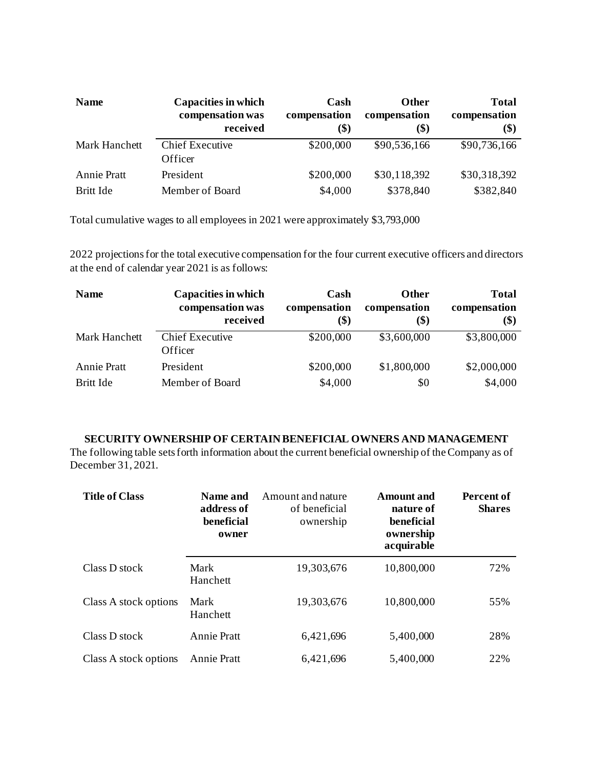| <b>Name</b>          | Capacities in which<br>compensation was<br>received | Cash<br>compensation<br>$\left( \text{\$}\right)$ | <b>Other</b><br>compensation<br>\$) | <b>Total</b><br>compensation<br>\$) |
|----------------------|-----------------------------------------------------|---------------------------------------------------|-------------------------------------|-------------------------------------|
| <b>Mark Hanchett</b> | <b>Chief Executive</b><br>Officer                   | \$200,000                                         | \$90,536,166                        | \$90,736,166                        |
| <b>Annie Pratt</b>   | President                                           | \$200,000                                         | \$30,118,392                        | \$30,318,392                        |
| <b>Britt Ide</b>     | Member of Board                                     | \$4,000                                           | \$378,840                           | \$382,840                           |

Total cumulative wages to all employees in 2021 were approximately \$3,793,000

2022 projections for the total executive compensation for the four current executive officers and directors at the end of calendar year 2021 is as follows:

| <b>Name</b>          | <b>Capacities in which</b><br>compensation was<br>received | Cash<br>compensation<br>(\$) | <b>Other</b><br>compensation<br>\$) | <b>Total</b><br>compensation<br>\$) |
|----------------------|------------------------------------------------------------|------------------------------|-------------------------------------|-------------------------------------|
| <b>Mark Hanchett</b> | <b>Chief Executive</b><br>Officer                          | \$200,000                    | \$3,600,000                         | \$3,800,000                         |
| <b>Annie Pratt</b>   | President                                                  | \$200,000                    | \$1,800,000                         | \$2,000,000                         |
| Britt Ide            | Member of Board                                            | \$4,000                      | \$0                                 | \$4,000                             |

### **SECURITY OWNERSHIP OF CERTAIN BENEFICIAL OWNERS AND MANAGEMENT**

The following table sets forth information about the current beneficial ownership of the Company as of December 31, 2021.

| <b>Title of Class</b> | Name and<br>address of<br>beneficial<br>owner | Amount and nature<br>of beneficial<br>ownership | <b>Amount</b> and<br>nature of<br>beneficial<br>ownership<br>acquirable | Percent of<br><b>Shares</b> |
|-----------------------|-----------------------------------------------|-------------------------------------------------|-------------------------------------------------------------------------|-----------------------------|
| Class D stock         | Mark<br>Hanchett                              | 19,303,676                                      | 10,800,000                                                              | 72%                         |
| Class A stock options | Mark<br>Hanchett                              | 19,303,676                                      | 10,800,000                                                              | 55%                         |
| Class D stock         | <b>Annie Pratt</b>                            | 6,421,696                                       | 5,400,000                                                               | 28%                         |
| Class A stock options | <b>Annie Pratt</b>                            | 6,421,696                                       | 5,400,000                                                               | 22%                         |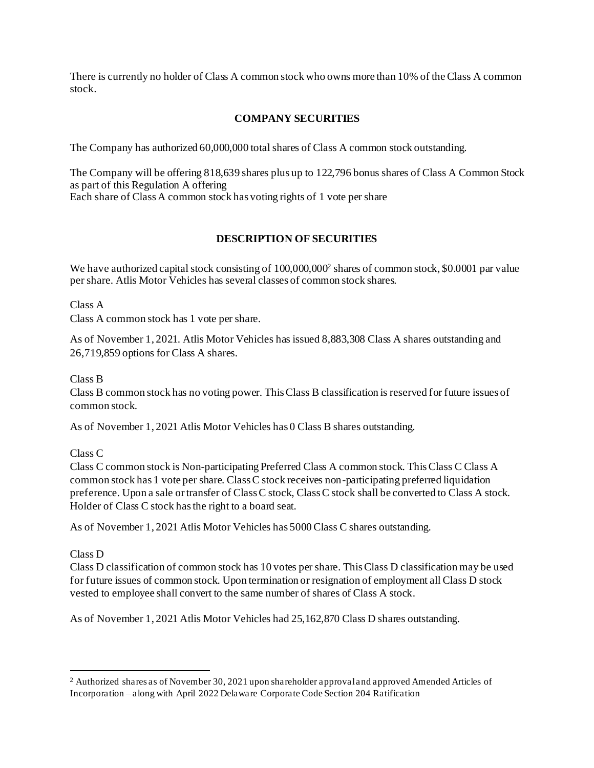There is currently no holder of Class A common stock who owns more than 10% of the Class A common stock.

# **COMPANY SECURITIES**

The Company has authorized 60,000,000 total shares of Class A common stock outstanding.

The Company will be offering 818,639 shares plus up to 122,796 bonus shares of Class A Common Stock as part of this Regulation A offering Each share of Class A common stock has voting rights of 1 vote per share

# **DESCRIPTION OF SECURITIES**

We have authorized capital stock consisting of 100,000,000<sup>2</sup> shares of common stock, \$0.0001 par value per share. Atlis Motor Vehicles has several classes of common stock shares.

Class A

Class A common stock has 1 vote per share.

As of November 1, 2021. Atlis Motor Vehicles has issued 8,883,308 Class A shares outstanding and 26,719,859 options for Class A shares.

Class B

Class B common stock has no voting power. This Class B classification is reserved for future issues of common stock.

As of November 1, 2021 Atlis Motor Vehicles has 0 Class B shares outstanding.

Class C

Class C common stock is Non-participating Preferred Class A common stock. This Class C Class A common stock has 1 vote per share. Class C stock receives non-participating preferred liquidation preference. Upon a sale or transfer of Class C stock, Class C stock shall be converted to Class A stock. Holder of Class C stock has the right to a board seat.

As of November 1, 2021 Atlis Motor Vehicles has 5000 Class C shares outstanding.

### Class D

Class D classification of common stock has 10 votes per share. This Class D classification may be used for future issues of common stock. Upon termination or resignation of employment all Class D stock vested to employee shall convert to the same number of shares of Class A stock.

As of November 1, 2021 Atlis Motor Vehicles had 25,162,870 Class D shares outstanding.

<sup>2</sup> Authorized shares as of November 30, 2021 upon shareholder approval and approved Amended Articles of Incorporation – along with April 2022 Delaware Corporate Code Section 204 Ratification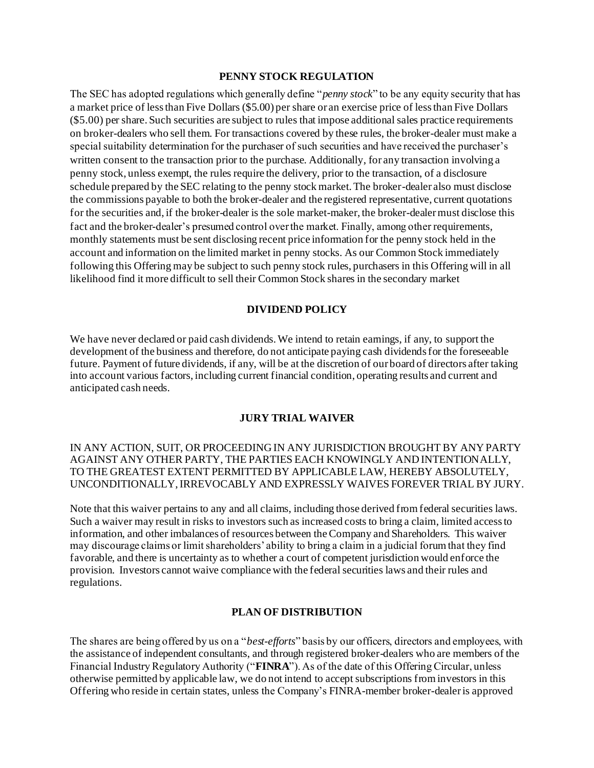#### **PENNY STOCK REGULATION**

The SEC has adopted regulations which generally define "*penny stock*" to be any equity security that has a market price of less than Five Dollars (\$5.00) per share or an exercise price of less than Five Dollars (\$5.00) per share. Such securities are subject to rules that impose additional sales practice requirements on broker-dealers who sell them. For transactions covered by these rules, the broker-dealer must make a special suitability determination for the purchaser of such securities and have received the purchaser's written consent to the transaction prior to the purchase. Additionally, for any transaction involving a penny stock, unless exempt, the rules require the delivery, prior to the transaction, of a disclosure schedule prepared by the SEC relating to the penny stock market. The broker-dealer also must disclose the commissions payable to both the broker-dealer and the registered representative, current quotations for the securities and, if the broker-dealer is the sole market-maker, the broker-dealer must disclose this fact and the broker-dealer's presumed control over the market. Finally, among other requirements, monthly statements must be sent disclosing recent price information for the penny stock held in the account and information on the limited market in penny stocks. As our Common Stock immediately following this Offering may be subject to such penny stock rules, purchasers in this Offering will in all likelihood find it more difficult to sell their Common Stock shares in the secondary market

#### **DIVIDEND POLICY**

We have never declared or paid cash dividends. We intend to retain earnings, if any, to support the development of the business and therefore, do not anticipate paying cash dividends for the foreseeable future. Payment of future dividends, if any, will be at the discretion of our board of directors after taking into account various factors, including current financial condition, operating results and current and anticipated cash needs.

#### **JURY TRIAL WAIVER**

### IN ANY ACTION, SUIT, OR PROCEEDING IN ANY JURISDICTION BROUGHT BY ANY PARTY AGAINST ANY OTHER PARTY, THE PARTIES EACH KNOWINGLY AND INTENTIONALLY, TO THE GREATEST EXTENT PERMITTED BY APPLICABLE LAW, HEREBY ABSOLUTELY, UNCONDITIONALLY, IRREVOCABLY AND EXPRESSLY WAIVES FOREVER TRIAL BY JURY.

Note that this waiver pertains to any and all claims, including those derived from federal securities laws. Such a waiver may result in risks to investors such as increased costs to bring a claim, limited access to information, and other imbalances of resources between the Company and Shareholders. This waiver may discourage claims or limit shareholders' ability to bring a claim in a judicial forum that they find favorable, and there is uncertainty as to whether a court of competent jurisdiction would enforce the provision. Investors cannot waive compliance with the federal securities laws and their rules and regulations.

#### **PLAN OF DISTRIBUTION**

The shares are being offered by us on a "*best-efforts*" basis by our officers, directors and employees, with the assistance of independent consultants, and through registered broker-dealers who are members of the Financial Industry Regulatory Authority ("**FINRA**"). As of the date of this Offering Circular, unless otherwise permitted by applicable law, we do not intend to accept subscriptions from investors in this Offering who reside in certain states, unless the Company's FINRA-member broker-dealer is approved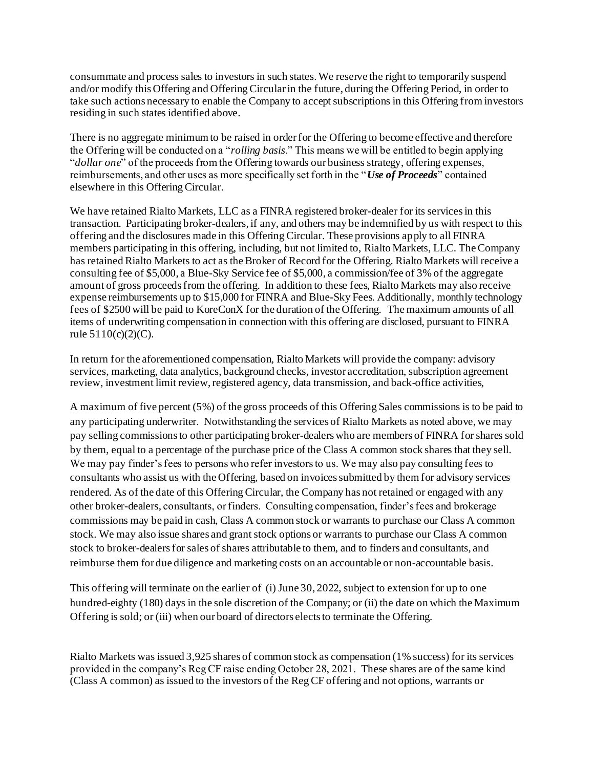consummate and process sales to investors in such states. We reserve the right to temporarily suspend and/or modify this Offering and Offering Circular in the future, during the Offering Period, in order to take such actions necessary to enable the Company to accept subscriptions in this Offering from investors residing in such states identified above.

There is no aggregate minimum to be raised in order for the Offering to become effective and therefore the Offering will be conducted on a "*rolling basis*." This means we will be entitled to begin applying "*dollar one*" of the proceeds from the Offering towards our business strategy, offering expenses, reimbursements, and other uses as more specifically set forth in the "*Use of Proceeds*" contained elsewhere in this Offering Circular.

We have retained Rialto Markets, LLC as a FINRA registered broker-dealer for its services in this transaction. Participating broker-dealers, if any, and others may be indemnified by us with respect to this offering and the disclosures made in this Offering Circular. These provisions apply to all FINRA members participating in this offering, including, but not limited to, Rialto Markets, LLC. The Company has retained Rialto Markets to act as the Broker of Record for the Offering. Rialto Markets will receive a consulting fee of \$5,000, a Blue-Sky Service fee of \$5,000, a commission/fee of 3% of the aggregate amount of gross proceeds from the offering. In addition to these fees, Rialto Markets may also receive expense reimbursements up to \$15,000 for FINRA and Blue-Sky Fees. Additionally, monthly technology fees of \$2500 will be paid to KoreConX for the duration of the Offering. The maximum amounts of all items of underwriting compensation in connection with this offering are disclosed, pursuant to FINRA rule 5110(c)(2)(C).

In return for the aforementioned compensation, Rialto Markets will provide the company: advisory services, marketing, data analytics, background checks, investor accreditation, subscription agreement review, investment limit review, registered agency, data transmission, and back-office activities,

A maximum of five percent (5%) of the gross proceeds of this Offering Sales commissions is to be paid to any participating underwriter. Notwithstanding the services of Rialto Markets as noted above, we may pay selling commissions to other participating broker-dealers who are members of FINRA for shares sold by them, equal to a percentage of the purchase price of the Class A common stock shares that they sell. We may pay finder's fees to persons who refer investors to us. We may also pay consulting fees to consultants who assist us with the Offering, based on invoices submitted by them for advisory services rendered. As of the date of this Offering Circular, the Company has not retained or engaged with any other broker-dealers, consultants, or finders. Consulting compensation, finder's fees and brokerage commissions may be paid in cash, Class A common stock or warrants to purchase our Class A common stock. We may also issue shares and grant stock options or warrants to purchase our Class A common stock to broker-dealers for sales of shares attributable to them, and to finders and consultants, and reimburse them for due diligence and marketing costs on an accountable or non-accountable basis.

This offering will terminate on the earlier of (i) June 30, 2022, subject to extension for up to one hundred-eighty (180) days in the sole discretion of the Company; or (ii) the date on which the Maximum Offering is sold; or (iii) when our board of directors elects to terminate the Offering.

Rialto Markets was issued 3,925 shares of common stock as compensation (1% success) for its services provided in the company's Reg CF raise ending October 28, 2021. These shares are of the same kind (Class A common) as issued to the investors of the Reg CF offering and not options, warrants or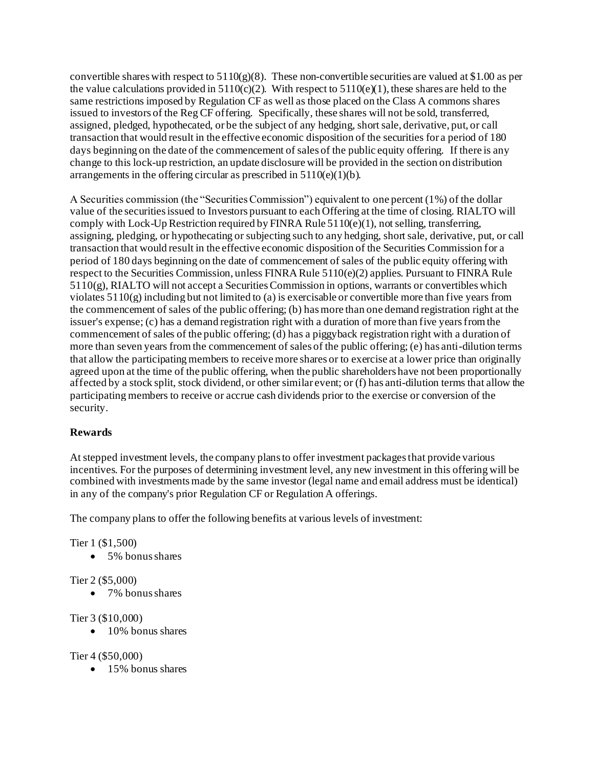convertible shares with respect to  $5110(g)(8)$ . These non-convertible securities are valued at \$1.00 as per the value calculations provided in  $5110(c)(2)$ . With respect to  $5110(e)(1)$ , these shares are held to the same restrictions imposed by Regulation CF as well as those placed on the Class A commons shares issued to investors of the Reg CF offering. Specifically, these shares will not be sold, transferred, assigned, pledged, hypothecated, or be the subject of any hedging, short sale, derivative, put, or call transaction that would result in the effective economic disposition of the securities for a period of 180 days beginning on the date of the commencement of sales of the public equity offering. If there is any change to this lock-up restriction, an update disclosure will be provided in the section on distribution arrangements in the offering circular as prescribed in  $5110(e)(1)(b)$ .

A Securities commission (the "Securities Commission") equivalent to one percent (1%) of the dollar value of the securities issued to Investors pursuant to each Offering at the time of closing. RIALTO will comply with Lock-Up Restriction required by FINRA Rule 5110(e)(1), not selling, transferring, assigning, pledging, or hypothecating or subjecting such to any hedging, short sale, derivative, put, or call transaction that would result in the effective economic disposition of the Securities Commission for a period of 180 days beginning on the date of commencement of sales of the public equity offering with respect to the Securities Commission, unless FINRA Rule 5110(e)(2) applies. Pursuant to FINRA Rule 5110(g), RIALTO will not accept a Securities Commission in options, warrants or convertibles which violates 5110(g) including but not limited to (a) is exercisable or convertible more than five years from the commencement of sales of the public offering; (b) has more than one demand registration right at the issuer's expense; (c) has a demand registration right with a duration of more than five years from the commencement of sales of the public offering; (d) has a piggyback registration right with a duration of more than seven years from the commencement of sales of the public offering; (e) has anti-dilution terms that allow the participating members to receive more shares or to exercise at a lower price than originally agreed upon at the time of the public offering, when the public shareholders have not been proportionally affected by a stock split, stock dividend, or other similar event; or (f) has anti-dilution terms that allow the participating members to receive or accrue cash dividends prior to the exercise or conversion of the security.

# **Rewards**

At stepped investment levels, the company plans to offer investment packages that provide various incentives. For the purposes of determining investment level, any new investment in this offering will be combined with investments made by the same investor (legal name and email address must be identical) in any of the company's prior Regulation CF or Regulation A offerings.

The company plans to offer the following benefits at various levels of investment:

Tier 1 (\$1,500)

• 5% bonus shares

Tier 2 (\$5,000)

• 7% bonus shares

# Tier 3 (\$10,000)

• 10% bonus shares

Tier 4 (\$50,000)

• 15% bonus shares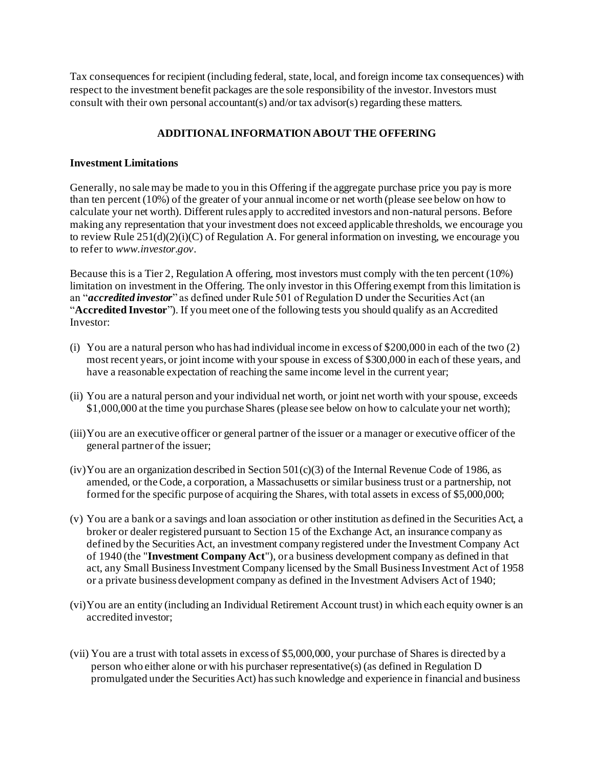Tax consequences for recipient (including federal, state, local, and foreign income tax consequences) with respect to the investment benefit packages are the sole responsibility of the investor. Investors must consult with their own personal accountant(s) and/or tax advisor(s) regarding these matters.

# **ADDITIONAL INFORMATION ABOUT THE OFFERING**

### **Investment Limitations**

Generally, no sale may be made to you in this Offering if the aggregate purchase price you pay is more than ten percent (10%) of the greater of your annual income or net worth (please see below on how to calculate your net worth). Different rules apply to accredited investors and non-natural persons. Before making any representation that your investment does not exceed applicable thresholds, we encourage you to review Rule  $251(d)(2)(i)(C)$  of Regulation A. For general information on investing, we encourage you to refer to *www.investor.gov*.

Because this is a Tier 2, Regulation A offering, most investors must comply with the ten percent (10%) limitation on investment in the Offering. The only investor in this Offering exempt from this limitation is an "*accredited investor*" as defined under Rule 501 of Regulation D under the Securities Act (an "**Accredited Investor**"). If you meet one of the following tests you should qualify as an Accredited Investor:

- (i) You are a natural person who has had individual income in excess of \$200,000 in each of the two (2) most recent years, or joint income with your spouse in excess of \$300,000 in each of these years, and have a reasonable expectation of reaching the same income level in the current year;
- (ii) You are a natural person and your individual net worth, or joint net worth with your spouse, exceeds \$1,000,000 at the time you purchase Shares (please see below on how to calculate your net worth);
- (iii)You are an executive officer or general partner of the issuer or a manager or executive officer of the general partner of the issuer;
- (iv) You are an organization described in Section  $501(c)(3)$  of the Internal Revenue Code of 1986, as amended, or the Code, a corporation, a Massachusetts or similar business trust or a partnership, not formed for the specific purpose of acquiring the Shares, with total assets in excess of \$5,000,000;
- (v) You are a bank or a savings and loan association or other institution as defined in the Securities Act, a broker or dealer registered pursuant to Section 15 of the Exchange Act, an insurance company as defined by the Securities Act, an investment company registered under the Investment Company Act of 1940 (the "**Investment Company Act**"), or a business development company as defined in that act, any Small Business Investment Company licensed by the Small Business Investment Act of 1958 or a private business development company as defined in the Investment Advisers Act of 1940;
- (vi)You are an entity (including an Individual Retirement Account trust) in which each equity owner is an accredited investor;
- (vii) You are a trust with total assets in excess of \$5,000,000, your purchase of Shares is directed by a person who either alone or with his purchaser representative(s) (as defined in Regulation D promulgated under the Securities Act) has such knowledge and experience in financial and business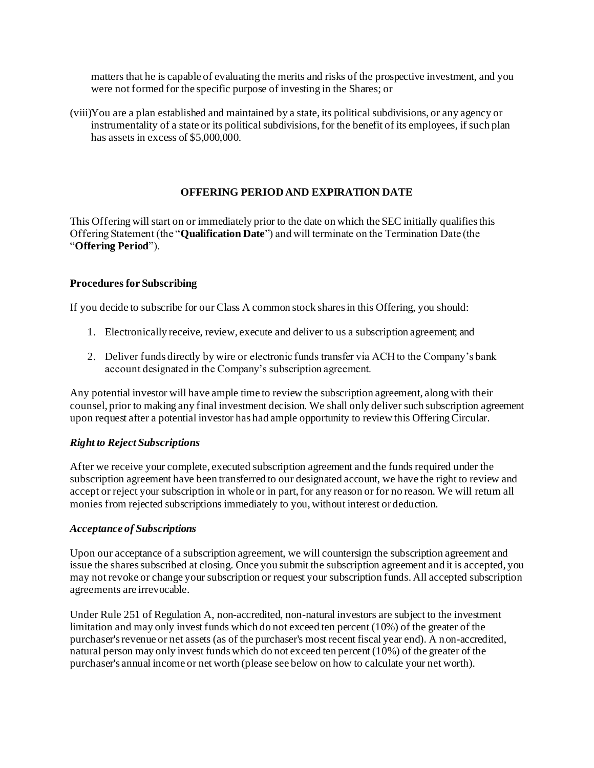matters that he is capable of evaluating the merits and risks of the prospective investment, and you were not formed for the specific purpose of investing in the Shares; or

(viii)You are a plan established and maintained by a state, its political subdivisions, or any agency or instrumentality of a state or its political subdivisions, for the benefit of its employees, if such plan has assets in excess of \$5,000,000.

# **OFFERING PERIOD AND EXPIRATION DATE**

This Offering will start on or immediately prior to the date on which the SEC initially qualifies this Offering Statement (the "**Qualification Date**") and will terminate on the Termination Date (the "**Offering Period**").

# **Procedures for Subscribing**

If you decide to subscribe for our Class A common stock shares in this Offering, you should:

- 1. Electronically receive, review, execute and deliver to us a subscription agreement; and
- 2. Deliver funds directly by wire or electronic funds transfer via ACH to the Company's bank account designated in the Company's subscription agreement.

Any potential investor will have ample time to review the subscription agreement, along with their counsel, prior to making any final investment decision. We shall only deliver such subscription agreement upon request after a potential investor has had ample opportunity to review this Offering Circular.

# *Right to Reject Subscriptions*

After we receive your complete, executed subscription agreement and the funds required under the subscription agreement have been transferred to our designated account, we have the right to review and accept or reject your subscription in whole or in part, for any reason or for no reason. We will return all monies from rejected subscriptions immediately to you, without interest or deduction.

### *Acceptance of Subscriptions*

Upon our acceptance of a subscription agreement, we will countersign the subscription agreement and issue the shares subscribed at closing. Once you submit the subscription agreement and it is accepted, you may not revoke or change your subscription or request your subscription funds. All accepted subscription agreements are irrevocable.

Under Rule 251 of Regulation A, non-accredited, non-natural investors are subject to the investment limitation and may only invest funds which do not exceed ten percent (10%) of the greater of the purchaser's revenue or net assets (as of the purchaser's most recent fiscal year end). A non-accredited, natural person may only invest funds which do not exceed ten percent (10%) of the greater of the purchaser's annual income or net worth (please see below on how to calculate your net worth).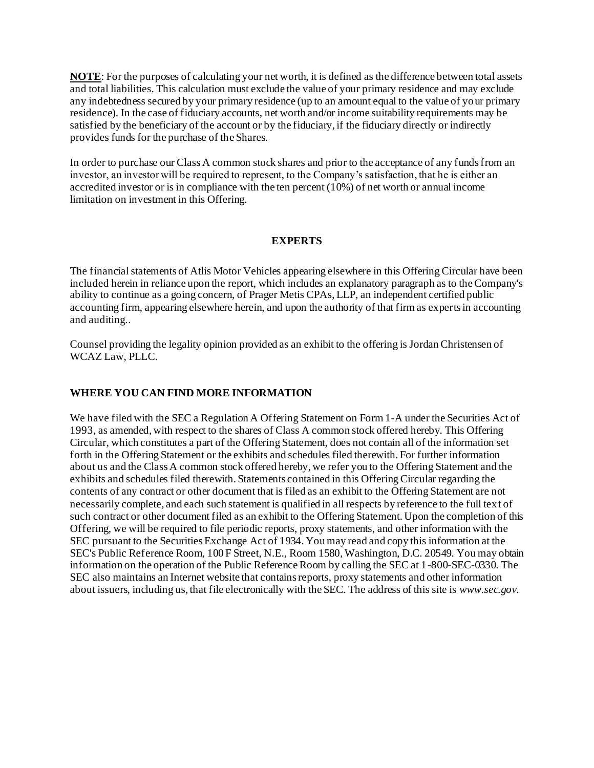**NOTE**: For the purposes of calculating your net worth, it is defined as the difference between total assets and total liabilities. This calculation must exclude the value of your primary residence and may exclude any indebtedness secured by your primary residence (up to an amount equal to the value of your primary residence). In the case of fiduciary accounts, net worth and/or income suitability requirements may be satisfied by the beneficiary of the account or by the fiduciary, if the fiduciary directly or indirectly provides funds for the purchase of the Shares.

In order to purchase our Class A common stock shares and prior to the acceptance of any funds from an investor, an investor will be required to represent, to the Company's satisfaction, that he is either an accredited investor or is in compliance with the ten percent (10%) of net worth or annual income limitation on investment in this Offering.

### **EXPERTS**

The financial statements of Atlis Motor Vehicles appearing elsewhere in this Offering Circular have been included herein in reliance upon the report, which includes an explanatory paragraph as to the Company's ability to continue as a going concern, of Prager Metis CPAs, LLP, an independent certified public accounting firm, appearing elsewhere herein, and upon the authority of that firm as experts in accounting and auditing..

Counsel providing the legality opinion provided as an exhibit to the offering is Jordan Christensen of WCAZ Law, PLLC.

### **WHERE YOU CAN FIND MORE INFORMATION**

We have filed with the SEC a Regulation A Offering Statement on Form 1-A under the Securities Act of 1993, as amended, with respect to the shares of Class A common stock offered hereby. This Offering Circular, which constitutes a part of the Offering Statement, does not contain all of the information set forth in the Offering Statement or the exhibits and schedules filed therewith. For further information about us and the Class A common stock offered hereby, we refer you to the Offering Statement and the exhibits and schedules filed therewith. Statements contained in this Offering Circular regarding the contents of any contract or other document that is filed as an exhibit to the Offering Statement are not necessarily complete, and each such statement is qualified in all respects by reference to the full text of such contract or other document filed as an exhibit to the Offering Statement. Upon the completion of this Offering, we will be required to file periodic reports, proxy statements, and other information with the SEC pursuant to the Securities Exchange Act of 1934. You may read and copy this information at the SEC's Public Reference Room, 100 F Street, N.E., Room 1580, Washington, D.C. 20549. You may obtain information on the operation of the Public Reference Room by calling the SEC at 1-800-SEC-0330. The SEC also maintains an Internet website that contains reports, proxy statements and other information about issuers, including us, that file electronically with the SEC. The address of this site is *www.sec.gov*.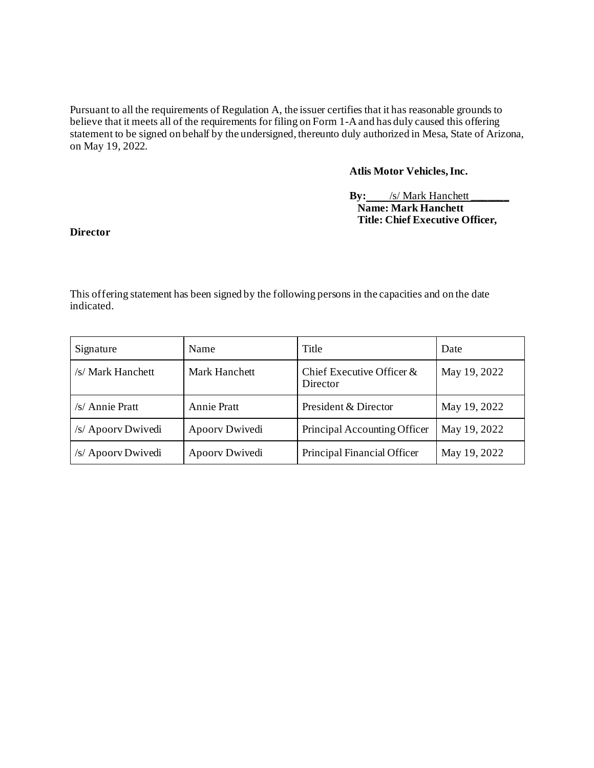Pursuant to all the requirements of Regulation A, the issuer certifies that it has reasonable grounds to believe that it meets all of the requirements for filing on Form 1-A and has duly caused this offering statement to be signed on behalf by the undersigned, thereunto duly authorized in Mesa, State of Arizona, on May 19, 2022.

# **Atlis Motor Vehicles, Inc.**

### **By:** /s/ Mark Hanchett  **Name: Mark Hanchett Title: Chief Executive Officer,**

### **Director**

This offering statement has been signed by the following persons in the capacities and on the date indicated.

| Signature          | Name               | Title                                 | Date         |
|--------------------|--------------------|---------------------------------------|--------------|
| /s/ Mark Hanchett  | Mark Hanchett      | Chief Executive Officer &<br>Director | May 19, 2022 |
| /s/ Annie Pratt    | <b>Annie Pratt</b> | President & Director                  | May 19, 2022 |
| /s/ Apoory Dwivedi | Apoorv Dwivedi     | Principal Accounting Officer          | May 19, 2022 |
| /s/ Apoorv Dwivedi | Apoorv Dwivedi     | Principal Financial Officer           | May 19, 2022 |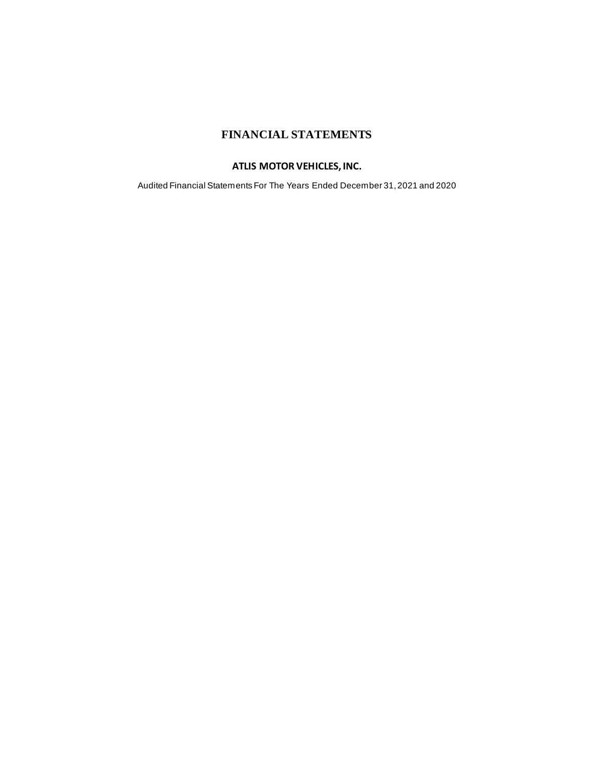# **FINANCIAL STATEMENTS**

# **ATLIS MOTOR VEHICLES, INC.**

Audited Financial Statements For The Years Ended December 31, 2021 and 2020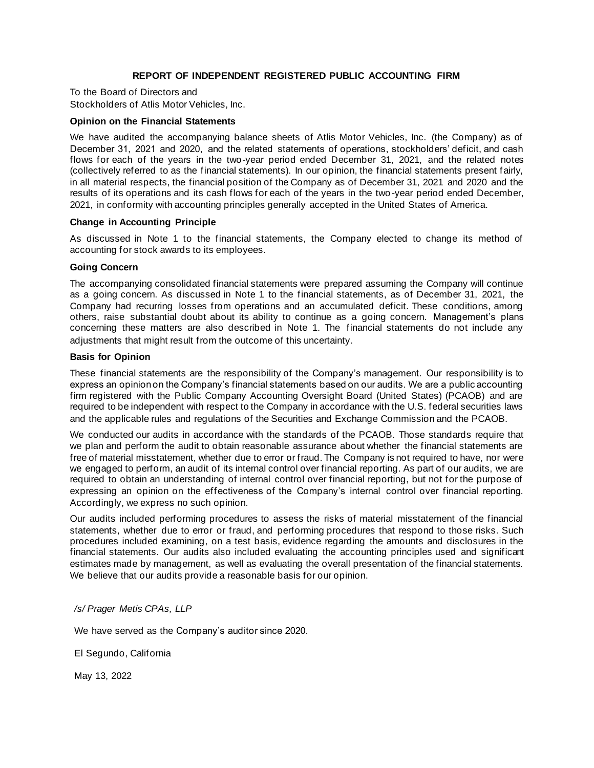#### **REPORT OF INDEPENDENT REGISTERED PUBLIC ACCOUNTING FIRM**

To the Board of Directors and Stockholders of Atlis Motor Vehicles, Inc.

#### **Opinion on the Financial Statements**

We have audited the accompanying balance sheets of Atlis Motor Vehicles, Inc. (the Company) as of December 31, 2021 and 2020, and the related statements of operations, stockholders' deficit, and cash flows for each of the years in the two-year period ended December 31, 2021, and the related notes (collectively referred to as the financial statements). In our opinion, the financial statements present fairly, in all material respects, the financial position of the Company as of December 31, 2021 and 2020 and the results of its operations and its cash flows for each of the years in the two -year period ended December, 2021, in conformity with accounting principles generally accepted in the United States of America.

#### **Change in Accounting Principle**

As discussed in Note 1 to the financial statements, the Company elected to change its method of accounting for stock awards to its employees.

#### **Going Concern**

The accompanying consolidated financial statements were prepared assuming the Company will continue as a going concern. As discussed in Note 1 to the financial statements, as of December 31, 2021, the Company had recurring losses from operations and an accumulated deficit. These conditions, among others, raise substantial doubt about its ability to continue as a going concern. Management's plans concerning these matters are also described in Note 1. The financial statements do not include any adjustments that might result from the outcome of this uncertainty.

#### **Basis for Opinion**

These financial statements are the responsibility of the Company's management. Our responsibility is to express an opinion on the Company's financial statements based on our audits. We are a public accounting firm registered with the Public Company Accounting Oversight Board (United States) (PCAOB) and are required to be independent with respect to the Company in accordance with the U.S. federal securities laws and the applicable rules and regulations of the Securities and Exchange Commission and the PCAOB.

We conducted our audits in accordance with the standards of the PCAOB. Those standards require that we plan and perform the audit to obtain reasonable assurance about whether the financial statements are free of material misstatement, whether due to error or fraud. The Company is not required to have, nor were we engaged to perform, an audit of its internal control over financial reporting. As part of our audits, we are required to obtain an understanding of internal control over financial reporting, but not for the purpose of expressing an opinion on the effectiveness of the Company's internal control over financial reporting. Accordingly, we express no such opinion.

Our audits included performing procedures to assess the risks of material misstatement of the financial statements, whether due to error or fraud, and performing procedures that respond to those risks. Such procedures included examining, on a test basis, evidence regarding the amounts and disclosures in the financial statements. Our audits also included evaluating the accounting principles used and significant estimates made by management, as well as evaluating the overall presentation of the financial statements. We believe that our audits provide a reasonable basis for our opinion.

#### */s/ Prager Metis CPAs, LLP*

We have served as the Company's auditor since 2020.

El Segundo, California

May 13, 2022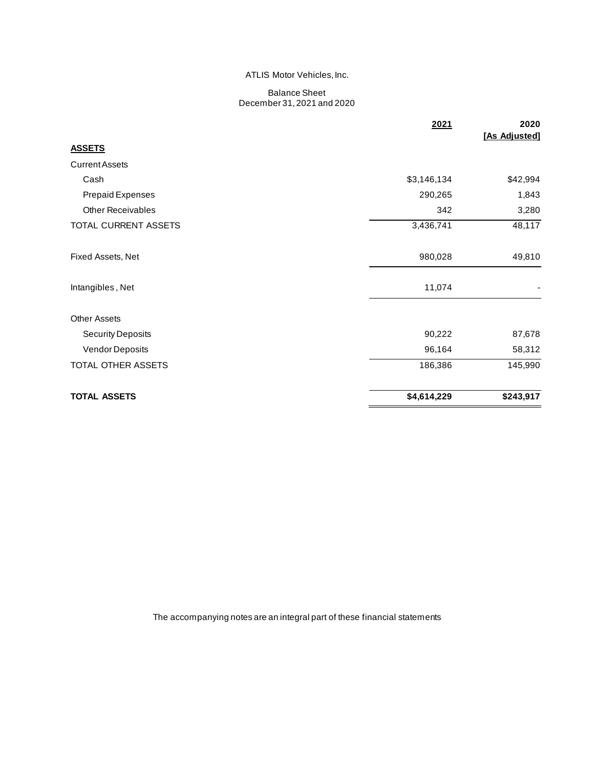#### ATLIS Motor Vehicles, Inc.

#### Balance Sheet December 31, 2021 and 2020

|                          | 2021        | 2020<br>[As Adjusted] |
|--------------------------|-------------|-----------------------|
| <b>ASSETS</b>            |             |                       |
| <b>Current Assets</b>    |             |                       |
| Cash                     | \$3,146,134 | \$42,994              |
| <b>Prepaid Expenses</b>  | 290,265     | 1,843                 |
| <b>Other Receivables</b> | 342         | 3,280                 |
| TOTAL CURRENT ASSETS     | 3,436,741   | 48,117                |
| Fixed Assets, Net        | 980,028     | 49,810                |
| Intangibles, Net         | 11,074      |                       |
| <b>Other Assets</b>      |             |                       |
| <b>Security Deposits</b> | 90,222      | 87,678                |
| Vendor Deposits          | 96,164      | 58,312                |
| TOTAL OTHER ASSETS       | 186,386     | 145,990               |
| <b>TOTAL ASSETS</b>      | \$4,614,229 | \$243,917             |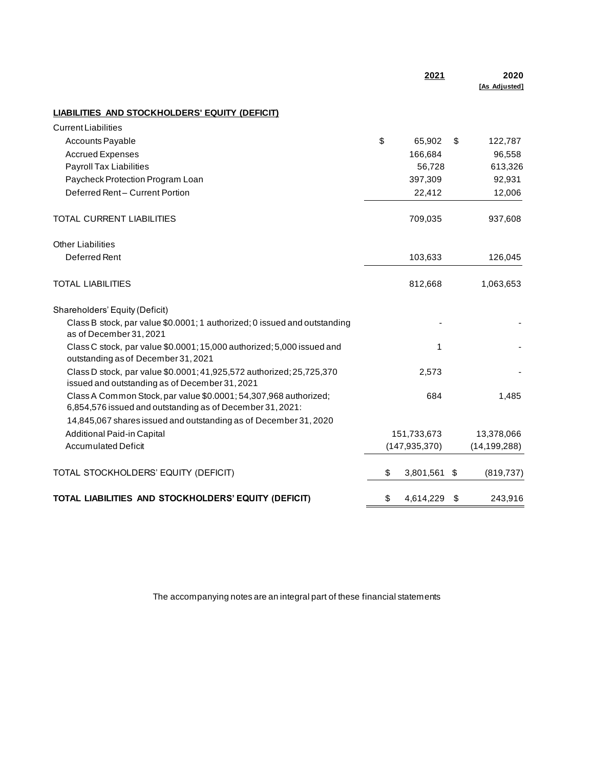|                                                                                                                               | 2021               |      | 2020<br>[As Adjusted] |
|-------------------------------------------------------------------------------------------------------------------------------|--------------------|------|-----------------------|
| <b>LIABILITIES AND STOCKHOLDERS' EQUITY (DEFICIT)</b>                                                                         |                    |      |                       |
| <b>Current Liabilities</b>                                                                                                    |                    |      |                       |
| <b>Accounts Payable</b>                                                                                                       | \$<br>65,902       | \$   | 122,787               |
| <b>Accrued Expenses</b>                                                                                                       | 166,684            |      | 96,558                |
| Payroll Tax Liabilities                                                                                                       | 56,728             |      | 613,326               |
| Paycheck Protection Program Loan                                                                                              | 397,309            |      | 92,931                |
| Deferred Rent-Current Portion                                                                                                 | 22,412             |      | 12,006                |
| TOTAL CURRENT LIABILITIES                                                                                                     | 709,035            |      | 937,608               |
| <b>Other Liabilities</b>                                                                                                      |                    |      |                       |
| Deferred Rent                                                                                                                 | 103,633            |      | 126,045               |
| <b>TOTAL LIABILITIES</b>                                                                                                      | 812,668            |      | 1,063,653             |
| Shareholders' Equity (Deficit)                                                                                                |                    |      |                       |
| Class B stock, par value \$0.0001; 1 authorized; 0 issued and outstanding<br>as of December 31, 2021                          |                    |      |                       |
| Class C stock, par value \$0.0001; 15,000 authorized; 5,000 issued and<br>outstanding as of December 31, 2021                 | 1                  |      |                       |
| Class D stock, par value \$0.0001; 41,925,572 authorized; 25,725,370<br>issued and outstanding as of December 31, 2021        | 2,573              |      |                       |
| Class A Common Stock, par value \$0.0001; 54,307,968 authorized;<br>6,854,576 issued and outstanding as of December 31, 2021: | 684                |      | 1,485                 |
| 14,845,067 shares issued and outstanding as of December 31, 2020                                                              |                    |      |                       |
| Additional Paid-in Capital                                                                                                    | 151,733,673        |      | 13,378,066            |
| <b>Accumulated Deficit</b>                                                                                                    | (147, 935, 370)    |      | (14, 199, 288)        |
| TOTAL STOCKHOLDERS' EQUITY (DEFICIT)                                                                                          | \$<br>3,801,561 \$ |      | (819, 737)            |
| TOTAL LIABILITIES AND STOCKHOLDERS' EQUITY (DEFICIT)                                                                          | \$<br>4,614,229    | - \$ | 243,916               |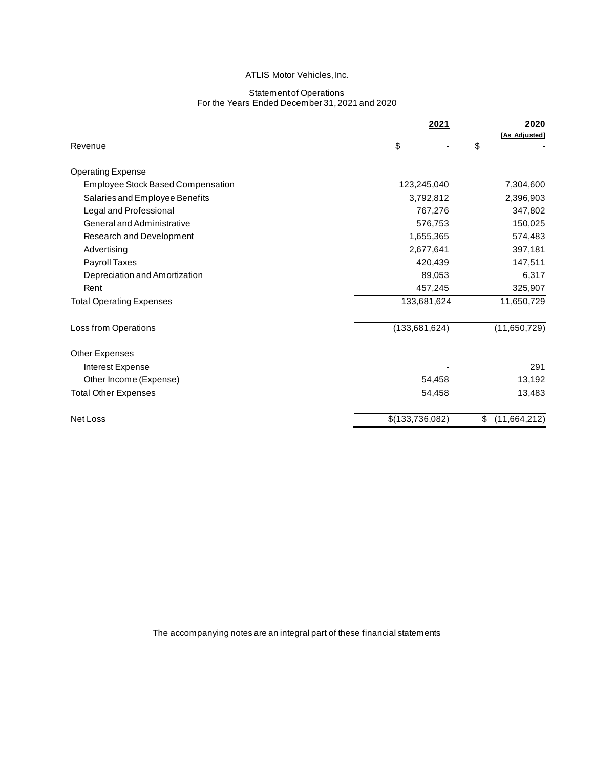#### ATLIS Motor Vehicles, Inc.

#### Statement of Operations For the Years Ended December 31, 2021 and 2020

|                                          | 2021            | 2020                |
|------------------------------------------|-----------------|---------------------|
| Revenue                                  | \$              | [As Adjusted]<br>\$ |
| <b>Operating Expense</b>                 |                 |                     |
| <b>Employee Stock Based Compensation</b> | 123,245,040     | 7,304,600           |
| Salaries and Employee Benefits           | 3,792,812       | 2,396,903           |
| Legal and Professional                   | 767,276         | 347,802             |
| General and Administrative               | 576,753         | 150,025             |
| Research and Development                 | 1,655,365       | 574,483             |
| Advertising                              | 2,677,641       | 397,181             |
| Payroll Taxes                            | 420,439         | 147,511             |
| Depreciation and Amortization            | 89,053          | 6,317               |
| Rent                                     | 457,245         | 325,907             |
| <b>Total Operating Expenses</b>          | 133,681,624     | 11,650,729          |
| Loss from Operations                     | (133,681,624)   | (11,650,729)        |
| Other Expenses                           |                 |                     |
| Interest Expense                         |                 | 291                 |
| Other Income (Expense)                   | 54,458          | 13,192              |
| <b>Total Other Expenses</b>              | 54,458          | 13,483              |
| Net Loss                                 | \$(133,736,082) | \$<br>(11,664,212)  |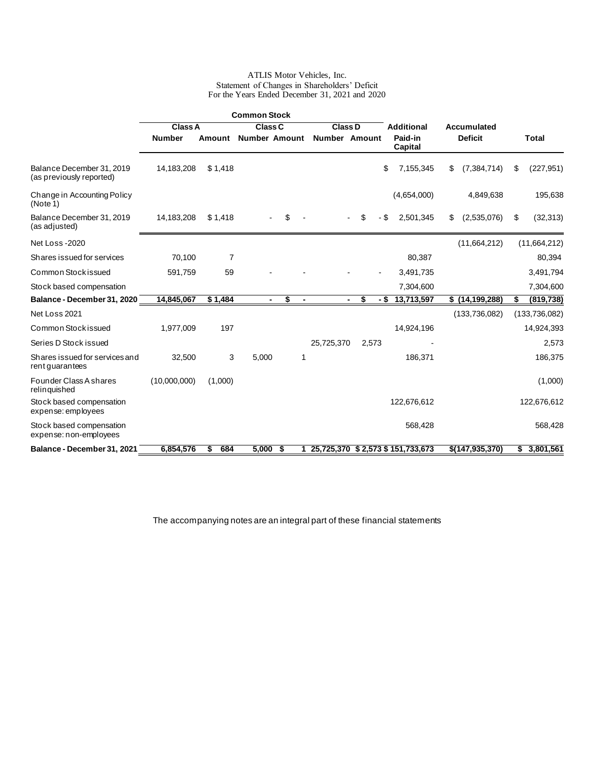#### ATLIS Motor Vehicles, Inc. Statement of Changes in Shareholders' Deficit For the Years Ended December 31, 2021 and 2020

|                                                       |                |          | <b>Common Stock</b>  |                      |                      |                |       |      |                                    |    |                  |                  |
|-------------------------------------------------------|----------------|----------|----------------------|----------------------|----------------------|----------------|-------|------|------------------------------------|----|------------------|------------------|
|                                                       | <b>Class A</b> |          | <b>Class C</b>       |                      | <b>Class D</b>       |                |       |      | <b>Additional</b>                  |    | Accumulated      |                  |
|                                                       | <b>Number</b>  | Amount   | <b>Number Amount</b> |                      | <b>Number Amount</b> |                |       |      | Paid-in<br>Capital                 |    | <b>Deficit</b>   | <b>Total</b>     |
| Balance December 31, 2019<br>(as previously reported) | 14,183,208     | \$1,418  |                      |                      |                      |                |       | \$   | 7,155,345                          | \$ | (7, 384, 714)    | \$<br>(227, 951) |
| Change in Accounting Policy<br>(Note 1)               |                |          |                      |                      |                      |                |       |      | (4,654,000)                        |    | 4,849,638        | 195,638          |
| Balance December 31, 2019<br>(as adjusted)            | 14,183,208     | \$1,418  |                      | \$                   |                      |                | \$    | - \$ | 2,501,345                          | S  | (2,535,076)      | \$<br>(32, 313)  |
| Net Loss -2020                                        |                |          |                      |                      |                      |                |       |      |                                    |    | (11,664,212)     | (11,664,212)     |
| Shares issued for services                            | 70,100         | 7        |                      |                      |                      |                |       |      | 80,387                             |    |                  | 80,394           |
| Common Stock issued                                   | 591,759        | 59       |                      |                      |                      |                |       |      | 3,491,735                          |    |                  | 3,491,794        |
| Stock based compensation                              |                |          |                      |                      |                      |                |       |      | 7,304,600                          |    |                  | 7,304,600        |
| Balance - December 31, 2020                           | 14,845,067     | \$1,484  | $\blacksquare$       | \$<br>$\blacksquare$ |                      | $\blacksquare$ | \$    | - \$ | 13,713,597                         |    | \$(14, 199, 288) | \$<br>(819, 738) |
| Net Loss 2021                                         |                |          |                      |                      |                      |                |       |      |                                    |    | (133, 736, 082)  | (133, 736, 082)  |
| Common Stock issued                                   | 1,977,009      | 197      |                      |                      |                      |                |       |      | 14,924,196                         |    |                  | 14,924,393       |
| Series D Stock issued                                 |                |          |                      |                      | 25,725,370           |                | 2,573 |      |                                    |    |                  | 2,573            |
| Shares issued for services and<br>rent guarantees     | 32,500         | 3        | 5,000                | 1                    |                      |                |       |      | 186,371                            |    |                  | 186,375          |
| Founder Class A shares<br>relinquished                | (10,000,000)   | (1,000)  |                      |                      |                      |                |       |      |                                    |    |                  | (1,000)          |
| Stock based compensation<br>expense: employees        |                |          |                      |                      |                      |                |       |      | 122,676,612                        |    |                  | 122,676,612      |
| Stock based compensation<br>expense: non-employees    |                |          |                      |                      |                      |                |       |      | 568,428                            |    |                  | 568,428          |
| Balance - December 31, 2021                           | 6,854,576      | 684<br>S | 5,000                | \$                   |                      |                |       |      | 25,725,370 \$ 2,573 \$ 151,733,673 |    | \$(147,935,370)  | \$<br>3,801,561  |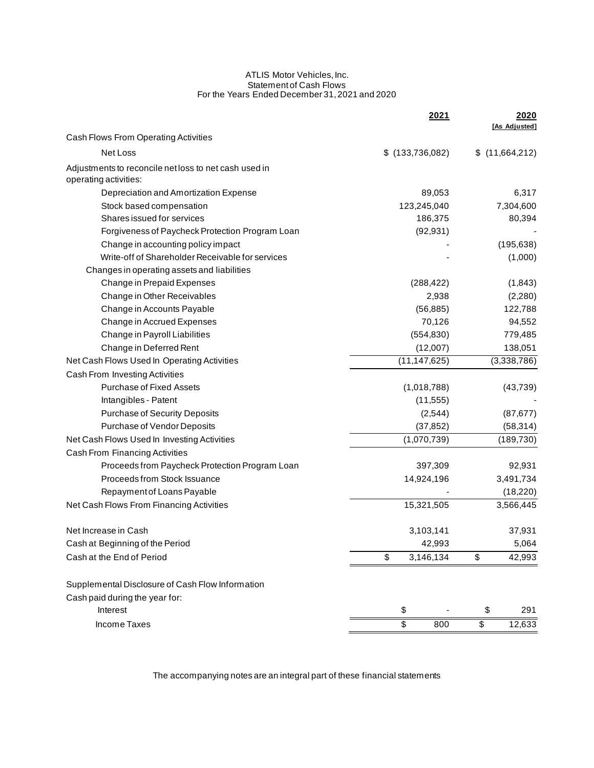#### ATLIS Motor Vehicles, Inc. Statement of Cash Flows For the Years Ended December 31, 2021 and 2020

|                                                                                |    | 2021              |                          | 2020           |
|--------------------------------------------------------------------------------|----|-------------------|--------------------------|----------------|
| Cash Flows From Operating Activities                                           |    |                   |                          | [As Adjusted]  |
| Net Loss                                                                       |    | $$$ (133,736,082) |                          | \$(11,664,212) |
|                                                                                |    |                   |                          |                |
| Adjustments to reconcile net loss to net cash used in<br>operating activities: |    |                   |                          |                |
| Depreciation and Amortization Expense                                          |    | 89,053            |                          | 6,317          |
| Stock based compensation                                                       |    | 123,245,040       |                          | 7,304,600      |
| Shares issued for services                                                     |    | 186,375           |                          | 80,394         |
| Forgiveness of Paycheck Protection Program Loan                                |    | (92, 931)         |                          |                |
| Change in accounting policy impact                                             |    |                   |                          | (195, 638)     |
| Write-off of Shareholder Receivable for services                               |    |                   |                          | (1,000)        |
| Changes in operating assets and liabilities                                    |    |                   |                          |                |
| Change in Prepaid Expenses                                                     |    | (288, 422)        |                          | (1,843)        |
| Change in Other Receivables                                                    |    | 2,938             |                          | (2,280)        |
| Change in Accounts Payable                                                     |    | (56, 885)         |                          | 122,788        |
| Change in Accrued Expenses                                                     |    | 70,126            |                          | 94,552         |
| Change in Payroll Liabilities                                                  |    | (554, 830)        |                          | 779,485        |
| Change in Deferred Rent                                                        |    | (12,007)          |                          | 138,051        |
| Net Cash Flows Used In Operating Activities                                    |    | (11, 147, 625)    |                          | (3,338,786)    |
| Cash From Investing Activities                                                 |    |                   |                          |                |
| <b>Purchase of Fixed Assets</b>                                                |    | (1,018,788)       |                          | (43, 739)      |
| Intangibles - Patent                                                           |    | (11, 555)         |                          |                |
| <b>Purchase of Security Deposits</b>                                           |    | (2, 544)          |                          | (87, 677)      |
| Purchase of Vendor Deposits                                                    |    | (37, 852)         |                          | (58, 314)      |
| Net Cash Flows Used In Investing Activities                                    |    | (1,070,739)       |                          | (189, 730)     |
| Cash From Financing Activities                                                 |    |                   |                          |                |
| Proceeds from Paycheck Protection Program Loan                                 |    | 397,309           |                          | 92,931         |
| Proceeds from Stock Issuance                                                   |    | 14,924,196        |                          | 3,491,734      |
| Repayment of Loans Payable                                                     |    |                   |                          | (18, 220)      |
| Net Cash Flows From Financing Activities                                       |    | 15,321,505        |                          | 3,566,445      |
| Net Increase in Cash                                                           |    | 3,103,141         |                          | 37,931         |
| Cash at Beginning of the Period                                                |    | 42,993            |                          | 5,064          |
| Cash at the End of Period                                                      | \$ | 3,146,134         | \$                       | 42,993         |
| Supplemental Disclosure of Cash Flow Information                               |    |                   |                          |                |
| Cash paid during the year for:                                                 |    |                   |                          |                |
| Interest                                                                       | \$ |                   | \$                       | 291            |
| Income Taxes                                                                   | \$ | 800               | $\overline{\mathcal{S}}$ | 12,633         |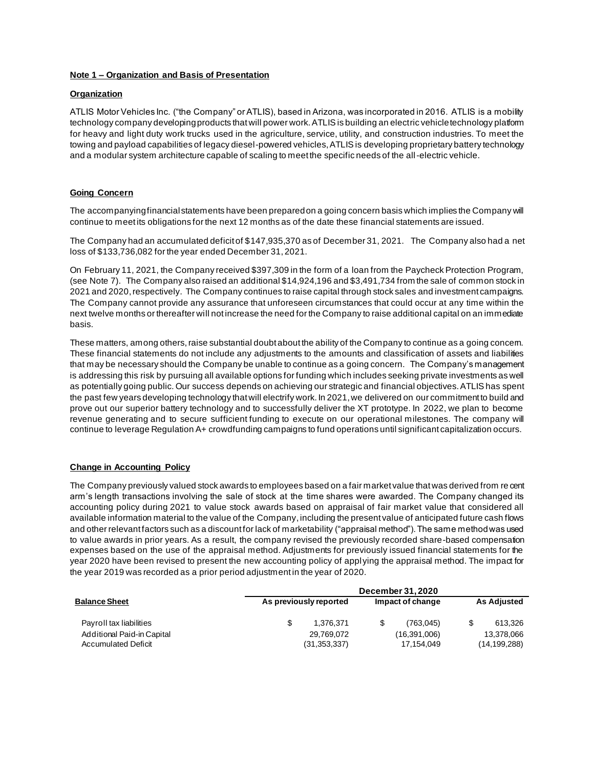#### **Note 1 – Organization and Basis of Presentation**

#### **Organization**

ATLIS Motor Vehicles Inc. ("the Company" or ATLIS), based in Arizona, was incorporated in 2016. ATLIS is a mobility technology company developing products that will power work. ATLIS is building an electric vehicle technology platform for heavy and light duty work trucks used in the agriculture, service, utility, and construction industries. To meet the towing and payload capabilities of legacy diesel-powered vehicles, ATLIS is developing proprietary battery technology and a modular system architecture capable of scaling to meet the specific needs of the all-electric vehicle.

#### **Going Concern**

The accompanying financial statements have been prepared on a going concern basis which implies the Company will continue to meet its obligations for the next 12 months as of the date these financial statements are issued.

The Company had an accumulated deficit of \$147,935,370 as of December 31, 2021. The Company also had a net loss of \$133,736,082 for the year ended December 31, 2021.

On February 11, 2021, the Company received \$397,309 in the form of a loan from the Paycheck Protection Program, (see Note 7). The Company also raised an additional \$14,924,196 and \$3,491,734 from the sale of common stock in 2021 and 2020, respectively. The Company continues to raise capital through stock sales and investment campaigns. The Company cannot provide any assurance that unforeseen circumstances that could occur at any time within the next twelve months or thereafter will not increase the need for the Company to raise additional capital on an immediate basis.

These matters, among others, raise substantial doubt about the ability of the Company to continue as a going concern. These financial statements do not include any adjustments to the amounts and classification of assets and liabilities that may be necessary should the Company be unable to continue as a going concern. The Company's management is addressing this risk by pursuing all available options for funding which includes seeking private investments as well as potentially going public. Our success depends on achieving our strategic and financial objectives. ATLIS has spent the past few years developing technology that will electrify work. In 2021, we delivered on our commitment to build and prove out our superior battery technology and to successfully deliver the XT prototype. In 2022, we plan to become revenue generating and to secure sufficient funding to execute on our operational milestones. The company will continue to leverage Regulation A+ crowdfunding campaigns to fund operations until significant capitalization occurs.

#### **Change in Accounting Policy**

The Company previously valued stock awards to employees based on a fair market value that was derived from re cent arm's length transactions involving the sale of stock at the time shares were awarded. The Company changed its accounting policy during 2021 to value stock awards based on appraisal of fair market value that considered all available information material to the value of the Company, including the present value of anticipated future cash flows and other relevant factors such as a discount for lack of marketability ("appraisal method"). The same method was used to value awards in prior years. As a result, the company revised the previously recorded share-based compensation expenses based on the use of the appraisal method. Adjustments for previously issued financial statements for the year 2020 have been revised to present the new accounting policy of applying the appraisal method. The impact for the year 2019 was recorded as a prior period adjustment in the year of 2020.

| <b>Balance Sheet</b><br>Payroll tax liabilities | December 31, 2020 |                        |  |              |                    |                |  |  |  |
|-------------------------------------------------|-------------------|------------------------|--|--------------|--------------------|----------------|--|--|--|
|                                                 |                   | As previously reported |  |              | <b>As Adjusted</b> |                |  |  |  |
|                                                 |                   | 1.376.371              |  | (763.045)    |                    | 613.326        |  |  |  |
| Additional Paid-in Capital                      |                   | 29.769.072             |  | (16,391,006) |                    | 13.378.066     |  |  |  |
| <b>Accumulated Deficit</b>                      |                   | (31, 353, 337)         |  | 17,154,049   |                    | (14, 199, 288) |  |  |  |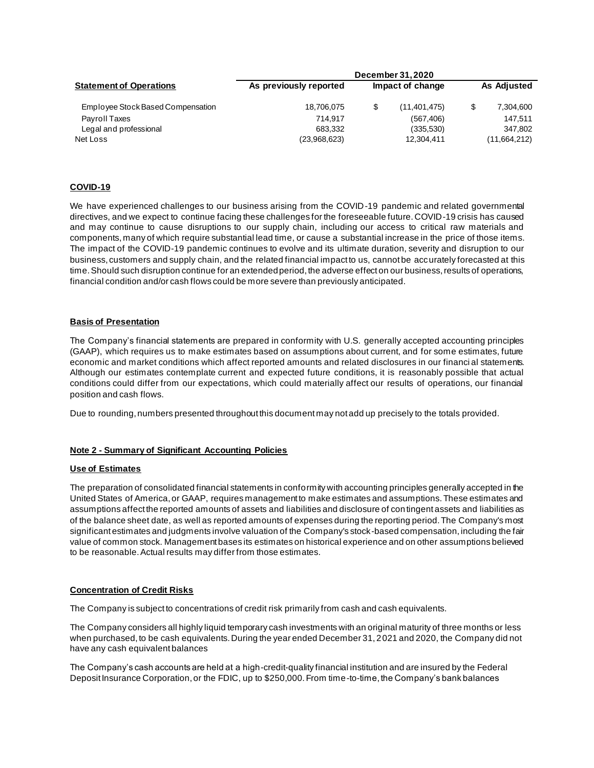| <b>Statement of Operations</b><br>Employee Stock Based Compensation | <b>December 31, 2020</b> |  |                  |  |                    |  |  |  |
|---------------------------------------------------------------------|--------------------------|--|------------------|--|--------------------|--|--|--|
|                                                                     | As previously reported   |  | Impact of change |  | <b>As Adjusted</b> |  |  |  |
|                                                                     | 18,706,075               |  | (11, 401, 475)   |  | 7,304,600          |  |  |  |
| Payroll Taxes                                                       | 714.917                  |  | (567, 406)       |  | 147.511            |  |  |  |
| Legal and professional                                              | 683.332                  |  | (335,530)        |  | 347.802            |  |  |  |
| Net Loss                                                            | (23,968,623)             |  | 12,304,411       |  | (11,664,212)       |  |  |  |

#### **COVID-19**

We have experienced challenges to our business arising from the COVID-19 pandemic and related governmental directives, and we expect to continue facing these challenges for the foreseeable future. COVID-19 crisis has caused and may continue to cause disruptions to our supply chain, including our access to critical raw materials and components, many of which require substantial lead time, or cause a substantial increase in the price of those items. The impact of the COVID-19 pandemic continues to evolve and its ultimate duration, severity and disruption to our business, customers and supply chain, and the related financial impact to us, cannot be accurately forecasted at this time. Should such disruption continue for an extended period, the adverse effect on our business, results of operations, financial condition and/or cash flows could be more severe than previously anticipated.

#### **Basis of Presentation**

The Company's financial statements are prepared in conformity with U.S. generally accepted accounting principles (GAAP), which requires us to make estimates based on assumptions about current, and for some estimates, future economic and market conditions which affect reported amounts and related disclosures in our financi al statements. Although our estimates contemplate current and expected future conditions, it is reasonably possible that actual conditions could differ from our expectations, which could materially affect our results of operations, our financial position and cash flows.

Due to rounding, numbers presented throughout this document may not add up precisely to the totals provided.

#### **Note 2 - Summary of Significant Accounting Policies**

#### **Use of Estimates**

The preparation of consolidated financial statements in conformity with accounting principles generally accepted in the United States of America, or GAAP, requires management to make estimates and assumptions. These estimates and assumptions affect the reported amounts of assets and liabilities and disclosure of contingent assets and liabilities as of the balance sheet date, as well as reported amounts of expenses during the reporting period. The Company's most significant estimates and judgments involve valuation of the Company's stock-based compensation, including the fair value of common stock. Management bases its estimates on historical experience and on other assumptions believed to be reasonable. Actual results may differ from those estimates.

#### **Concentration of Credit Risks**

The Company is subject to concentrations of credit risk primarily from cash and cash equivalents.

The Company considers all highly liquid temporary cash investments with an original maturity of three months or less when purchased, to be cash equivalents. During the year ended December 31, 2021 and 2020, the Company did not have any cash equivalent balances

The Company's cash accounts are held at a high-credit-quality financial institution and are insured by the Federal Deposit Insurance Corporation, or the FDIC, up to \$250,000. From time-to-time, the Company's bank balances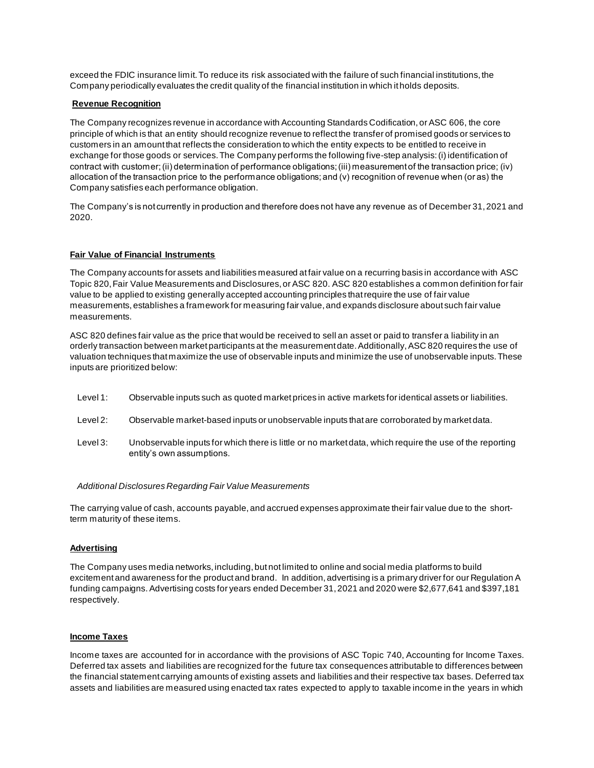exceed the FDIC insurance limit. To reduce its risk associated with the failure of such financial institutions, the Company periodically evaluates the credit quality of the financial institution in which it holds deposits.

#### **Revenue Recognition**

The Company recognizes revenue in accordance with Accounting Standards Codification, or ASC 606, the core principle of which is that an entity should recognize revenue to reflect the transfer of promised goods or services to customers in an amount that reflects the consideration to which the entity expects to be entitled to receive in exchange for those goods or services. The Company performs the following five-step analysis: (i) identification of contract with customer; (ii) determination of performance obligations; (iii) measurement of the transaction price; (iv) allocation of the transaction price to the performance obligations; and (v) recognition of revenue when (or as) the Company satisfies each performance obligation.

The Company's is not currently in production and therefore does not have any revenue as of December 31, 2021 and 2020.

#### **Fair Value of Financial Instruments**

The Company accounts for assets and liabilities measured at fair value on a recurring basis in accordance with ASC Topic 820, Fair Value Measurements and Disclosures, or ASC 820. ASC 820 establishes a common definition for fair value to be applied to existing generally accepted accounting principles that require the use of fair value measurements, establishes a framework for measuring fair value, and expands disclosure about such fair value measurements.

ASC 820 defines fair value as the price that would be received to sell an asset or paid to transfer a liability in an orderly transaction between market participants at the measurement date. Additionally, ASC 820 requires the use of valuation techniques that maximize the use of observable inputs and minimize the use of unobservable inputs. These inputs are prioritized below:

- Level 1: Observable inputs such as quoted market prices in active markets for identical assets or liabilities.
- Level 2: Observable market-based inputs or unobservable inputs that are corroborated by market data.
- Level 3: Unobservable inputs for which there is little or no market data, which require the use of the reporting entity's own assumptions.

#### *Additional Disclosures Regarding Fair Value Measurements*

The carrying value of cash, accounts payable, and accrued expenses approximate their fair value due to the shortterm maturity of these items.

#### **Advertising**

The Company uses media networks, including, but not limited to online and social media platforms to build excitement and awareness for the product and brand. In addition, advertising is a primary driver for our Regulation A funding campaigns. Advertising costs for years ended December 31, 2021 and 2020 were \$2,677,641 and \$397,181 respectively.

#### **Income Taxes**

Income taxes are accounted for in accordance with the provisions of ASC Topic 740, Accounting for Income Taxes. Deferred tax assets and liabilities are recognized for the future tax consequences attributable to differences between the financial statement carrying amounts of existing assets and liabilities and their respective tax bases. Deferred tax assets and liabilities are measured using enacted tax rates expected to apply to taxable income in the years in which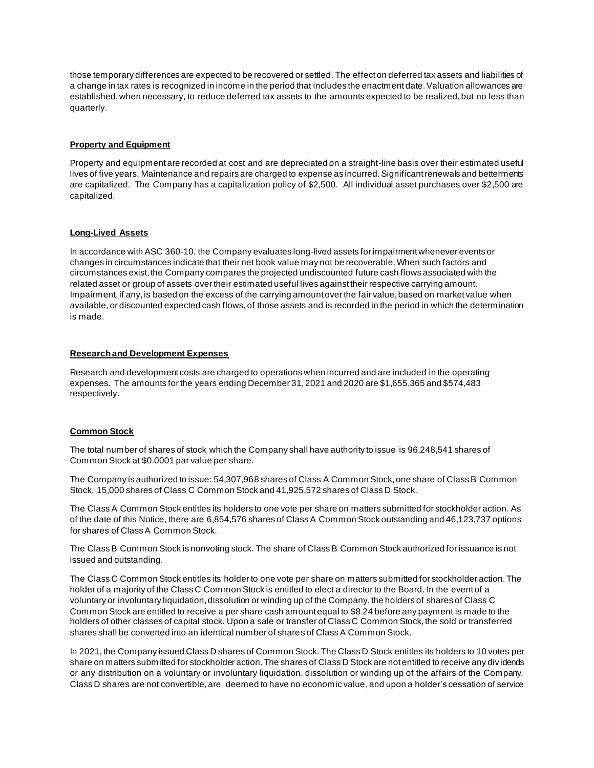those temporary differences are expected to be recovered or settled. The effect on deferred tax assets and liabilities of a change in tax rates is recognized in income in the period that includes the enactment date. Valuation allowances are established, when necessary, to reduce deferred tax assets to the amounts expected to be realized, but no less than quarterly.

## **Property and Equipment**

Property and equipment are recorded at cost and are depreciated on a straight-line basis over their estimated useful lives of five years. Maintenance and repairs are charged to expense as incurred. Significant renewals and betterments are capitalized. The Company has a capitalization policy of \$2,500. All individual asset purchases over \$2,500 are capitalized.

# **Long-Lived Assets**

In accordance with ASC 360-10, the Company evaluates long-lived assets for impairment whenever events or changes in circumstances indicate that their net book value may not be recoverable. When such factors and circumstances exist, the Company compares the projected undiscounted future cash flows associated with the related asset or group of assets over their estimated useful lives against their respective carrying amount. Impairment, if any, is based on the excess of the carrying amount over the fair value, based on market value when available, or discounted expected cash flows, of those assets and is recorded in the period in which the determination is made.

## **Research and Development Expenses**

Research and development costs are charged to operations when incurred and are included in the operating expenses. The amounts for the years ending December 31, 2021 and 2020 are \$1,655,365 and \$574,483 respectively.

## **Common Stock**

The total number of shares of stock which the Company shall have authority to issue is 96,248,541 shares of Common Stock at \$0.0001 par value per share.

The Company is authorized to issue: 54,307,968 shares of Class A Common Stock, one share of Class B Common Stock, 15,000 shares of Class C Common Stock and 41,925,572 shares of Class D Stock.

The Class A Common Stock entitles its holders to one vote per share on matters submitted for stockholder action. As of the date of this Notice, there are 6,854,576 shares of Class A Common Stock outstanding and 46,123,737 options for shares of Class A Common Stock.

The Class B Common Stock is nonvoting stock. The share of Class B Common Stock authorized for issuance is not issued and outstanding.

The Class C Common Stock entitles its holder to one vote per share on matters submitted for stockholder action. The holder of a majority of the Class C Common Stock is entitled to elect a director to the Board. In the event of a voluntary or involuntary liquidation, dissolution or winding up of the Company, the holders of shares of Class C Common Stock are entitled to receive a per share cash amount equal to \$8.24 before any payment is made to the holders of other classes of capital stock. Upon a sale or transfer of Class C Common Stock, the sold or transferred shares shall be converted into an identical number of shares of Class A Common Stock.

In 2021, the Company issued Class D shares of Common Stock. The Class D Stock entitles its holders to 10 votes per share on matters submitted for stockholder action. The shares of Class D Stock are not entitled to receive any dividends or any distribution on a voluntary or involuntary liquidation, dissolution or winding up of the affairs of the Company. Class D shares are not convertible, are deemed to have no economic value, and upon a holder's cessation of service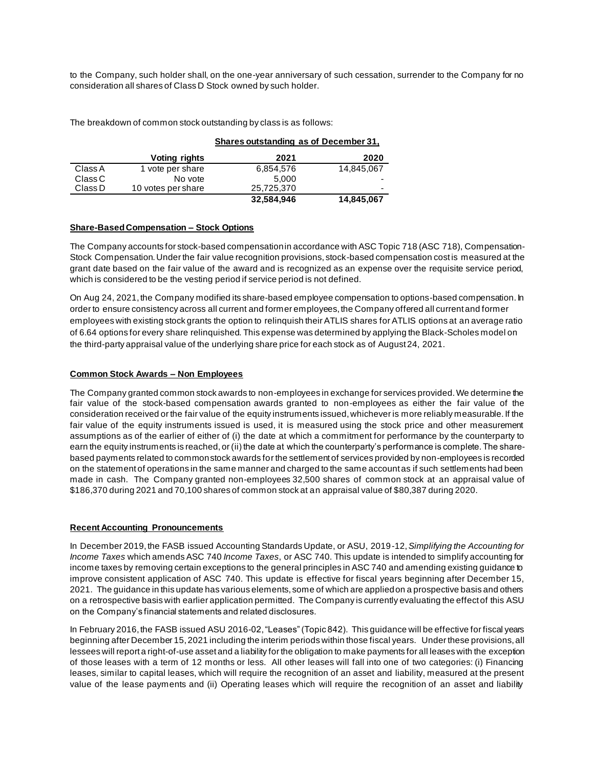to the Company, such holder shall, on the one-year anniversary of such cessation, surrender to the Company for no consideration all shares of Class D Stock owned by such holder.

The breakdown of common stock outstanding by class is as follows:

|         |                    | Shares outstanding as of December 31, |            |  |
|---------|--------------------|---------------------------------------|------------|--|
|         | Voting rights      | 2021                                  | 2020       |  |
| Class A | 1 vote per share   | 6,854,576                             | 14,845,067 |  |
| Class C | No vote            | 5.000                                 | -          |  |
| Class D | 10 votes per share | 25,725,370                            | -          |  |
|         |                    | 32,584,946                            | 14,845,067 |  |

#### **Share-Based Compensation – Stock Options**

The Company accounts for stock-based compensation in accordance with ASC Topic 718 (ASC 718), Compensation-Stock Compensation. Under the fair value recognition provisions, stock-based compensation cost is measured at the grant date based on the fair value of the award and is recognized as an expense over the requisite service period, which is considered to be the vesting period if service period is not defined.

On Aug 24, 2021, the Company modified its share-based employee compensation to options-based compensation. In order to ensure consistency across all current and former employees, the Company offered all current and former employees with existing stock grants the option to relinquish their ATLIS shares for ATLIS options at an average ratio of 6.64 options for every share relinquished. This expense was determined by applying the Black-Scholes model on the third-party appraisal value of the underlying share price for each stock as of August 24, 2021.

## **Common Stock Awards – Non Employees**

The Company granted common stock awards to non-employees in exchange for services provided. We determine the fair value of the stock-based compensation awards granted to non-employees as either the fair value of the consideration received or the fair value of the equity instruments issued, whichever is more reliably measurable. If the fair value of the equity instruments issued is used, it is measured using the stock price and other measurement assumptions as of the earlier of either of (i) the date at which a commitment for performance by the counterparty to earn the equity instruments is reached, or (ii) the date at which the counterparty's performance is complete. The sharebased payments related to common stock awards for the settlement of services provided by non-employees is recorded on the statement of operations in the same manner and charged to the same account as if such settlements had been made in cash. The Company granted non-employees 32,500 shares of common stock at an appraisal value of \$186,370 during 2021 and 70,100 shares of common stock at an appraisal value of \$80,387 during 2020.

## **Recent Accounting Pronouncements**

In December 2019, the FASB issued Accounting Standards Update, or ASU, 2019-12,*Simplifying the Accounting for Income Taxes* which amends ASC 740 *Income Taxes*, or ASC 740. This update is intended to simplify accounting for income taxes by removing certain exceptions to the general principles in ASC 740 and amending existing guidance to improve consistent application of ASC 740. This update is effective for fiscal years beginning after December 15, 2021. The guidance in this update has various elements, some of which are applied on a prospective basis and others on a retrospective basis with earlier application permitted. The Company is currently evaluating the effect of this ASU on the Company's financial statements and related disclosures.

In February 2016, the FASB issued ASU 2016-02, "Leases" (Topic 842). This guidance will be effective for fiscal years beginning after December 15, 2021 including the interim periods within those fiscal years. Under these provisions, all lessees will report a right-of-use asset and a liability for the obligation to make payments for all leases with the exception of those leases with a term of 12 months or less. All other leases will fall into one of two categories: (i) Financing leases, similar to capital leases, which will require the recognition of an asset and liability, measured at the present value of the lease payments and (ii) Operating leases which will require the recognition of an asset and liability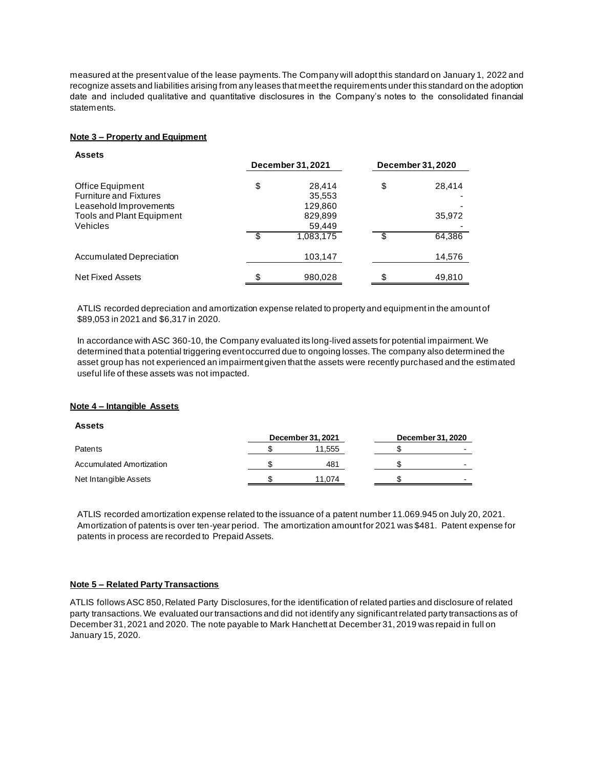measured at the present value of the lease payments. The Company will adopt this standard on January 1, 2022 and recognize assets and liabilities arising from any leases that meet the requirements under this standard on the adoption date and included qualitative and quantitative disclosures in the Company's notes to the consolidated financial statements.

## **Note 3 – Property and Equipment**

| <b>Assets</b>                    |    | December 31, 2021 | <b>December 31, 2020</b> |        |
|----------------------------------|----|-------------------|--------------------------|--------|
|                                  |    |                   |                          |        |
| Office Equipment                 | \$ | 28,414            | \$                       | 28,414 |
| <b>Furniture and Fixtures</b>    |    | 35,553            |                          |        |
| Leasehold Improvements           |    | 129,860           |                          |        |
| <b>Tools and Plant Equipment</b> |    | 829,899           |                          | 35,972 |
| Vehicles                         |    | 59,449            |                          |        |
|                                  | ß. | 1,083,175         | \$                       | 64,386 |
| Accumulated Depreciation         |    | 103,147           |                          | 14,576 |
| Net Fixed Assets                 | \$ | 980,028           | \$                       | 49,810 |

ATLIS recorded depreciation and amortization expense related to property and equipment in the amount of \$89,053 in 2021 and \$6,317 in 2020.

In accordance with ASC 360-10, the Company evaluated its long-lived assets for potential impairment. We determined that a potential triggering event occurred due to ongoing losses. The company also determined the asset group has not experienced an impairment given that the assets were recently purchased and the estimated useful life of these assets was not impacted.

## **Note 4 – Intangible Assets**

## **Assets**

|                          | December 31, 2021 | December 31, 2020 |  |
|--------------------------|-------------------|-------------------|--|
| Patents                  | 11,555            |                   |  |
| Accumulated Amortization | 481               |                   |  |
| Net Intangible Assets    | 11.074            |                   |  |

ATLIS recorded amortization expense related to the issuance of a patent number 11.069.945 on July 20, 2021. Amortization of patents is over ten-year period. The amortization amount for 2021 was \$481. Patent expense for patents in process are recorded to Prepaid Assets.

## **Note 5 – Related Party Transactions**

ATLIS follows ASC 850, Related Party Disclosures, for the identification of related parties and disclosure of related party transactions. We evaluated our transactions and did not identify any significant related party transactions as of December 31, 2021 and 2020. The note payable to Mark Hanchett at December 31, 2019 was repaid in full on January 15, 2020.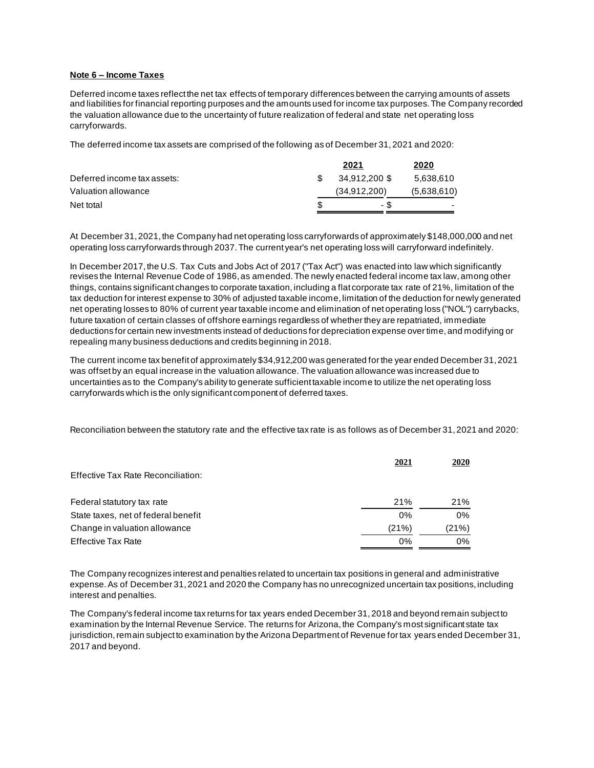# **Note 6 – Income Taxes**

Deferred income taxes reflect the net tax effects of temporary differences between the carrying amounts of assets and liabilities for financial reporting purposes and the amounts used for income tax purposes. The Company recorded the valuation allowance due to the uncertainty of future realization of federal and state net operating loss carryforwards.

The deferred income tax assets are comprised of the following as of December 31, 2021 and 2020:

|                             |   | 2021           | 2020        |
|-----------------------------|---|----------------|-------------|
| Deferred income tax assets: |   | 34.912.200 \$  | 5,638,610   |
| Valuation allowance         |   | (34, 912, 200) | (5,638,610) |
| Net total                   | S | - \$           |             |

At December 31, 2021, the Company had net operating loss carryforwards of approximately \$148,000,000 and net operating loss carryforwards through 2037. The current year's net operating loss will carryforward indefinitely.

In December 2017, the U.S. Tax Cuts and Jobs Act of 2017 ("Tax Act") was enacted into law which significantly revises the Internal Revenue Code of 1986, as amended. The newly enacted federal income tax law, among other things, contains significant changes to corporate taxation, including a flat corporate tax rate of 21%, limitation of the tax deduction for interest expense to 30% of adjusted taxable income, limitation of the deduction for newly generated net operating losses to 80% of current year taxable income and elimination of net operating loss ("NOL") carrybacks, future taxation of certain classes of offshore earnings regardless of whether they are repatriated, immediate deductions for certain new investments instead of deductions for depreciation expense over time, and modifying or repealing many business deductions and credits beginning in 2018.

The current income tax benefit of approximately \$34,912,200 was generated for the year ended December 31, 2021 was offset by an equal increase in the valuation allowance. The valuation allowance was increased due to uncertainties as to the Company's ability to generate sufficient taxable income to utilize the net operating loss carryforwards which is the only significant component of deferred taxes.

Reconciliation between the statutory rate and the effective tax rate is as follows as of December 31, 2021 and 2020:

| Effective Tax Rate Reconciliation:  | 2021  | 2020  |
|-------------------------------------|-------|-------|
|                                     |       |       |
| Federal statutory tax rate          | 21%   | 21%   |
| State taxes, net of federal benefit | 0%    | 0%    |
| Change in valuation allowance       | (21%) | (21%) |
| <b>Effective Tax Rate</b>           | 0%    | $0\%$ |

The Company recognizes interest and penalties related to uncertain tax positions in general and administrative expense. As of December 31, 2021 and 2020 the Company has no unrecognized uncertain tax positions, including interest and penalties.

The Company's federal income tax returns for tax years ended December 31, 2018 and beyond remain subject to examination by the Internal Revenue Service. The returns for Arizona, the Company's most significant state tax jurisdiction, remain subject to examination by the Arizona Department of Revenue for tax years ended December 31, 2017 and beyond.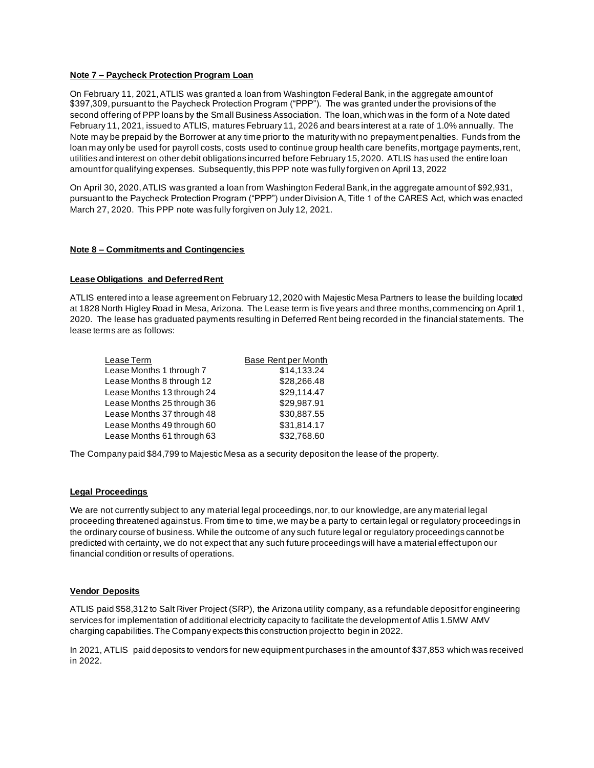## **Note 7 – Paycheck Protection Program Loan**

On February 11, 2021, ATLIS was granted a loan from Washington Federal Bank, in the aggregate amount of \$397,309, pursuant to the Paycheck Protection Program ("PPP"). The was granted under the provisions of the second offering of PPP loans by the Small Business Association. The loan, which was in the form of a Note dated February 11, 2021, issued to ATLIS, matures February 11, 2026 and bears interest at a rate of 1.0% annually. The Note may be prepaid by the Borrower at any time prior to the maturity with no prepayment penalties. Funds from the loan may only be used for payroll costs, costs used to continue group health care benefits, mortgage payments, rent, utilities and interest on other debit obligations incurred before February 15, 2020. ATLIS has used the entire loan amount for qualifying expenses. Subsequently, this PPP note was fully forgiven on April 13, 2022

On April 30, 2020, ATLIS was granted a loan from Washington Federal Bank, in the aggregate amount of \$92,931, pursuant to the Paycheck Protection Program ("PPP") under Division A, Title 1 of the CARES Act, which was enacted March 27, 2020. This PPP note was fully forgiven on July 12, 2021.

## **Note 8 – Commitments and Contingencies**

## **Lease Obligations and Deferred Rent**

ATLIS entered into a lease agreement on February 12, 2020 with Majestic Mesa Partners to lease the building located at 1828 North Higley Road in Mesa, Arizona. The Lease term is five years and three months, commencing on April 1, 2020. The lease has graduated payments resulting in Deferred Rent being recorded in the financial statements. The lease terms are as follows:

| Lease Term                 | <b>Base Rent per Month</b> |
|----------------------------|----------------------------|
| Lease Months 1 through 7   | \$14,133.24                |
| Lease Months 8 through 12  | \$28,266.48                |
| Lease Months 13 through 24 | \$29,114.47                |
| Lease Months 25 through 36 | \$29,987.91                |
| Lease Months 37 through 48 | \$30,887.55                |
| Lease Months 49 through 60 | \$31,814.17                |
| Lease Months 61 through 63 | \$32,768.60                |

The Company paid \$84,799 to Majestic Mesa as a security deposit on the lease of the property.

## **Legal Proceedings**

We are not currently subject to any material legal proceedings, nor, to our knowledge, are any material legal proceeding threatened against us. From time to time, we may be a party to certain legal or regulatory proceedings in the ordinary course of business. While the outcome of any such future legal or regulatory proceedings cannot be predicted with certainty, we do not expect that any such future proceedings will have a material effect upon our financial condition or results of operations.

## **Vendor Deposits**

ATLIS paid \$58,312 to Salt River Project (SRP), the Arizona utility company, as a refundable deposit for engineering services for implementation of additional electricity capacity to facilitate the development of Atlis 1.5MW AMV charging capabilities. The Company expects this construction project to begin in 2022.

In 2021, ATLIS paid deposits to vendors for new equipment purchases in the amount of \$37,853 which was received in 2022.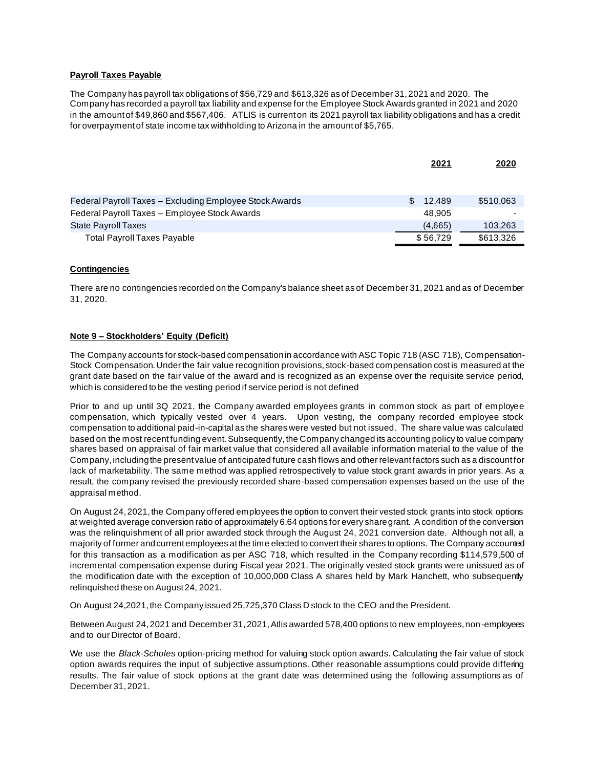# **Payroll Taxes Payable**

The Company has payroll tax obligations of \$56,729 and \$613,326 as of December 31, 2021 and 2020. The Company has recorded a payroll tax liability and expense for the Employee Stock Awards granted in 2021 and 2020 in the amount of \$49,860 and \$567,406. ATLIS is current on its 2021 payroll tax liability obligations and has a credit for overpayment of state income tax withholding to Arizona in the amount of \$5,765.

|                                                         | 2021         | 2020      |
|---------------------------------------------------------|--------------|-----------|
|                                                         |              |           |
|                                                         |              |           |
| Federal Payroll Taxes – Excluding Employee Stock Awards | 12.489<br>£. | \$510,063 |
| Federal Payroll Taxes - Employee Stock Awards           | 48.905       |           |
| <b>State Payroll Taxes</b>                              | (4,665)      | 103.263   |
| <b>Total Payroll Taxes Payable</b>                      | \$56,729     | \$613,326 |

## **Contingencies**

There are no contingencies recorded on the Company's balance sheet as of December 31, 2021 and as of December 31, 2020.

## **Note 9 – Stockholders' Equity (Deficit)**

The Company accounts for stock-based compensation in accordance with ASC Topic 718 (ASC 718), Compensation-Stock Compensation. Under the fair value recognition provisions, stock-based compensation cost is measured at the grant date based on the fair value of the award and is recognized as an expense over the requisite service period, which is considered to be the vesting period if service period is not defined

Prior to and up until 3Q 2021, the Company awarded employees grants in common stock as part of employee compensation, which typically vested over 4 years. Upon vesting, the company recorded employee stock compensation to additional paid-in-capital as the shares were vested but not issued. The share value was calculated based on the most recent funding event. Subsequently, the Company changed its accounting policy to value company shares based on appraisal of fair market value that considered all available information material to the value of the Company, including the present value of anticipated future cash flows and other relevant factors such as a discount for lack of marketability. The same method was applied retrospectively to value stock grant awards in prior years. As a result, the company revised the previously recorded share-based compensation expenses based on the use of the appraisal method.

On August 24, 2021, the Company offered employees the option to convert their vested stock grants into stock options at weighted average conversion ratio of approximately 6.64 options for every share grant. A condition of the conversion was the relinquishment of all prior awarded stock through the August 24, 2021 conversion date. Although not all, a majority of former and current employees at the time elected to convert their shares to options. The Company accounted for this transaction as a modification as per ASC 718, which resulted in the Company recording \$114,579,500 of incremental compensation expense during Fiscal year 2021. The originally vested stock grants were unissued as of the modification date with the exception of 10,000,000 Class A shares held by Mark Hanchett, who subsequently relinquished these on August 24, 2021.

On August 24,2021, the Company issued 25,725,370 Class D stock to the CEO and the President.

Between August 24, 2021 and December 31, 2021, Atlis awarded 578,400 options to new employees, non-employees and to our Director of Board.

We use the *Black*-*Scholes* option-pricing method for valuing stock option awards. Calculating the fair value of stock option awards requires the input of subjective assumptions. Other reasonable assumptions could provide differing results. The fair value of stock options at the grant date was determined using the following assumptions as of December 31, 2021.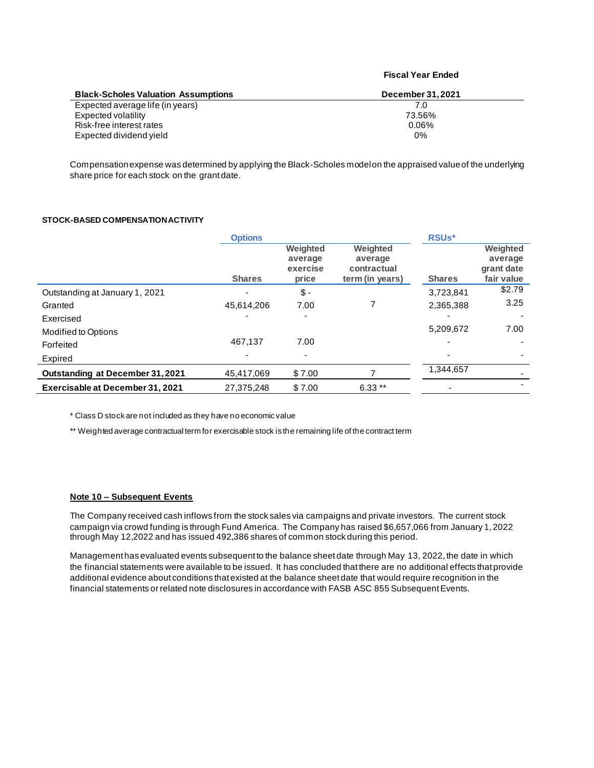| <b>Black-Scholes Valuation Assumptions</b> | December 31, 2021 |
|--------------------------------------------|-------------------|
| Expected average life (in years)           | 7.0               |
| Expected volatility                        | 73.56%            |
| Risk-free interest rates                   | $0.06\%$          |
| Expected dividend yield                    | $0\%$             |

**Fiscal Year Ended**

Compensation expense was determined by applying the Black-Scholes model on the appraised value of the underlying share price for each stock on the grant date.

## **STOCK-BASED COMPENSATION ACTIVITY**

|                                         | <b>Options</b> |                                          |                                                       | <b>RSUs*</b>  |                                                 |
|-----------------------------------------|----------------|------------------------------------------|-------------------------------------------------------|---------------|-------------------------------------------------|
|                                         | <b>Shares</b>  | Weighted<br>average<br>exercise<br>price | Weighted<br>average<br>contractual<br>term (in years) | <b>Shares</b> | Weighted<br>average<br>grant date<br>fair value |
| Outstanding at January 1, 2021          |                | $$ -$                                    |                                                       | 3,723,841     | \$2.79                                          |
| Granted                                 | 45,614,206     | 7.00                                     |                                                       | 2,365,388     | 3.25                                            |
| Exercised                               |                | ۰                                        |                                                       |               |                                                 |
| Modified to Options                     |                |                                          |                                                       | 5,209,672     | 7.00                                            |
| Forfeited                               | 467.137        | 7.00                                     |                                                       |               |                                                 |
| Expired                                 |                |                                          |                                                       |               |                                                 |
| <b>Outstanding at December 31, 2021</b> | 45.417.069     | \$7.00                                   |                                                       | 1,344,657     |                                                 |
| Exercisable at December 31, 2021        | 27.375.248     | \$7.00                                   | $6.33**$                                              |               |                                                 |

\* Class D stock are not included as they have no economic value

\*\* Weighted average contractual term for exercisable stock is the remaining life of the contract term

# **Note 10 – Subsequent Events**

The Company received cash inflows from the stock sales via campaigns and private investors. The current stock campaign via crowd funding is through Fund America. The Company has raised \$6,657,066 from January 1, 2022 through May 12,2022 and has issued 492,386 shares of common stock during this period.

Management has evaluated events subsequent to the balance sheet date through May 13, 2022, the date in which the financial statements were available to be issued. It has concluded that there are no additional effects that provide additional evidence about conditions that existed at the balance sheet date that would require recognition in the financial statements or related note disclosures in accordance with FASB ASC 855 Subsequent Events.